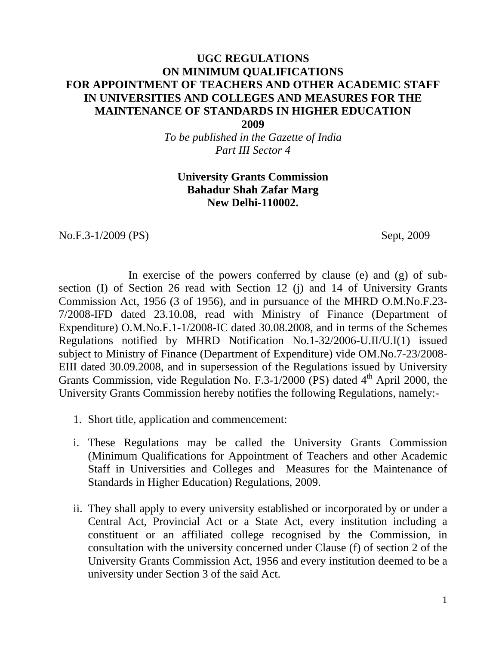# **UGC REGULATIONS ON MINIMUM QUALIFICATIONS FOR APPOINTMENT OF TEACHERS AND OTHER ACADEMIC STAFF IN UNIVERSITIES AND COLLEGES AND MEASURES FOR THE MAINTENANCE OF STANDARDS IN HIGHER EDUCATION**

**2009** 

*To be published in the Gazette of India Part III Sector 4* 

# **University Grants Commission Bahadur Shah Zafar Marg New Delhi-110002.**

No.F.3-1/2009 (PS) Sept, 2009

 In exercise of the powers conferred by clause (e) and (g) of subsection (I) of Section 26 read with Section 12 (j) and 14 of University Grants Commission Act, 1956 (3 of 1956), and in pursuance of the MHRD O.M.No.F.23- 7/2008-IFD dated 23.10.08, read with Ministry of Finance (Department of Expenditure) O.M.No.F.1-1/2008-IC dated 30.08.2008, and in terms of the Schemes Regulations notified by MHRD Notification No.1-32/2006-U.II/U.I(1) issued subject to Ministry of Finance (Department of Expenditure) vide OM.No.7-23/2008- EIII dated 30.09.2008, and in supersession of the Regulations issued by University Grants Commission, vide Regulation No. F.3-1/2000 (PS) dated  $4<sup>th</sup>$  April 2000, the University Grants Commission hereby notifies the following Regulations, namely:-

- 1. Short title, application and commencement:
- i. These Regulations may be called the University Grants Commission (Minimum Qualifications for Appointment of Teachers and other Academic Staff in Universities and Colleges and Measures for the Maintenance of Standards in Higher Education) Regulations, 2009.
- ii. They shall apply to every university established or incorporated by or under a Central Act, Provincial Act or a State Act, every institution including a constituent or an affiliated college recognised by the Commission, in consultation with the university concerned under Clause (f) of section 2 of the University Grants Commission Act, 1956 and every institution deemed to be a university under Section 3 of the said Act.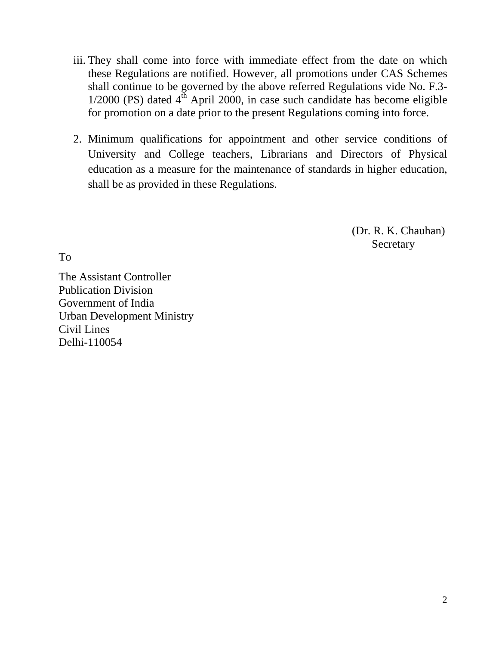- iii. They shall come into force with immediate effect from the date on which these Regulations are notified. However, all promotions under CAS Schemes shall continue to be governed by the above referred Regulations vide No. F.3- 1/2000 (PS) dated  $4^{th}$  April 2000, in case such candidate has become eligible for promotion on a date prior to the present Regulations coming into force.
- 2. Minimum qualifications for appointment and other service conditions of University and College teachers, Librarians and Directors of Physical education as a measure for the maintenance of standards in higher education, shall be as provided in these Regulations.

(Dr. R. K. Chauhan) Secretary

To

The Assistant Controller Publication Division Government of India Urban Development Ministry Civil Lines Delhi-110054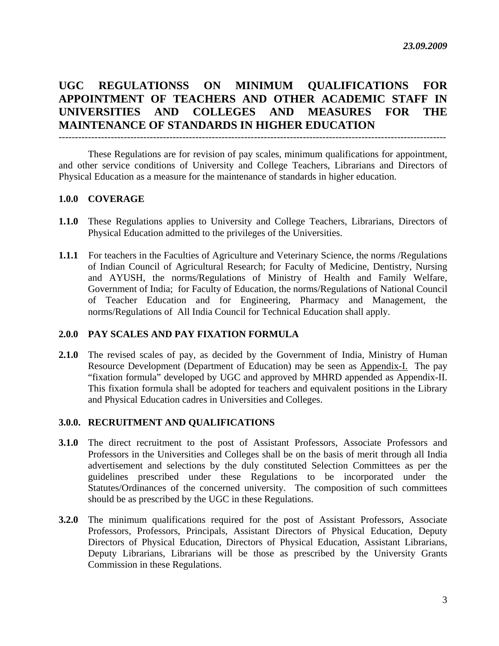# **UGC REGULATIONSS ON MINIMUM QUALIFICATIONS FOR APPOINTMENT OF TEACHERS AND OTHER ACADEMIC STAFF IN UNIVERSITIES AND COLLEGES AND MEASURES FOR THE MAINTENANCE OF STANDARDS IN HIGHER EDUCATION**

-----------------------------------------------------------------------------------------------------------------------

These Regulations are for revision of pay scales, minimum qualifications for appointment, and other service conditions of University and College Teachers, Librarians and Directors of Physical Education as a measure for the maintenance of standards in higher education.

### **1.0.0 COVERAGE**

- **1.1.0** These Regulations applies to University and College Teachers, Librarians, Directors of Physical Education admitted to the privileges of the Universities.
- **1.1.1** For teachers in the Faculties of Agriculture and Veterinary Science, the norms /Regulations of Indian Council of Agricultural Research; for Faculty of Medicine, Dentistry, Nursing and AYUSH, the norms/Regulations of Ministry of Health and Family Welfare, Government of India; for Faculty of Education, the norms/Regulations of National Council of Teacher Education and for Engineering, Pharmacy and Management, the norms/Regulations of All India Council for Technical Education shall apply.

#### **2.0.0 PAY SCALES AND PAY FIXATION FORMULA**

**2.1.0** The revised scales of pay, as decided by the Government of India, Ministry of Human Resource Development (Department of Education) may be seen as Appendix-I. The pay "fixation formula" developed by UGC and approved by MHRD appended as Appendix-II. This fixation formula shall be adopted for teachers and equivalent positions in the Library and Physical Education cadres in Universities and Colleges.

### **3.0.0. RECRUITMENT AND QUALIFICATIONS**

- **3.1.0** The direct recruitment to the post of Assistant Professors, Associate Professors and Professors in the Universities and Colleges shall be on the basis of merit through all India advertisement and selections by the duly constituted Selection Committees as per the guidelines prescribed under these Regulations to be incorporated under the Statutes/Ordinances of the concerned university. The composition of such committees should be as prescribed by the UGC in these Regulations.
- **3.2.0** The minimum qualifications required for the post of Assistant Professors, Associate Professors, Professors, Principals, Assistant Directors of Physical Education, Deputy Directors of Physical Education, Directors of Physical Education, Assistant Librarians, Deputy Librarians, Librarians will be those as prescribed by the University Grants Commission in these Regulations.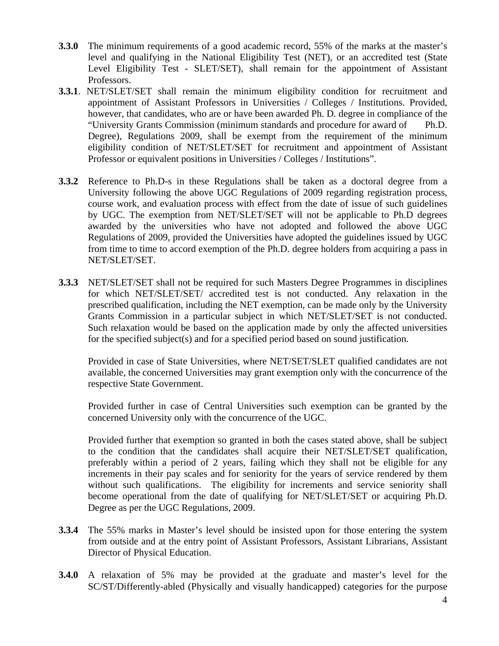- **3.3.0** The minimum requirements of a good academic record, 55% of the marks at the master's level and qualifying in the National Eligibility Test (NET), or an accredited test (State Level Eligibility Test - SLET/SET), shall remain for the appointment of Assistant Professors.
- **3.3.1**. NET/SLET/SET shall remain the minimum eligibility condition for recruitment and appointment of Assistant Professors in Universities / Colleges / Institutions. Provided, however, that candidates, who are or have been awarded Ph. D*.* degree in compliance of the "University Grants Commission (minimum standards and procedure for award of Ph.D. Degree), Regulations 2009, shall be exempt from the requirement of the minimum eligibility condition of NET/SLET/SET for recruitment and appointment of Assistant Professor or equivalent positions in Universities / Colleges / Institutions".
- **3.3.2** Reference to Ph.D-s in these Regulations shall be taken as a doctoral degree from a University following the above UGC Regulations of 2009 regarding registration process, course work, and evaluation process with effect from the date of issue of such guidelines by UGC. The exemption from NET/SLET/SET will not be applicable to Ph.D degrees awarded by the universities who have not adopted and followed the above UGC Regulations of 2009, provided the Universities have adopted the guidelines issued by UGC from time to time to accord exemption of the Ph.D. degree holders from acquiring a pass in NET/SLET/SET.
- **3.3.3** NET/SLET/SET shall not be required for such Masters Degree Programmes in disciplines for which NET/SLET/SET/ accredited test is not conducted. Any relaxation in the prescribed qualification, including the NET exemption, can be made only by the University Grants Commission in a particular subject in which NET/SLET/SET is not conducted. Such relaxation would be based on the application made by only the affected universities for the specified subject(s) and for a specified period based on sound justification.

Provided in case of State Universities, where NET/SET/SLET qualified candidates are not available, the concerned Universities may grant exemption only with the concurrence of the respective State Government.

 Provided further in case of Central Universities such exemption can be granted by the concerned University only with the concurrence of the UGC.

 Provided further that exemption so granted in both the cases stated above, shall be subject to the condition that the candidates shall acquire their NET/SLET/SET qualification, preferably within a period of 2 years, failing which they shall not be eligible for any increments in their pay scales and for seniority for the years of service rendered by them without such qualifications. The eligibility for increments and service seniority shall become operational from the date of qualifying for NET/SLET/SET or acquiring Ph.D. Degree as per the UGC Regulations, 2009.

- **3.3.4** The 55% marks in Master's level should be insisted upon for those entering the system from outside and at the entry point of Assistant Professors, Assistant Librarians, Assistant Director of Physical Education.
- **3.4.0** A relaxation of 5% may be provided at the graduate and master's level for the SC/ST/Differently-abled (Physically and visually handicapped) categories for the purpose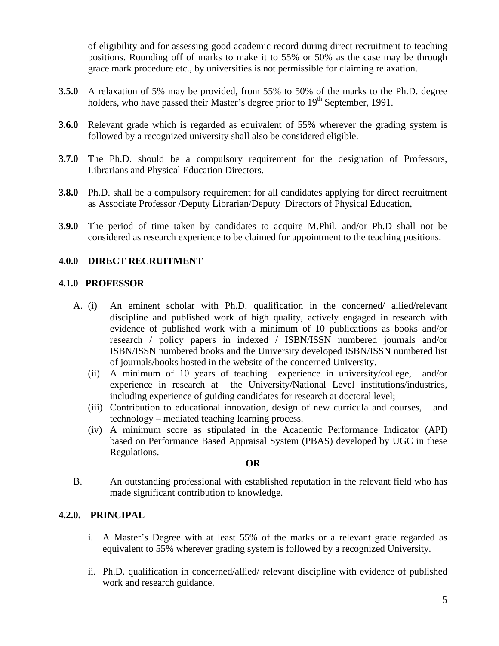of eligibility and for assessing good academic record during direct recruitment to teaching positions. Rounding off of marks to make it to 55% or 50% as the case may be through grace mark procedure etc., by universities is not permissible for claiming relaxation.

- **3.5.0** A relaxation of 5% may be provided, from 55% to 50% of the marks to the Ph.D. degree holders, who have passed their Master's degree prior to  $19<sup>th</sup>$  September, 1991.
- **3.6.0** Relevant grade which is regarded as equivalent of 55% wherever the grading system is followed by a recognized university shall also be considered eligible.
- **3.7.0** The Ph.D. should be a compulsory requirement for the designation of Professors, Librarians and Physical Education Directors.
- **3.8.0** Ph.D. shall be a compulsory requirement for all candidates applying for direct recruitment as Associate Professor /Deputy Librarian/Deputy Directors of Physical Education,
- **3.9.0** The period of time taken by candidates to acquire M.Phil. and/or Ph.D shall not be considered as research experience to be claimed for appointment to the teaching positions.

# **4.0.0 DIRECT RECRUITMENT**

### **4.1.0 PROFESSOR**

- A. (i) An eminent scholar with Ph.D. qualification in the concerned/ allied/relevant discipline and published work of high quality, actively engaged in research with evidence of published work with a minimum of 10 publications as books and/or research / policy papers in indexed / ISBN/ISSN numbered journals and/or ISBN/ISSN numbered books and the University developed ISBN/ISSN numbered list of journals/books hosted in the website of the concerned University.
	- (ii) A minimum of 10 years of teaching experience in university/college, and/or experience in research at the University/National Level institutions/industries, including experience of guiding candidates for research at doctoral level;
	- (iii) Contribution to educational innovation, design of new curricula and courses, and technology – mediated teaching learning process.
	- (iv) A minimum score as stipulated in the Academic Performance Indicator (API) based on Performance Based Appraisal System (PBAS) developed by UGC in these Regulations.

#### **OR**

B. An outstanding professional with established reputation in the relevant field who has made significant contribution to knowledge.

### **4.2.0. PRINCIPAL**

- i. A Master's Degree with at least 55% of the marks or a relevant grade regarded as equivalent to 55% wherever grading system is followed by a recognized University.
- ii. Ph.D. qualification in concerned/allied/ relevant discipline with evidence of published work and research guidance.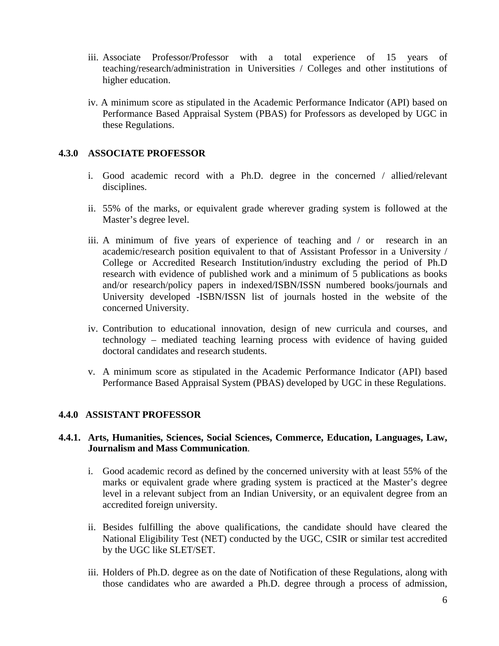- iii. Associate Professor/Professor with a total experience of 15 years of teaching/research/administration in Universities / Colleges and other institutions of higher education.
- iv. A minimum score as stipulated in the Academic Performance Indicator (API) based on Performance Based Appraisal System (PBAS) for Professors as developed by UGC in these Regulations.

# **4.3.0 ASSOCIATE PROFESSOR**

- i. Good academic record with a Ph.D. degree in the concerned / allied/relevant disciplines.
- ii. 55% of the marks, or equivalent grade wherever grading system is followed at the Master's degree level.
- iii. A minimum of five years of experience of teaching and / or research in an academic/research position equivalent to that of Assistant Professor in a University / College or Accredited Research Institution/industry excluding the period of Ph.D research with evidence of published work and a minimum of 5 publications as books and/or research/policy papers in indexed/ISBN/ISSN numbered books/journals and University developed -ISBN/ISSN list of journals hosted in the website of the concerned University.
- iv. Contribution to educational innovation, design of new curricula and courses, and technology – mediated teaching learning process with evidence of having guided doctoral candidates and research students.
- v. A minimum score as stipulated in the Academic Performance Indicator (API) based Performance Based Appraisal System (PBAS) developed by UGC in these Regulations.

### **4.4.0 ASSISTANT PROFESSOR**

### **4.4.1. Arts, Humanities, Sciences, Social Sciences, Commerce, Education, Languages, Law, Journalism and Mass Communication**.

- i. Good academic record as defined by the concerned university with at least 55% of the marks or equivalent grade where grading system is practiced at the Master's degree level in a relevant subject from an Indian University, or an equivalent degree from an accredited foreign university.
- ii. Besides fulfilling the above qualifications, the candidate should have cleared the National Eligibility Test (NET) conducted by the UGC, CSIR or similar test accredited by the UGC like SLET/SET.
- iii. Holders of Ph.D. degree as on the date of Notification of these Regulations, along with those candidates who are awarded a Ph.D. degree through a process of admission,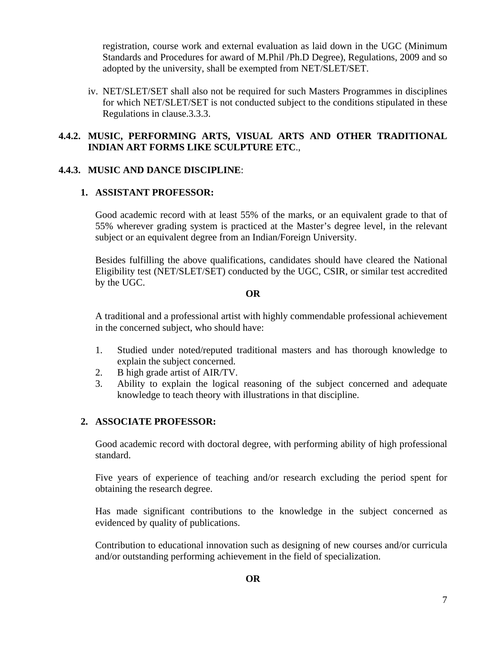registration, course work and external evaluation as laid down in the UGC (Minimum Standards and Procedures for award of M.Phil /Ph.D Degree), Regulations, 2009 and so adopted by the university, shall be exempted from NET/SLET/SET.

iv. NET/SLET/SET shall also not be required for such Masters Programmes in disciplines for which NET/SLET/SET is not conducted subject to the conditions stipulated in these Regulations in clause.3.3.3.

# **4.4.2. MUSIC, PERFORMING ARTS, VISUAL ARTS AND OTHER TRADITIONAL INDIAN ART FORMS LIKE SCULPTURE ETC**.,

# **4.4.3. MUSIC AND DANCE DISCIPLINE**:

# **1. ASSISTANT PROFESSOR:**

Good academic record with at least 55% of the marks, or an equivalent grade to that of 55% wherever grading system is practiced at the Master's degree level, in the relevant subject or an equivalent degree from an Indian/Foreign University.

Besides fulfilling the above qualifications, candidates should have cleared the National Eligibility test (NET/SLET/SET) conducted by the UGC, CSIR, or similar test accredited by the UGC.

# **OR**

A traditional and a professional artist with highly commendable professional achievement in the concerned subject, who should have:

- 1. Studied under noted/reputed traditional masters and has thorough knowledge to explain the subject concerned.
- 2. B high grade artist of AIR/TV.
- 3. Ability to explain the logical reasoning of the subject concerned and adequate knowledge to teach theory with illustrations in that discipline.

# **2. ASSOCIATE PROFESSOR:**

Good academic record with doctoral degree, with performing ability of high professional standard.

Five years of experience of teaching and/or research excluding the period spent for obtaining the research degree.

Has made significant contributions to the knowledge in the subject concerned as evidenced by quality of publications.

Contribution to educational innovation such as designing of new courses and/or curricula and/or outstanding performing achievement in the field of specialization.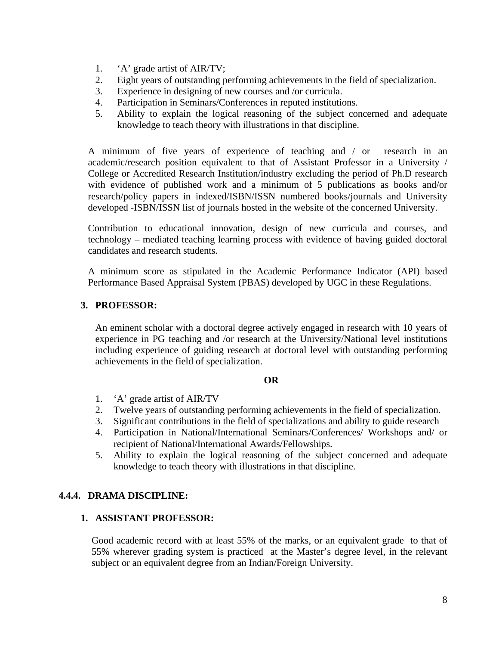- 1. 'A' grade artist of AIR/TV;
- 2. Eight years of outstanding performing achievements in the field of specialization.
- 3. Experience in designing of new courses and /or curricula.
- 4. Participation in Seminars/Conferences in reputed institutions.
- 5. Ability to explain the logical reasoning of the subject concerned and adequate knowledge to teach theory with illustrations in that discipline.

A minimum of five years of experience of teaching and / or research in an academic/research position equivalent to that of Assistant Professor in a University / College or Accredited Research Institution/industry excluding the period of Ph.D research with evidence of published work and a minimum of 5 publications as books and/or research/policy papers in indexed/ISBN/ISSN numbered books/journals and University developed -ISBN/ISSN list of journals hosted in the website of the concerned University.

Contribution to educational innovation, design of new curricula and courses, and technology – mediated teaching learning process with evidence of having guided doctoral candidates and research students.

A minimum score as stipulated in the Academic Performance Indicator (API) based Performance Based Appraisal System (PBAS) developed by UGC in these Regulations.

# **3. PROFESSOR:**

An eminent scholar with a doctoral degree actively engaged in research with 10 years of experience in PG teaching and /or research at the University/National level institutions including experience of guiding research at doctoral level with outstanding performing achievements in the field of specialization.

#### **OR**

- 1. 'A' grade artist of AIR/TV
- 2. Twelve years of outstanding performing achievements in the field of specialization.
- 3. Significant contributions in the field of specializations and ability to guide research
- 4. Participation in National/International Seminars/Conferences/ Workshops and/ or recipient of National/International Awards/Fellowships.
- 5. Ability to explain the logical reasoning of the subject concerned and adequate knowledge to teach theory with illustrations in that discipline.

### **4.4.4. DRAMA DISCIPLINE:**

### **1. ASSISTANT PROFESSOR:**

Good academic record with at least 55% of the marks, or an equivalent grade to that of 55% wherever grading system is practiced at the Master's degree level, in the relevant subject or an equivalent degree from an Indian/Foreign University.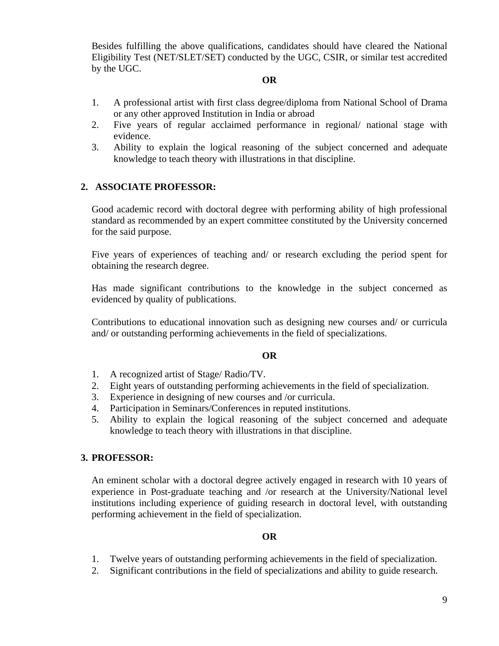Besides fulfilling the above qualifications, candidates should have cleared the National Eligibility Test (NET/SLET/SET) conducted by the UGC, CSIR, or similar test accredited by the UGC.

### **OR**

- 1. A professional artist with first class degree/diploma from National School of Drama or any other approved Institution in India or abroad
- 2. Five years of regular acclaimed performance in regional/ national stage with evidence.
- 3. Ability to explain the logical reasoning of the subject concerned and adequate knowledge to teach theory with illustrations in that discipline.

# **2. ASSOCIATE PROFESSOR:**

Good academic record with doctoral degree with performing ability of high professional standard as recommended by an expert committee constituted by the University concerned for the said purpose.

Five years of experiences of teaching and/ or research excluding the period spent for obtaining the research degree.

Has made significant contributions to the knowledge in the subject concerned as evidenced by quality of publications.

Contributions to educational innovation such as designing new courses and/ or curricula and/ or outstanding performing achievements in the field of specializations.

### **OR**

- 1. A recognized artist of Stage/ Radio/TV.
- 2. Eight years of outstanding performing achievements in the field of specialization.
- 3. Experience in designing of new courses and /or curricula.
- 4. Participation in Seminars/Conferences in reputed institutions.
- 5. Ability to explain the logical reasoning of the subject concerned and adequate knowledge to teach theory with illustrations in that discipline.

### **3. PROFESSOR:**

An eminent scholar with a doctoral degree actively engaged in research with 10 years of experience in Post-graduate teaching and /or research at the University/National level institutions including experience of guiding research in doctoral level, with outstanding performing achievement in the field of specialization.

### **OR**

- 1. Twelve years of outstanding performing achievements in the field of specialization.
- 2. Significant contributions in the field of specializations and ability to guide research.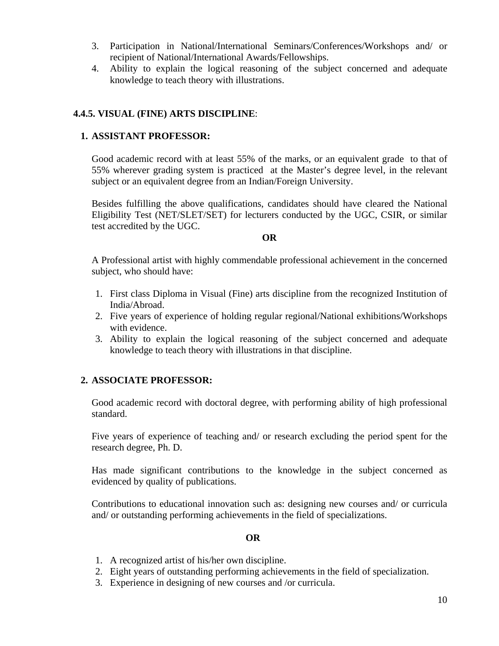- 3. Participation in National/International Seminars/Conferences/Workshops and/ or recipient of National/International Awards/Fellowships.
- 4. Ability to explain the logical reasoning of the subject concerned and adequate knowledge to teach theory with illustrations.

# **4.4.5. VISUAL (FINE) ARTS DISCIPLINE**:

# **1. ASSISTANT PROFESSOR:**

Good academic record with at least 55% of the marks, or an equivalent grade to that of 55% wherever grading system is practiced at the Master's degree level, in the relevant subject or an equivalent degree from an Indian/Foreign University.

Besides fulfilling the above qualifications, candidates should have cleared the National Eligibility Test (NET/SLET/SET) for lecturers conducted by the UGC, CSIR, or similar test accredited by the UGC.

### **OR**

A Professional artist with highly commendable professional achievement in the concerned subject, who should have:

- 1. First class Diploma in Visual (Fine) arts discipline from the recognized Institution of India/Abroad.
- 2. Five years of experience of holding regular regional/National exhibitions/Workshops with evidence.
- 3. Ability to explain the logical reasoning of the subject concerned and adequate knowledge to teach theory with illustrations in that discipline.

# **2. ASSOCIATE PROFESSOR:**

Good academic record with doctoral degree, with performing ability of high professional standard.

Five years of experience of teaching and/ or research excluding the period spent for the research degree, Ph. D.

Has made significant contributions to the knowledge in the subject concerned as evidenced by quality of publications.

Contributions to educational innovation such as: designing new courses and/ or curricula and/ or outstanding performing achievements in the field of specializations.

### **OR**

- 1. A recognized artist of his/her own discipline.
- 2. Eight years of outstanding performing achievements in the field of specialization.
- 3. Experience in designing of new courses and /or curricula.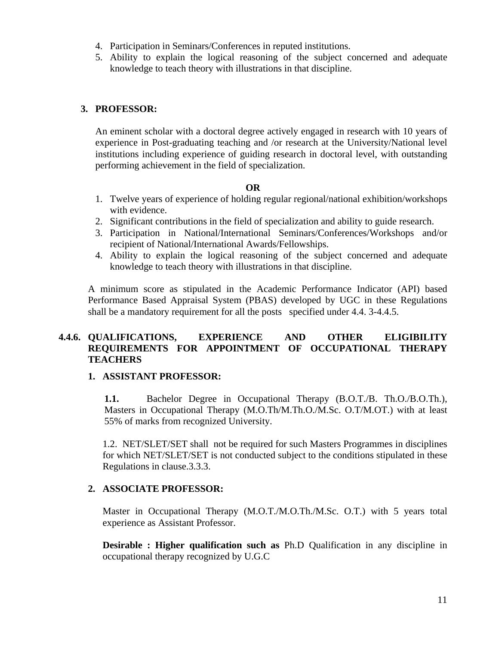- 4. Participation in Seminars/Conferences in reputed institutions.
- 5. Ability to explain the logical reasoning of the subject concerned and adequate knowledge to teach theory with illustrations in that discipline.

### **3. PROFESSOR:**

An eminent scholar with a doctoral degree actively engaged in research with 10 years of experience in Post-graduating teaching and /or research at the University/National level institutions including experience of guiding research in doctoral level, with outstanding performing achievement in the field of specialization.

### **OR**

- 1. Twelve years of experience of holding regular regional/national exhibition/workshops with evidence.
- 2. Significant contributions in the field of specialization and ability to guide research.
- 3. Participation in National/International Seminars/Conferences/Workshops and/or recipient of National/International Awards/Fellowships.
- 4. Ability to explain the logical reasoning of the subject concerned and adequate knowledge to teach theory with illustrations in that discipline.

A minimum score as stipulated in the Academic Performance Indicator (API) based Performance Based Appraisal System (PBAS) developed by UGC in these Regulations shall be a mandatory requirement for all the posts specified under 4.4. 3-4.4.5.

# **4.4.6. QUALIFICATIONS, EXPERIENCE AND OTHER ELIGIBILITY REQUIREMENTS FOR APPOINTMENT OF OCCUPATIONAL THERAPY TEACHERS**

### **1. ASSISTANT PROFESSOR:**

**1.1.** Bachelor Degree in Occupational Therapy (B.O.T./B. Th.O./B.O.Th.), Masters in Occupational Therapy (M.O.Th/M.Th.O./M.Sc. O.T/M.OT.) with at least 55% of marks from recognized University.

1.2. NET/SLET/SET shall not be required for such Masters Programmes in disciplines for which NET/SLET/SET is not conducted subject to the conditions stipulated in these Regulations in clause.3.3.3.

### **2. ASSOCIATE PROFESSOR:**

Master in Occupational Therapy (M.O.T./M.O.Th./M.Sc. O.T.) with 5 years total experience as Assistant Professor.

**Desirable : Higher qualification such as** Ph.D Qualification in any discipline in occupational therapy recognized by U.G.C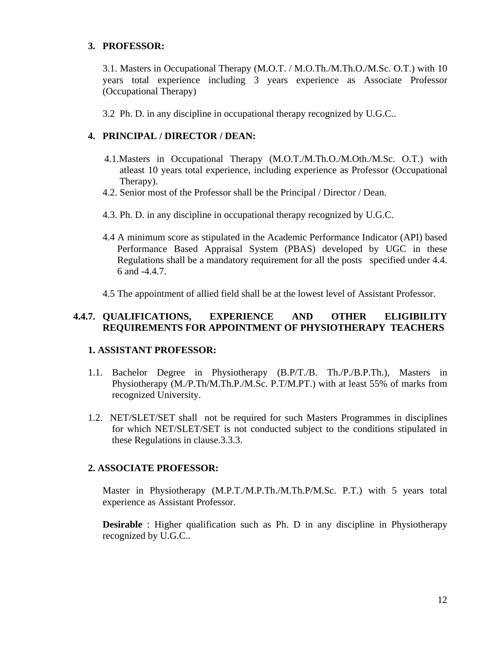### **3. PROFESSOR:**

3.1. Masters in Occupational Therapy (M.O.T. / M.O.Th./M.Th.O./M.Sc. O.T.) with 10 years total experience including 3 years experience as Associate Professor (Occupational Therapy)

3.2 Ph. D. in any discipline in occupational therapy recognized by U.G.C..

# **4. PRINCIPAL / DIRECTOR / DEAN:**

- 4.1.Masters in Occupational Therapy (M.O.T./M.Th.O./M.Oth./M.Sc. O.T.) with atleast 10 years total experience, including experience as Professor (Occupational Therapy).
- 4.2. Senior most of the Professor shall be the Principal / Director / Dean.
- 4.3. Ph. D. in any discipline in occupational therapy recognized by U.G.C.
- 4.4 A minimum score as stipulated in the Academic Performance Indicator (API) based Performance Based Appraisal System (PBAS) developed by UGC in these Regulations shall be a mandatory requirement for all the posts specified under 4.4. 6 and -4.4.7.
- 4.5 The appointment of allied field shall be at the lowest level of Assistant Professor.

# **4.4.7. QUALIFICATIONS, EXPERIENCE AND OTHER ELIGIBILITY REQUIREMENTS FOR APPOINTMENT OF PHYSIOTHERAPY TEACHERS**

### **1. ASSISTANT PROFESSOR:**

- 1.1. Bachelor Degree in Physiotherapy (B.P/T./B. Th./P./B.P.Th.), Masters in Physiotherapy (M./P.Th/M.Th.P./M.Sc. P.T/M.PT.) with at least 55% of marks from recognized University.
- 1.2. NET/SLET/SET shall not be required for such Masters Programmes in disciplines for which NET/SLET/SET is not conducted subject to the conditions stipulated in these Regulations in clause.3.3.3.

# **2. ASSOCIATE PROFESSOR:**

Master in Physiotherapy (M.P.T./M.P.Th./M.Th.P/M.Sc. P.T.) with 5 years total experience as Assistant Professor.

**Desirable** : Higher qualification such as Ph. D in any discipline in Physiotherapy recognized by U.G.C..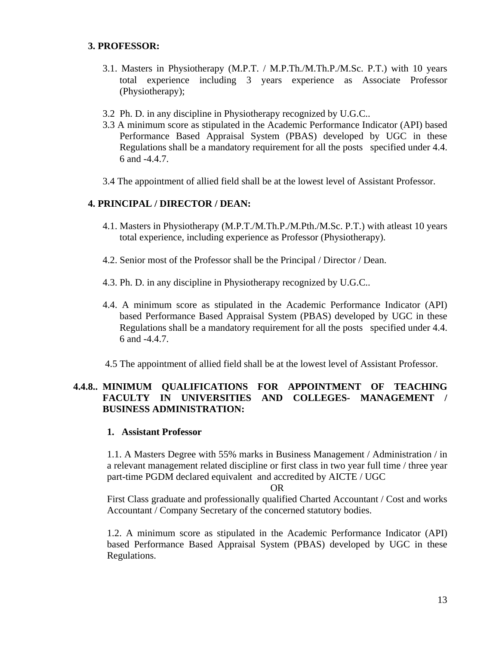### **3. PROFESSOR:**

- 3.1. Masters in Physiotherapy (M.P.T. / M.P.Th./M.Th.P./M.Sc. P.T.) with 10 years total experience including 3 years experience as Associate Professor (Physiotherapy);
- 3.2 Ph. D. in any discipline in Physiotherapy recognized by U.G.C..
- 3.3 A minimum score as stipulated in the Academic Performance Indicator (API) based Performance Based Appraisal System (PBAS) developed by UGC in these Regulations shall be a mandatory requirement for all the posts specified under 4.4. 6 and -4.4.7.
- 3.4 The appointment of allied field shall be at the lowest level of Assistant Professor.

### **4. PRINCIPAL / DIRECTOR / DEAN:**

- 4.1. Masters in Physiotherapy (M.P.T./M.Th.P./M.Pth./M.Sc. P.T.) with atleast 10 years total experience, including experience as Professor (Physiotherapy).
- 4.2. Senior most of the Professor shall be the Principal / Director / Dean.
- 4.3. Ph. D. in any discipline in Physiotherapy recognized by U.G.C..
- 4.4. A minimum score as stipulated in the Academic Performance Indicator (API) based Performance Based Appraisal System (PBAS) developed by UGC in these Regulations shall be a mandatory requirement for all the posts specified under 4.4. 6 and -4.4.7.
- 4.5 The appointment of allied field shall be at the lowest level of Assistant Professor.

# **4.4.8.. MINIMUM QUALIFICATIONS FOR APPOINTMENT OF TEACHING FACULTY IN UNIVERSITIES AND COLLEGES- MANAGEMENT / BUSINESS ADMINISTRATION:**

### **1. Assistant Professor**

1.1. A Masters Degree with 55% marks in Business Management / Administration / in a relevant management related discipline or first class in two year full time / three year part-time PGDM declared equivalent and accredited by AICTE / UGC

#### OR

First Class graduate and professionally qualified Charted Accountant / Cost and works Accountant / Company Secretary of the concerned statutory bodies.

1.2. A minimum score as stipulated in the Academic Performance Indicator (API) based Performance Based Appraisal System (PBAS) developed by UGC in these Regulations.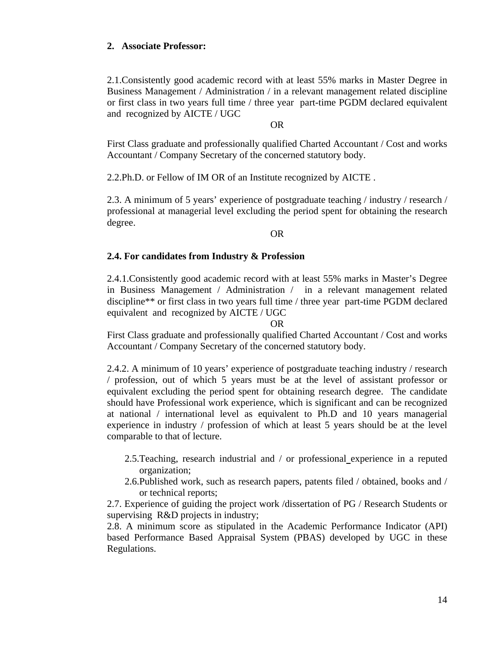# **2. Associate Professor:**

2.1.Consistently good academic record with at least 55% marks in Master Degree in Business Management / Administration / in a relevant management related discipline or first class in two years full time / three year part-time PGDM declared equivalent and recognized by AICTE / UGC

### OR

First Class graduate and professionally qualified Charted Accountant / Cost and works Accountant / Company Secretary of the concerned statutory body.

2.2.Ph.D. or Fellow of IM OR of an Institute recognized by AICTE .

2.3. A minimum of 5 years' experience of postgraduate teaching / industry / research / professional at managerial level excluding the period spent for obtaining the research degree.

#### OR

# **2.4. For candidates from Industry & Profession**

2.4.1.Consistently good academic record with at least 55% marks in Master's Degree in Business Management / Administration / in a relevant management related discipline\*\* or first class in two years full time / three year part-time PGDM declared equivalent and recognized by AICTE / UGC

#### OR

First Class graduate and professionally qualified Charted Accountant / Cost and works Accountant / Company Secretary of the concerned statutory body.

2.4.2. A minimum of 10 years' experience of postgraduate teaching industry / research / profession, out of which 5 years must be at the level of assistant professor or equivalent excluding the period spent for obtaining research degree. The candidate should have Professional work experience, which is significant and can be recognized at national / international level as equivalent to Ph.D and 10 years managerial experience in industry / profession of which at least 5 years should be at the level comparable to that of lecture.

- 2.5.Teaching, research industrial and / or professional experience in a reputed organization;
- 2.6.Published work, such as research papers, patents filed / obtained, books and / or technical reports;

2.7. Experience of guiding the project work /dissertation of PG / Research Students or supervising R&D projects in industry;

2.8. A minimum score as stipulated in the Academic Performance Indicator (API) based Performance Based Appraisal System (PBAS) developed by UGC in these Regulations.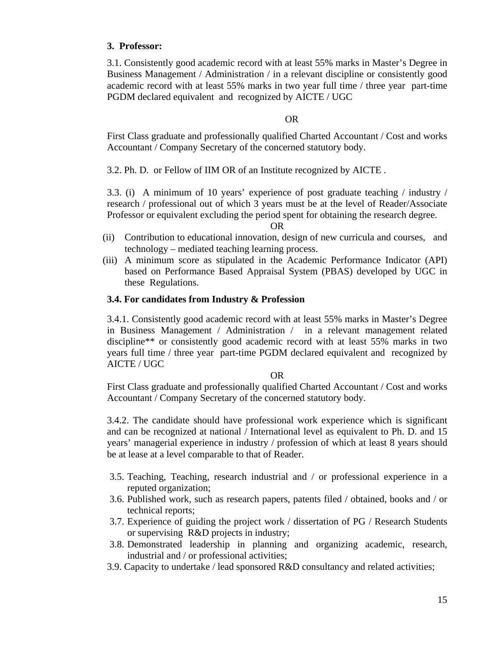# **3. Professor:**

3.1. Consistently good academic record with at least 55% marks in Master's Degree in Business Management / Administration / in a relevant discipline or consistently good academic record with at least 55% marks in two year full time / three year part-time PGDM declared equivalent and recognized by AICTE / UGC

# OR

First Class graduate and professionally qualified Charted Accountant / Cost and works Accountant / Company Secretary of the concerned statutory body.

3.2. Ph. D. or Fellow of IIM OR of an Institute recognized by AICTE .

3.3. (i) A minimum of 10 years' experience of post graduate teaching / industry / research / professional out of which 3 years must be at the level of Reader/Associate Professor or equivalent excluding the period spent for obtaining the research degree.

#### OR

- (ii) Contribution to educational innovation, design of new curricula and courses, and technology – mediated teaching learning process.
- (iii) A minimum score as stipulated in the Academic Performance Indicator (API) based on Performance Based Appraisal System (PBAS) developed by UGC in these Regulations.

### **3.4. For candidates from Industry & Profession**

3.4.1. Consistently good academic record with at least 55% marks in Master's Degree in Business Management / Administration / in a relevant management related discipline\*\* or consistently good academic record with at least 55% marks in two years full time / three year part-time PGDM declared equivalent and recognized by AICTE / UGC

#### OR

First Class graduate and professionally qualified Charted Accountant / Cost and works Accountant / Company Secretary of the concerned statutory body.

3.4.2. The candidate should have professional work experience which is significant and can be recognized at national / International level as equivalent to Ph. D. and 15 years' managerial experience in industry / profession of which at least 8 years should be at lease at a level comparable to that of Reader.

- 3.5. Teaching, Teaching, research industrial and / or professional experience in a reputed organization;
- 3.6. Published work, such as research papers, patents filed / obtained, books and / or technical reports;
- 3.7. Experience of guiding the project work / dissertation of PG / Research Students or supervising R&D projects in industry;
- 3.8. Demonstrated leadership in planning and organizing academic, research, industrial and / or professional activities;
- 3.9. Capacity to undertake / lead sponsored R&D consultancy and related activities;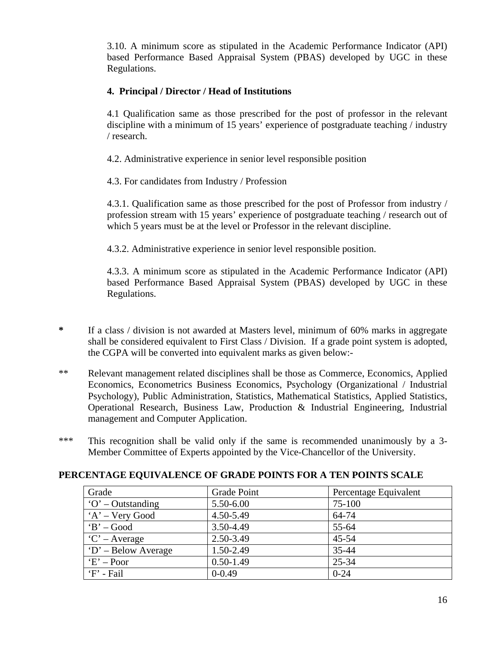3.10. A minimum score as stipulated in the Academic Performance Indicator (API) based Performance Based Appraisal System (PBAS) developed by UGC in these Regulations.

# **4. Principal / Director / Head of Institutions**

4.1 Qualification same as those prescribed for the post of professor in the relevant discipline with a minimum of 15 years' experience of postgraduate teaching / industry / research.

- 4.2. Administrative experience in senior level responsible position
- 4.3. For candidates from Industry / Profession

4.3.1. Qualification same as those prescribed for the post of Professor from industry / profession stream with 15 years' experience of postgraduate teaching / research out of which 5 years must be at the level or Professor in the relevant discipline.

4.3.2. Administrative experience in senior level responsible position.

4.3.3. A minimum score as stipulated in the Academic Performance Indicator (API) based Performance Based Appraisal System (PBAS) developed by UGC in these Regulations.

- **\*** If a class / division is not awarded at Masters level, minimum of 60% marks in aggregate shall be considered equivalent to First Class / Division. If a grade point system is adopted, the CGPA will be converted into equivalent marks as given below:-
- \*\* Relevant management related disciplines shall be those as Commerce, Economics, Applied Economics, Econometrics Business Economics, Psychology (Organizational / Industrial Psychology), Public Administration, Statistics, Mathematical Statistics, Applied Statistics, Operational Research, Business Law, Production & Industrial Engineering, Industrial management and Computer Application.
- \*\*\* This recognition shall be valid only if the same is recommended unanimously by a 3-Member Committee of Experts appointed by the Vice-Chancellor of the University.

| Grade                       | Grade Point   | Percentage Equivalent |  |
|-----------------------------|---------------|-----------------------|--|
| $\mathbf{O}'$ – Outstanding | 5.50-6.00     | 75-100                |  |
| $A'$ – Very Good            | 4.50-5.49     | 64-74                 |  |
| $B' - Good$                 | 3.50-4.49     | 55-64                 |  |
| $C'$ – Average              | 2.50-3.49     | $45 - 54$             |  |
| $D'$ – Below Average        | 1.50-2.49     | 35-44                 |  |
| $E' - Poor$                 | $0.50 - 1.49$ | 25-34                 |  |
| 'F' - Fail                  | $0 - 0.49$    | $0 - 24$              |  |

### **PERCENTAGE EQUIVALENCE OF GRADE POINTS FOR A TEN POINTS SCALE**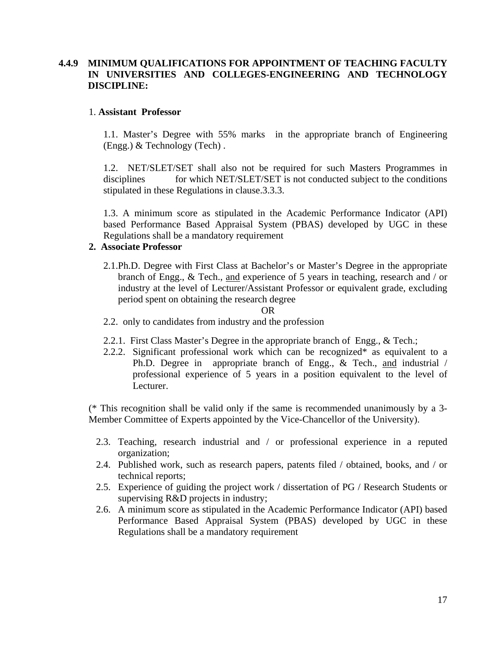# **4.4.9 MINIMUM QUALIFICATIONS FOR APPOINTMENT OF TEACHING FACULTY IN UNIVERSITIES AND COLLEGES-ENGINEERING AND TECHNOLOGY DISCIPLINE:**

### 1. **Assistant Professor**

1.1. Master's Degree with 55% marks in the appropriate branch of Engineering (Engg.) & Technology (Tech) .

1.2. NET/SLET/SET shall also not be required for such Masters Programmes in disciplines for which NET/SLET/SET is not conducted subject to the conditions stipulated in these Regulations in clause.3.3.3.

1.3. A minimum score as stipulated in the Academic Performance Indicator (API) based Performance Based Appraisal System (PBAS) developed by UGC in these Regulations shall be a mandatory requirement

# **2. Associate Professor**

2.1.Ph.D. Degree with First Class at Bachelor's or Master's Degree in the appropriate branch of Engg., & Tech., and experience of 5 years in teaching, research and / or industry at the level of Lecturer/Assistant Professor or equivalent grade, excluding period spent on obtaining the research degree

#### OR

- 2.2. only to candidates from industry and the profession
- 2.2.1. First Class Master's Degree in the appropriate branch of Engg., & Tech.;
- 2.2.2. Significant professional work which can be recognized\* as equivalent to a Ph.D. Degree in appropriate branch of Engg., & Tech., and industrial / professional experience of 5 years in a position equivalent to the level of Lecturer.

(\* This recognition shall be valid only if the same is recommended unanimously by a 3- Member Committee of Experts appointed by the Vice-Chancellor of the University).

- 2.3. Teaching, research industrial and / or professional experience in a reputed organization;
- 2.4. Published work, such as research papers, patents filed / obtained, books, and / or technical reports;
- 2.5. Experience of guiding the project work / dissertation of PG / Research Students or supervising R&D projects in industry;
- 2.6. A minimum score as stipulated in the Academic Performance Indicator (API) based Performance Based Appraisal System (PBAS) developed by UGC in these Regulations shall be a mandatory requirement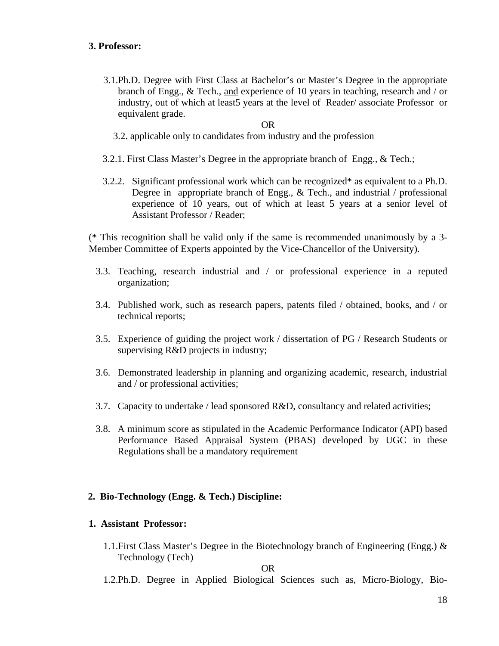### **3. Professor:**

3.1.Ph.D. Degree with First Class at Bachelor's or Master's Degree in the appropriate branch of Engg., & Tech., and experience of 10 years in teaching, research and / or industry, out of which at least5 years at the level of Reader/ associate Professor or equivalent grade.

#### OR

- 3.2. applicable only to candidates from industry and the profession
- 3.2.1. First Class Master's Degree in the appropriate branch of Engg., & Tech.;
- 3.2.2. Significant professional work which can be recognized\* as equivalent to a Ph.D. Degree in appropriate branch of Engg., & Tech., and industrial / professional experience of 10 years, out of which at least 5 years at a senior level of Assistant Professor / Reader;

(\* This recognition shall be valid only if the same is recommended unanimously by a 3- Member Committee of Experts appointed by the Vice-Chancellor of the University).

- 3.3. Teaching, research industrial and / or professional experience in a reputed organization;
- 3.4. Published work, such as research papers, patents filed / obtained, books, and / or technical reports;
- 3.5. Experience of guiding the project work / dissertation of PG / Research Students or supervising R&D projects in industry;
- 3.6. Demonstrated leadership in planning and organizing academic, research, industrial and / or professional activities;
- 3.7. Capacity to undertake / lead sponsored R&D, consultancy and related activities;
- 3.8. A minimum score as stipulated in the Academic Performance Indicator (API) based Performance Based Appraisal System (PBAS) developed by UGC in these Regulations shall be a mandatory requirement

#### **2. Bio-Technology (Engg. & Tech.) Discipline:**

#### **1. Assistant Professor:**

1.1.First Class Master's Degree in the Biotechnology branch of Engineering (Engg.) & Technology (Tech)

OR

1.2.Ph.D. Degree in Applied Biological Sciences such as, Micro-Biology, Bio-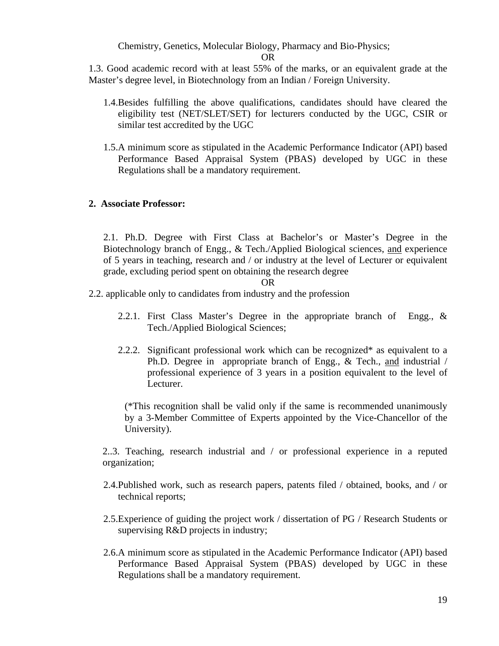Chemistry, Genetics, Molecular Biology, Pharmacy and Bio-Physics;

OR

1.3. Good academic record with at least 55% of the marks, or an equivalent grade at the Master's degree level, in Biotechnology from an Indian / Foreign University.

- 1.4.Besides fulfilling the above qualifications, candidates should have cleared the eligibility test (NET/SLET/SET) for lecturers conducted by the UGC, CSIR or similar test accredited by the UGC
- 1.5.A minimum score as stipulated in the Academic Performance Indicator (API) based Performance Based Appraisal System (PBAS) developed by UGC in these Regulations shall be a mandatory requirement.

# **2. Associate Professor:**

2.1. Ph.D. Degree with First Class at Bachelor's or Master's Degree in the Biotechnology branch of Engg., & Tech./Applied Biological sciences, and experience of 5 years in teaching, research and / or industry at the level of Lecturer or equivalent grade, excluding period spent on obtaining the research degree

#### OR

2.2. applicable only to candidates from industry and the profession

- 2.2.1. First Class Master's Degree in the appropriate branch of Engg., & Tech./Applied Biological Sciences;
- 2.2.2. Significant professional work which can be recognized\* as equivalent to a Ph.D. Degree in appropriate branch of Engg., & Tech., and industrial / professional experience of 3 years in a position equivalent to the level of Lecturer.

 (\*This recognition shall be valid only if the same is recommended unanimously by a 3-Member Committee of Experts appointed by the Vice-Chancellor of the University).

2..3. Teaching, research industrial and / or professional experience in a reputed organization;

- 2.4.Published work, such as research papers, patents filed / obtained, books, and / or technical reports;
- 2.5.Experience of guiding the project work / dissertation of PG / Research Students or supervising R&D projects in industry;
- 2.6.A minimum score as stipulated in the Academic Performance Indicator (API) based Performance Based Appraisal System (PBAS) developed by UGC in these Regulations shall be a mandatory requirement.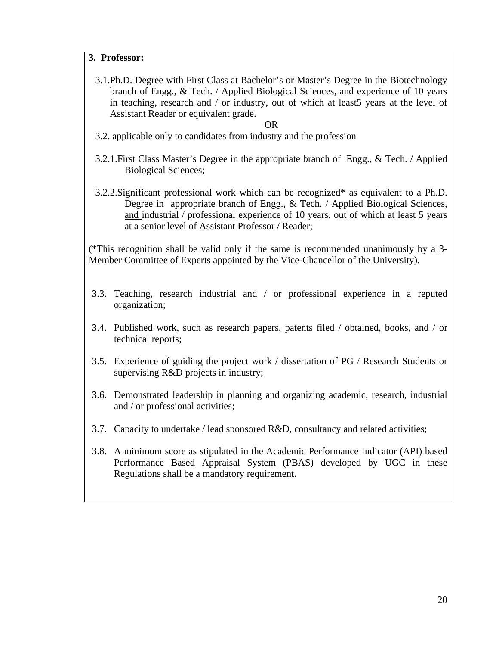# **3. Professor:**

- 3.1.Ph.D. Degree with First Class at Bachelor's or Master's Degree in the Biotechnology branch of Engg., & Tech. / Applied Biological Sciences, and experience of 10 years in teaching, research and / or industry, out of which at least5 years at the level of Assistant Reader or equivalent grade.
	- OR
- 3.2. applicable only to candidates from industry and the profession
- 3.2.1.First Class Master's Degree in the appropriate branch of Engg., & Tech. / Applied Biological Sciences;
- 3.2.2.Significant professional work which can be recognized\* as equivalent to a Ph.D. Degree in appropriate branch of Engg., & Tech. / Applied Biological Sciences, and industrial / professional experience of 10 years, out of which at least 5 years at a senior level of Assistant Professor / Reader;

(\*This recognition shall be valid only if the same is recommended unanimously by a 3- Member Committee of Experts appointed by the Vice-Chancellor of the University).

- 3.3. Teaching, research industrial and / or professional experience in a reputed organization;
- 3.4. Published work, such as research papers, patents filed / obtained, books, and / or technical reports;
- 3.5. Experience of guiding the project work / dissertation of PG / Research Students or supervising R&D projects in industry;
- 3.6. Demonstrated leadership in planning and organizing academic, research, industrial and / or professional activities;
- 3.7. Capacity to undertake / lead sponsored R&D, consultancy and related activities;
- 3.8. A minimum score as stipulated in the Academic Performance Indicator (API) based Performance Based Appraisal System (PBAS) developed by UGC in these Regulations shall be a mandatory requirement.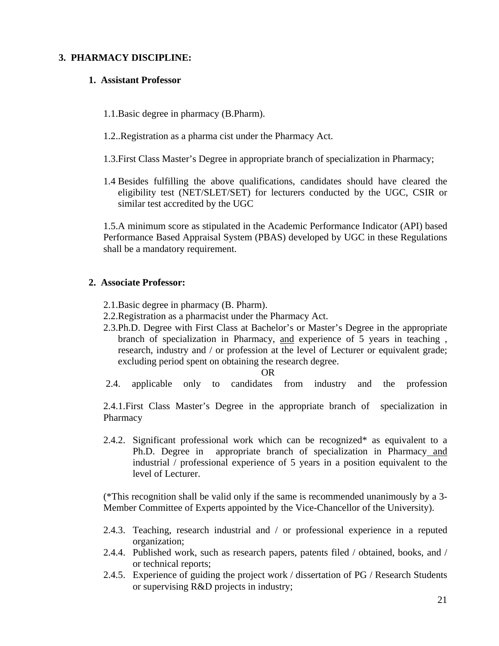# **3. PHARMACY DISCIPLINE:**

# **1. Assistant Professor**

- 1.1.Basic degree in pharmacy (B.Pharm).
- 1.2..Registration as a pharma cist under the Pharmacy Act.
- 1.3.First Class Master's Degree in appropriate branch of specialization in Pharmacy;
- 1.4 Besides fulfilling the above qualifications, candidates should have cleared the eligibility test (NET/SLET/SET) for lecturers conducted by the UGC, CSIR or similar test accredited by the UGC

1.5.A minimum score as stipulated in the Academic Performance Indicator (API) based Performance Based Appraisal System (PBAS) developed by UGC in these Regulations shall be a mandatory requirement.

# **2. Associate Professor:**

- 2.1.Basic degree in pharmacy (B. Pharm).
- 2.2.Registration as a pharmacist under the Pharmacy Act.
- 2.3.Ph.D. Degree with First Class at Bachelor's or Master's Degree in the appropriate branch of specialization in Pharmacy, and experience of 5 years in teaching , research, industry and / or profession at the level of Lecturer or equivalent grade; excluding period spent on obtaining the research degree.

OR

2.4. applicable only to candidates from industry and the profession

2.4.1.First Class Master's Degree in the appropriate branch of specialization in Pharmacy

2.4.2. Significant professional work which can be recognized\* as equivalent to a Ph.D. Degree in appropriate branch of specialization in Pharmacy and industrial / professional experience of 5 years in a position equivalent to the level of Lecturer.

(\*This recognition shall be valid only if the same is recommended unanimously by a 3- Member Committee of Experts appointed by the Vice-Chancellor of the University).

- 2.4.3. Teaching, research industrial and / or professional experience in a reputed organization;
- 2.4.4. Published work, such as research papers, patents filed / obtained, books, and / or technical reports;
- 2.4.5. Experience of guiding the project work / dissertation of PG / Research Students or supervising R&D projects in industry;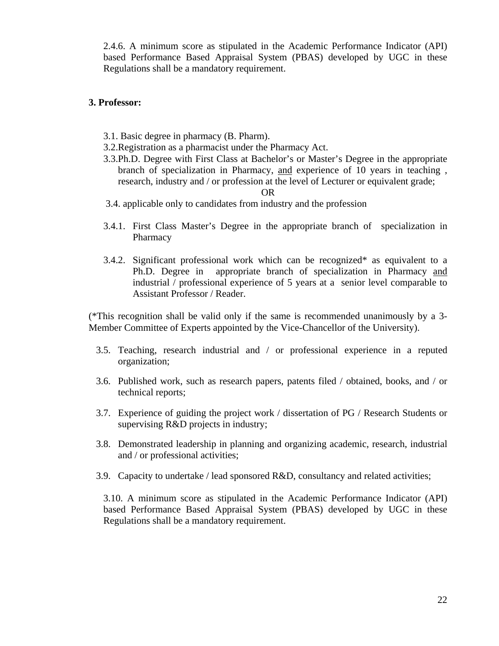2.4.6. A minimum score as stipulated in the Academic Performance Indicator (API) based Performance Based Appraisal System (PBAS) developed by UGC in these Regulations shall be a mandatory requirement.

### **3. Professor:**

3.1. Basic degree in pharmacy (B. Pharm).

3.2.Registration as a pharmacist under the Pharmacy Act.

3.3.Ph.D. Degree with First Class at Bachelor's or Master's Degree in the appropriate branch of specialization in Pharmacy, and experience of 10 years in teaching , research, industry and / or profession at the level of Lecturer or equivalent grade;

#### OR

- 3.4. applicable only to candidates from industry and the profession
- 3.4.1. First Class Master's Degree in the appropriate branch of specialization in Pharmacy
- 3.4.2. Significant professional work which can be recognized\* as equivalent to a Ph.D. Degree in appropriate branch of specialization in Pharmacy and industrial / professional experience of 5 years at a senior level comparable to Assistant Professor / Reader.

(\*This recognition shall be valid only if the same is recommended unanimously by a 3- Member Committee of Experts appointed by the Vice-Chancellor of the University).

- 3.5. Teaching, research industrial and / or professional experience in a reputed organization;
- 3.6. Published work, such as research papers, patents filed / obtained, books, and / or technical reports;
- 3.7. Experience of guiding the project work / dissertation of PG / Research Students or supervising R&D projects in industry;
- 3.8. Demonstrated leadership in planning and organizing academic, research, industrial and / or professional activities;
- 3.9. Capacity to undertake / lead sponsored R&D, consultancy and related activities;

3.10. A minimum score as stipulated in the Academic Performance Indicator (API) based Performance Based Appraisal System (PBAS) developed by UGC in these Regulations shall be a mandatory requirement.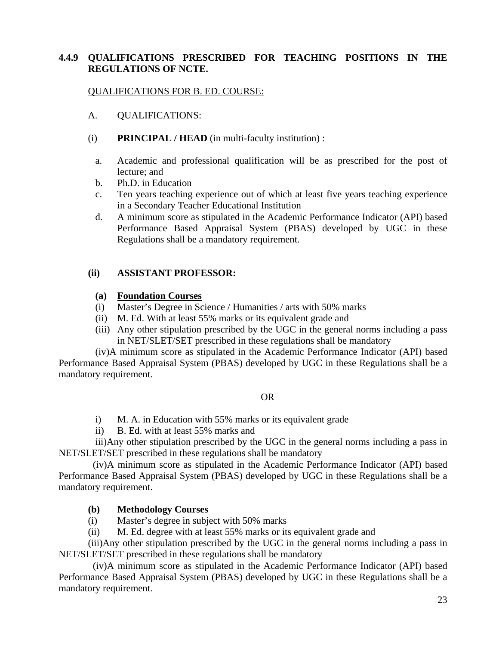# **4.4.9 QUALIFICATIONS PRESCRIBED FOR TEACHING POSITIONS IN THE REGULATIONS OF NCTE.**

### QUALIFICATIONS FOR B. ED. COURSE:

- A. QUALIFICATIONS:
- (i) **PRINCIPAL / HEAD** (in multi-faculty institution) :
	- a. Academic and professional qualification will be as prescribed for the post of lecture; and
	- b. Ph.D. in Education
	- c. Ten years teaching experience out of which at least five years teaching experience in a Secondary Teacher Educational Institution
	- d. A minimum score as stipulated in the Academic Performance Indicator (API) based Performance Based Appraisal System (PBAS) developed by UGC in these Regulations shall be a mandatory requirement.

# **(ii) ASSISTANT PROFESSOR:**

### **(a) Foundation Courses**

- (i) Master's Degree in Science / Humanities / arts with 50% marks
- (ii) M. Ed. With at least 55% marks or its equivalent grade and
- (iii) Any other stipulation prescribed by the UGC in the general norms including a pass in NET/SLET/SET prescribed in these regulations shall be mandatory

 (iv)A minimum score as stipulated in the Academic Performance Indicator (API) based Performance Based Appraisal System (PBAS) developed by UGC in these Regulations shall be a mandatory requirement.

### OR

- i) M. A. in Education with 55% marks or its equivalent grade
- ii) B. Ed. with at least 55% marks and

 iii)Any other stipulation prescribed by the UGC in the general norms including a pass in NET/SLET/SET prescribed in these regulations shall be mandatory

 (iv)A minimum score as stipulated in the Academic Performance Indicator (API) based Performance Based Appraisal System (PBAS) developed by UGC in these Regulations shall be a mandatory requirement.

### **(b) Methodology Courses**

- (i) Master's degree in subject with 50% marks
- (ii) M. Ed. degree with at least 55% marks or its equivalent grade and

 (iii)Any other stipulation prescribed by the UGC in the general norms including a pass in NET/SLET/SET prescribed in these regulations shall be mandatory

 (iv)A minimum score as stipulated in the Academic Performance Indicator (API) based Performance Based Appraisal System (PBAS) developed by UGC in these Regulations shall be a mandatory requirement.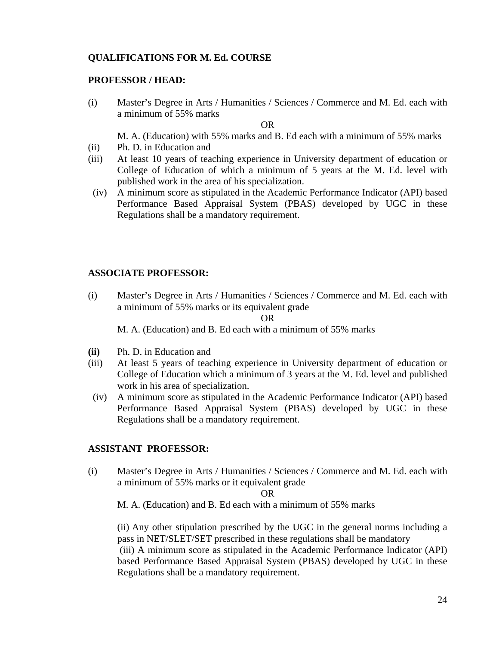# **QUALIFICATIONS FOR M. Ed. COURSE**

# **PROFESSOR / HEAD:**

(i) Master's Degree in Arts / Humanities / Sciences / Commerce and M. Ed. each with a minimum of 55% marks

OR

M. A. (Education) with 55% marks and B. Ed each with a minimum of 55% marks

- (ii) Ph. D. in Education and
- (iii) At least 10 years of teaching experience in University department of education or College of Education of which a minimum of 5 years at the M. Ed. level with published work in the area of his specialization.
- (iv) A minimum score as stipulated in the Academic Performance Indicator (API) based Performance Based Appraisal System (PBAS) developed by UGC in these Regulations shall be a mandatory requirement.

# **ASSOCIATE PROFESSOR:**

(i) Master's Degree in Arts / Humanities / Sciences / Commerce and M. Ed. each with a minimum of 55% marks or its equivalent grade

OR

M. A. (Education) and B. Ed each with a minimum of 55% marks

- **(ii)** Ph. D. in Education and
- (iii) At least 5 years of teaching experience in University department of education or College of Education which a minimum of 3 years at the M. Ed. level and published work in his area of specialization.
- (iv) A minimum score as stipulated in the Academic Performance Indicator (API) based Performance Based Appraisal System (PBAS) developed by UGC in these Regulations shall be a mandatory requirement.

### **ASSISTANT PROFESSOR:**

(i) Master's Degree in Arts / Humanities / Sciences / Commerce and M. Ed. each with a minimum of 55% marks or it equivalent grade

### OR

M. A. (Education) and B. Ed each with a minimum of 55% marks

(ii) Any other stipulation prescribed by the UGC in the general norms including a pass in NET/SLET/SET prescribed in these regulations shall be mandatory (iii) A minimum score as stipulated in the Academic Performance Indicator (API) based Performance Based Appraisal System (PBAS) developed by UGC in these Regulations shall be a mandatory requirement.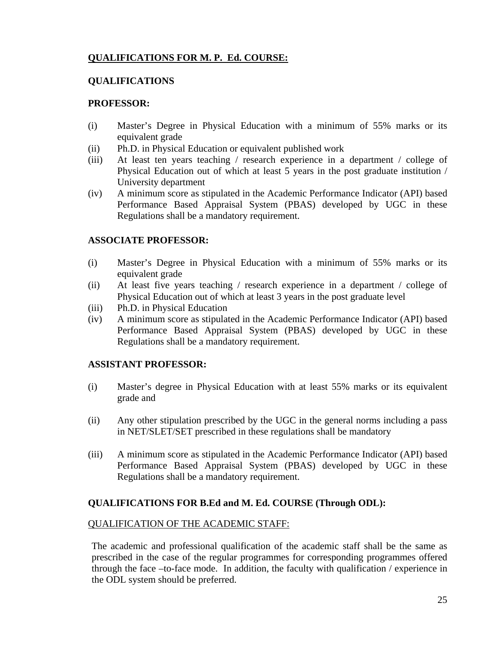# **QUALIFICATIONS FOR M. P. Ed. COURSE:**

# **QUALIFICATIONS**

# **PROFESSOR:**

- (i) Master's Degree in Physical Education with a minimum of 55% marks or its equivalent grade
- (ii) Ph.D. in Physical Education or equivalent published work
- (iii) At least ten years teaching / research experience in a department / college of Physical Education out of which at least 5 years in the post graduate institution / University department
- (iv) A minimum score as stipulated in the Academic Performance Indicator (API) based Performance Based Appraisal System (PBAS) developed by UGC in these Regulations shall be a mandatory requirement.

# **ASSOCIATE PROFESSOR:**

- (i) Master's Degree in Physical Education with a minimum of 55% marks or its equivalent grade
- (ii) At least five years teaching / research experience in a department / college of Physical Education out of which at least 3 years in the post graduate level
- (iii) Ph.D. in Physical Education
- (iv) A minimum score as stipulated in the Academic Performance Indicator (API) based Performance Based Appraisal System (PBAS) developed by UGC in these Regulations shall be a mandatory requirement.

### **ASSISTANT PROFESSOR:**

- (i) Master's degree in Physical Education with at least 55% marks or its equivalent grade and
- (ii) Any other stipulation prescribed by the UGC in the general norms including a pass in NET/SLET/SET prescribed in these regulations shall be mandatory
- (iii) A minimum score as stipulated in the Academic Performance Indicator (API) based Performance Based Appraisal System (PBAS) developed by UGC in these Regulations shall be a mandatory requirement.

# **QUALIFICATIONS FOR B.Ed and M. Ed. COURSE (Through ODL):**

### QUALIFICATION OF THE ACADEMIC STAFF:

 The academic and professional qualification of the academic staff shall be the same as prescribed in the case of the regular programmes for corresponding programmes offered through the face –to-face mode. In addition, the faculty with qualification / experience in the ODL system should be preferred.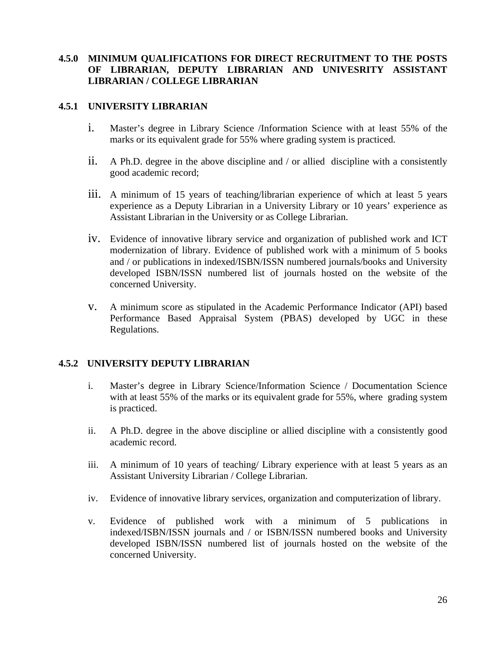# **4.5.0 MINIMUM QUALIFICATIONS FOR DIRECT RECRUITMENT TO THE POSTS OF LIBRARIAN, DEPUTY LIBRARIAN AND UNIVESRITY ASSISTANT LIBRARIAN / COLLEGE LIBRARIAN**

# **4.5.1 UNIVERSITY LIBRARIAN**

- i. Master's degree in Library Science /Information Science with at least 55% of the marks or its equivalent grade for 55% where grading system is practiced.
- ii. A Ph.D. degree in the above discipline and / or allied discipline with a consistently good academic record;
- iii. A minimum of 15 years of teaching/librarian experience of which at least 5 years experience as a Deputy Librarian in a University Library or 10 years' experience as Assistant Librarian in the University or as College Librarian.
- iv. Evidence of innovative library service and organization of published work and ICT modernization of library. Evidence of published work with a minimum of 5 books and / or publications in indexed/ISBN/ISSN numbered journals/books and University developed ISBN/ISSN numbered list of journals hosted on the website of the concerned University.
- v. A minimum score as stipulated in the Academic Performance Indicator (API) based Performance Based Appraisal System (PBAS) developed by UGC in these Regulations.

# **4.5.2 UNIVERSITY DEPUTY LIBRARIAN**

- i. Master's degree in Library Science/Information Science / Documentation Science with at least 55% of the marks or its equivalent grade for 55%, where grading system is practiced.
- ii. A Ph.D. degree in the above discipline or allied discipline with a consistently good academic record.
- iii. A minimum of 10 years of teaching/ Library experience with at least 5 years as an Assistant University Librarian / College Librarian.
- iv. Evidence of innovative library services, organization and computerization of library.
- v. Evidence of published work with a minimum of 5 publications in indexed/ISBN/ISSN journals and / or ISBN/ISSN numbered books and University developed ISBN/ISSN numbered list of journals hosted on the website of the concerned University.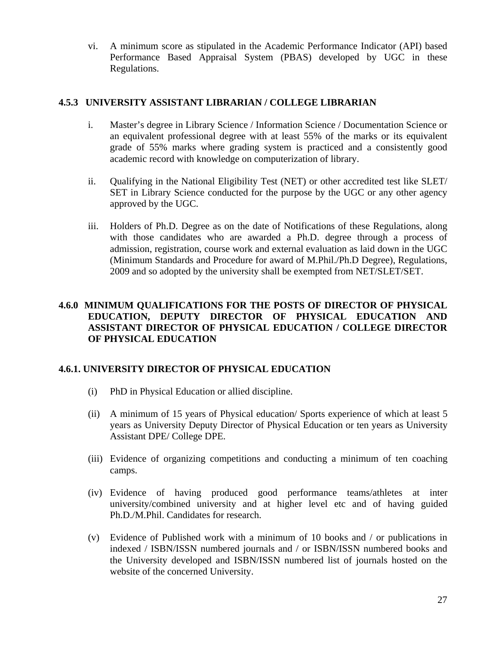vi. A minimum score as stipulated in the Academic Performance Indicator (API) based Performance Based Appraisal System (PBAS) developed by UGC in these Regulations.

# **4.5.3 UNIVERSITY ASSISTANT LIBRARIAN / COLLEGE LIBRARIAN**

- i. Master's degree in Library Science / Information Science / Documentation Science or an equivalent professional degree with at least 55% of the marks or its equivalent grade of 55% marks where grading system is practiced and a consistently good academic record with knowledge on computerization of library.
- ii. Qualifying in the National Eligibility Test (NET) or other accredited test like SLET/ SET in Library Science conducted for the purpose by the UGC or any other agency approved by the UGC.
- iii. Holders of Ph.D. Degree as on the date of Notifications of these Regulations, along with those candidates who are awarded a Ph.D. degree through a process of admission, registration, course work and external evaluation as laid down in the UGC (Minimum Standards and Procedure for award of M.Phil./Ph.D Degree), Regulations, 2009 and so adopted by the university shall be exempted from NET/SLET/SET.

# **4.6.0 MINIMUM QUALIFICATIONS FOR THE POSTS OF DIRECTOR OF PHYSICAL EDUCATION, DEPUTY DIRECTOR OF PHYSICAL EDUCATION AND ASSISTANT DIRECTOR OF PHYSICAL EDUCATION / COLLEGE DIRECTOR OF PHYSICAL EDUCATION**

# **4.6.1. UNIVERSITY DIRECTOR OF PHYSICAL EDUCATION**

- (i) PhD in Physical Education or allied discipline.
- (ii) A minimum of 15 years of Physical education/ Sports experience of which at least 5 years as University Deputy Director of Physical Education or ten years as University Assistant DPE/ College DPE.
- (iii) Evidence of organizing competitions and conducting a minimum of ten coaching camps.
- (iv) Evidence of having produced good performance teams/athletes at inter university/combined university and at higher level etc and of having guided Ph.D./M.Phil. Candidates for research.
- (v) Evidence of Published work with a minimum of 10 books and / or publications in indexed / ISBN/ISSN numbered journals and / or ISBN/ISSN numbered books and the University developed and ISBN/ISSN numbered list of journals hosted on the website of the concerned University.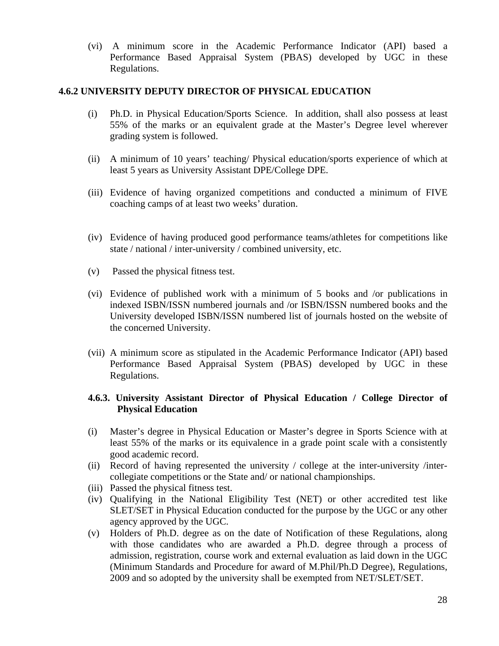(vi) A minimum score in the Academic Performance Indicator (API) based a Performance Based Appraisal System (PBAS) developed by UGC in these Regulations.

### **4.6.2 UNIVERSITY DEPUTY DIRECTOR OF PHYSICAL EDUCATION**

- (i) Ph.D. in Physical Education/Sports Science. In addition, shall also possess at least 55% of the marks or an equivalent grade at the Master's Degree level wherever grading system is followed.
- (ii) A minimum of 10 years' teaching/ Physical education/sports experience of which at least 5 years as University Assistant DPE/College DPE.
- (iii) Evidence of having organized competitions and conducted a minimum of FIVE coaching camps of at least two weeks' duration.
- (iv) Evidence of having produced good performance teams/athletes for competitions like state / national / inter-university / combined university, etc.
- (v) Passed the physical fitness test.
- (vi) Evidence of published work with a minimum of 5 books and /or publications in indexed ISBN/ISSN numbered journals and /or ISBN/ISSN numbered books and the University developed ISBN/ISSN numbered list of journals hosted on the website of the concerned University.
- (vii) A minimum score as stipulated in the Academic Performance Indicator (API) based Performance Based Appraisal System (PBAS) developed by UGC in these Regulations.

### **4.6.3. University Assistant Director of Physical Education / College Director of Physical Education**

- (i) Master's degree in Physical Education or Master's degree in Sports Science with at least 55% of the marks or its equivalence in a grade point scale with a consistently good academic record.
- (ii) Record of having represented the university / college at the inter-university /intercollegiate competitions or the State and/ or national championships.
- (iii) Passed the physical fitness test.
- (iv) Qualifying in the National Eligibility Test (NET) or other accredited test like SLET/SET in Physical Education conducted for the purpose by the UGC or any other agency approved by the UGC.
- (v) Holders of Ph.D. degree as on the date of Notification of these Regulations, along with those candidates who are awarded a Ph.D. degree through a process of admission, registration, course work and external evaluation as laid down in the UGC (Minimum Standards and Procedure for award of M.Phil/Ph.D Degree), Regulations, 2009 and so adopted by the university shall be exempted from NET/SLET/SET.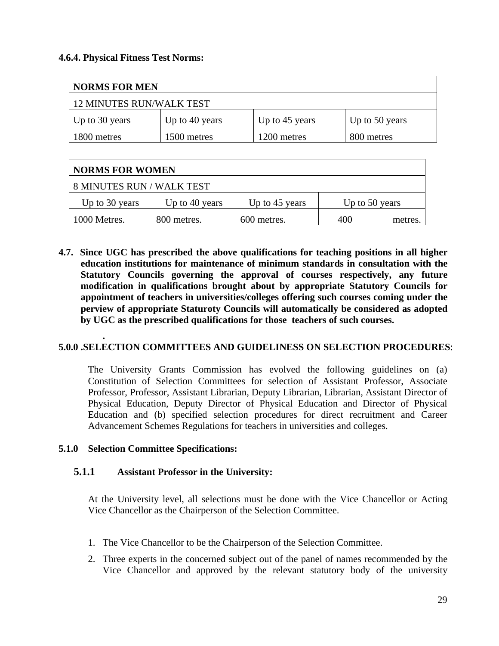### **4.6.4. Physical Fitness Test Norms:**

| <b>NORMS FOR MEN</b>     |                |                |                |  |  |  |  |  |
|--------------------------|----------------|----------------|----------------|--|--|--|--|--|
| 12 MINUTES RUN/WALK TEST |                |                |                |  |  |  |  |  |
| Up to 30 years           | Up to 40 years | Up to 45 years | Up to 50 years |  |  |  |  |  |
| 1800 metres              | 1500 metres    | 1200 metres    | 800 metres     |  |  |  |  |  |

| <b>NORMS FOR WOMEN</b>           |                |                |                |         |  |  |  |
|----------------------------------|----------------|----------------|----------------|---------|--|--|--|
| <b>8 MINUTES RUN / WALK TEST</b> |                |                |                |         |  |  |  |
| Up to 30 years                   | Up to 40 years | Up to 45 years | Up to 50 years |         |  |  |  |
| 1000 Metres.                     | 800 metres.    | 600 metres.    | 400            | metres. |  |  |  |

**4.7. Since UGC has prescribed the above qualifications for teaching positions in all higher education institutions for maintenance of minimum standards in consultation with the Statutory Councils governing the approval of courses respectively, any future modification in qualifications brought about by appropriate Statutory Councils for appointment of teachers in universities/colleges offering such courses coming under the perview of appropriate Staturoty Councils will automatically be considered as adopted by UGC as the prescribed qualifications for those teachers of such courses.** 

# **5.0.0 .SELECTION COMMITTEES AND GUIDELINESS ON SELECTION PROCEDURES**:

 The University Grants Commission has evolved the following guidelines on (a) Constitution of Selection Committees for selection of Assistant Professor, Associate Professor, Professor, Assistant Librarian, Deputy Librarian, Librarian, Assistant Director of Physical Education, Deputy Director of Physical Education and Director of Physical Education and (b) specified selection procedures for direct recruitment and Career Advancement Schemes Regulations for teachers in universities and colleges.

### **5.1.0 Selection Committee Specifications:**

**.** 

### **5.1.1 Assistant Professor in the University:**

At the University level, all selections must be done with the Vice Chancellor or Acting Vice Chancellor as the Chairperson of the Selection Committee.

- 1. The Vice Chancellor to be the Chairperson of the Selection Committee.
- 2. Three experts in the concerned subject out of the panel of names recommended by the Vice Chancellor and approved by the relevant statutory body of the university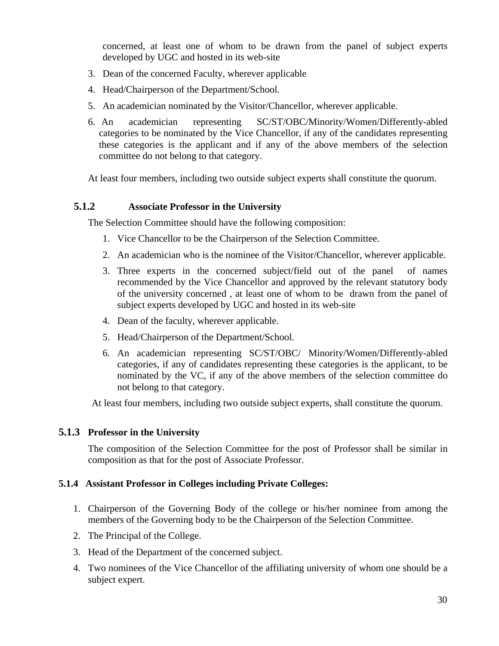concerned, at least one of whom to be drawn from the panel of subject experts developed by UGC and hosted in its web-site

- 3. Dean of the concerned Faculty, wherever applicable
- 4. Head/Chairperson of the Department/School.
- 5. An academician nominated by the Visitor/Chancellor, wherever applicable.
- 6. An academician representing SC/ST/OBC/Minority/Women/Differently-abled categories to be nominated by the Vice Chancellor, if any of the candidates representing these categories is the applicant and if any of the above members of the selection committee do not belong to that category.

At least four members, including two outside subject experts shall constitute the quorum.

# **5.1.2 Associate Professor in the University**

The Selection Committee should have the following composition:

- 1. Vice Chancellor to be the Chairperson of the Selection Committee.
- 2. An academician who is the nominee of the Visitor/Chancellor, wherever applicable.
- 3. Three experts in the concerned subject/field out of the panel of names recommended by the Vice Chancellor and approved by the relevant statutory body of the university concerned , at least one of whom to be drawn from the panel of subject experts developed by UGC and hosted in its web-site
- 4. Dean of the faculty, wherever applicable.
- 5. Head/Chairperson of the Department/School.
- 6. An academician representing SC/ST/OBC/ Minority/Women/Differently-abled categories, if any of candidates representing these categories is the applicant, to be nominated by the VC, if any of the above members of the selection committee do not belong to that category.

At least four members, including two outside subject experts, shall constitute the quorum.

# **5.1.3 Professor in the University**

The composition of the Selection Committee for the post of Professor shall be similar in composition as that for the post of Associate Professor.

### **5.1.4 Assistant Professor in Colleges including Private Colleges:**

- 1. Chairperson of the Governing Body of the college or his/her nominee from among the members of the Governing body to be the Chairperson of the Selection Committee.
- 2. The Principal of the College.
- 3. Head of the Department of the concerned subject.
- 4. Two nominees of the Vice Chancellor of the affiliating university of whom one should be a subject expert.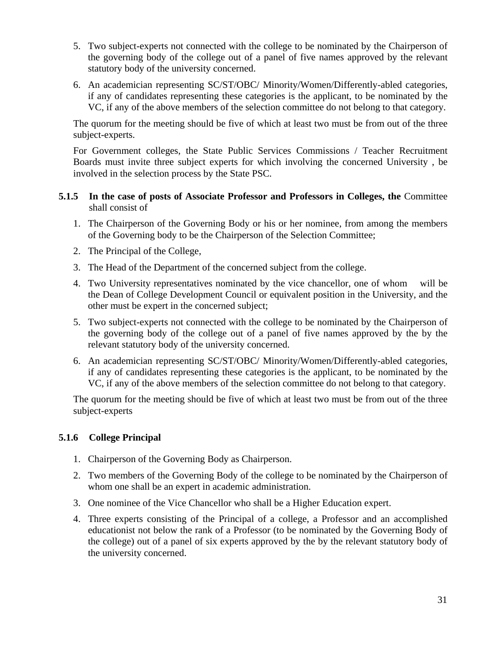- 5. Two subject-experts not connected with the college to be nominated by the Chairperson of the governing body of the college out of a panel of five names approved by the relevant statutory body of the university concerned.
- 6. An academician representing SC/ST/OBC/ Minority/Women/Differently-abled categories, if any of candidates representing these categories is the applicant, to be nominated by the VC, if any of the above members of the selection committee do not belong to that category.

The quorum for the meeting should be five of which at least two must be from out of the three subject-experts.

For Government colleges, the State Public Services Commissions / Teacher Recruitment Boards must invite three subject experts for which involving the concerned University , be involved in the selection process by the State PSC.

- **5.1.5 In the case of posts of Associate Professor and Professors in Colleges, the** Committee shall consist of
	- 1. The Chairperson of the Governing Body or his or her nominee, from among the members of the Governing body to be the Chairperson of the Selection Committee;
	- 2. The Principal of the College,
	- 3. The Head of the Department of the concerned subject from the college.
	- 4. Two University representatives nominated by the vice chancellor, one of whom will be the Dean of College Development Council or equivalent position in the University, and the other must be expert in the concerned subject;
	- 5. Two subject-experts not connected with the college to be nominated by the Chairperson of the governing body of the college out of a panel of five names approved by the by the relevant statutory body of the university concerned.
	- 6. An academician representing SC/ST/OBC/ Minority/Women/Differently-abled categories, if any of candidates representing these categories is the applicant, to be nominated by the VC, if any of the above members of the selection committee do not belong to that category.

The quorum for the meeting should be five of which at least two must be from out of the three subject-experts

# **5.1.6 College Principal**

- 1. Chairperson of the Governing Body as Chairperson.
- 2. Two members of the Governing Body of the college to be nominated by the Chairperson of whom one shall be an expert in academic administration.
- 3. One nominee of the Vice Chancellor who shall be a Higher Education expert.
- 4. Three experts consisting of the Principal of a college, a Professor and an accomplished educationist not below the rank of a Professor (to be nominated by the Governing Body of the college) out of a panel of six experts approved by the by the relevant statutory body of the university concerned.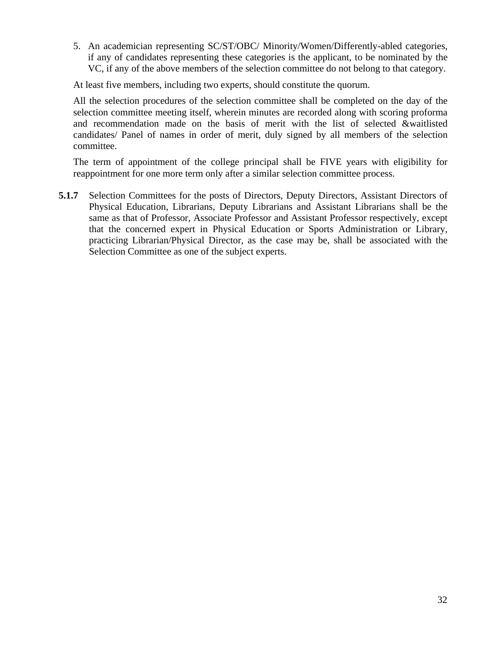5. An academician representing SC/ST/OBC/ Minority/Women/Differently-abled categories, if any of candidates representing these categories is the applicant, to be nominated by the VC, if any of the above members of the selection committee do not belong to that category.

At least five members, including two experts, should constitute the quorum.

All the selection procedures of the selection committee shall be completed on the day of the selection committee meeting itself, wherein minutes are recorded along with scoring proforma and recommendation made on the basis of merit with the list of selected &waitlisted candidates/ Panel of names in order of merit, duly signed by all members of the selection committee.

The term of appointment of the college principal shall be FIVE years with eligibility for reappointment for one more term only after a similar selection committee process.

**5.1.7** Selection Committees for the posts of Directors, Deputy Directors, Assistant Directors of Physical Education, Librarians, Deputy Librarians and Assistant Librarians shall be the same as that of Professor, Associate Professor and Assistant Professor respectively, except that the concerned expert in Physical Education or Sports Administration or Library, practicing Librarian/Physical Director, as the case may be, shall be associated with the Selection Committee as one of the subject experts.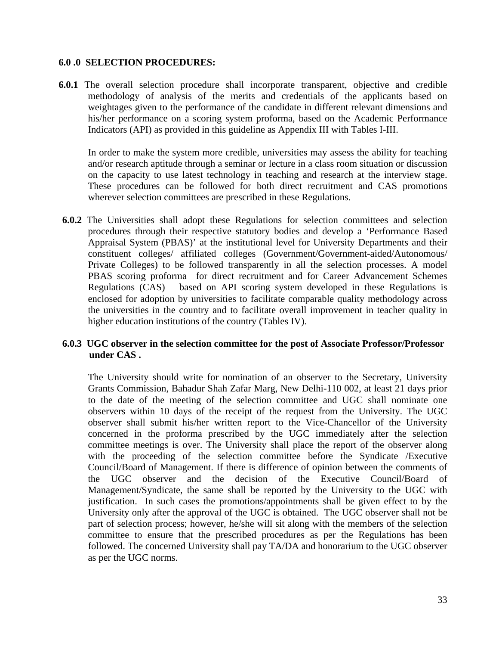### **6.0 .0 SELECTION PROCEDURES:**

**6.0.1** The overall selection procedure shall incorporate transparent, objective and credible methodology of analysis of the merits and credentials of the applicants based on weightages given to the performance of the candidate in different relevant dimensions and his/her performance on a scoring system proforma, based on the Academic Performance Indicators (API) as provided in this guideline as Appendix III with Tables I-III.

In order to make the system more credible, universities may assess the ability for teaching and/or research aptitude through a seminar or lecture in a class room situation or discussion on the capacity to use latest technology in teaching and research at the interview stage. These procedures can be followed for both direct recruitment and CAS promotions wherever selection committees are prescribed in these Regulations.

**6.0.2** The Universities shall adopt these Regulations for selection committees and selection procedures through their respective statutory bodies and develop a 'Performance Based Appraisal System (PBAS)' at the institutional level for University Departments and their constituent colleges/ affiliated colleges (Government/Government-aided/Autonomous/ Private Colleges) to be followed transparently in all the selection processes. A model PBAS scoring proforma for direct recruitment and for Career Advancement Schemes Regulations (CAS) based on API scoring system developed in these Regulations is enclosed for adoption by universities to facilitate comparable quality methodology across the universities in the country and to facilitate overall improvement in teacher quality in higher education institutions of the country (Tables IV).

# **6.0.3 UGC observer in the selection committee for the post of Associate Professor/Professor under CAS .**

The University should write for nomination of an observer to the Secretary, University Grants Commission, Bahadur Shah Zafar Marg, New Delhi-110 002, at least 21 days prior to the date of the meeting of the selection committee and UGC shall nominate one observers within 10 days of the receipt of the request from the University. The UGC observer shall submit his/her written report to the Vice-Chancellor of the University concerned in the proforma prescribed by the UGC immediately after the selection committee meetings is over. The University shall place the report of the observer along with the proceeding of the selection committee before the Syndicate /Executive Council/Board of Management. If there is difference of opinion between the comments of the UGC observer and the decision of the Executive Council/Board of Management/Syndicate, the same shall be reported by the University to the UGC with justification. In such cases the promotions/appointments shall be given effect to by the University only after the approval of the UGC is obtained. The UGC observer shall not be part of selection process; however, he/she will sit along with the members of the selection committee to ensure that the prescribed procedures as per the Regulations has been followed. The concerned University shall pay TA/DA and honorarium to the UGC observer as per the UGC norms.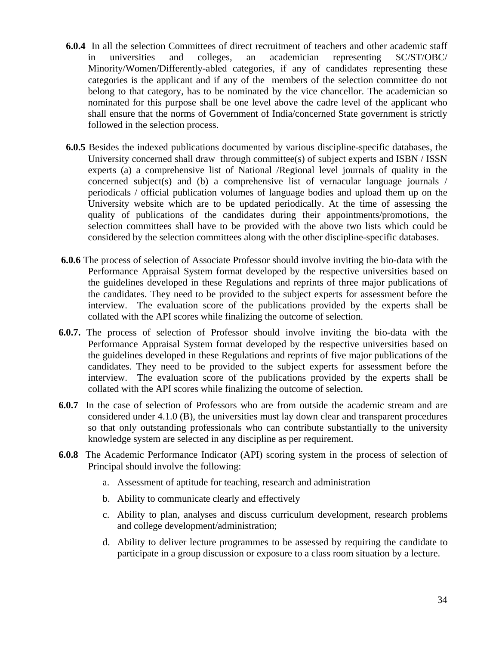- **6.0.4** In all the selection Committees of direct recruitment of teachers and other academic staff in universities and colleges, an academician representing SC/ST/OBC/ Minority/Women/Differently-abled categories, if any of candidates representing these categories is the applicant and if any of the members of the selection committee do not belong to that category, has to be nominated by the vice chancellor. The academician so nominated for this purpose shall be one level above the cadre level of the applicant who shall ensure that the norms of Government of India/concerned State government is strictly followed in the selection process.
- **6.0.5** Besides the indexed publications documented by various discipline-specific databases, the University concerned shall draw through committee(s) of subject experts and ISBN / ISSN experts (a) a comprehensive list of National /Regional level journals of quality in the concerned subject(s) and (b) a comprehensive list of vernacular language journals / periodicals / official publication volumes of language bodies and upload them up on the University website which are to be updated periodically. At the time of assessing the quality of publications of the candidates during their appointments/promotions, the selection committees shall have to be provided with the above two lists which could be considered by the selection committees along with the other discipline-specific databases.
- **6.0.6** The process of selection of Associate Professor should involve inviting the bio-data with the Performance Appraisal System format developed by the respective universities based on the guidelines developed in these Regulations and reprints of three major publications of the candidates. They need to be provided to the subject experts for assessment before the interview. The evaluation score of the publications provided by the experts shall be collated with the API scores while finalizing the outcome of selection.
- **6.0.7.** The process of selection of Professor should involve inviting the bio-data with the Performance Appraisal System format developed by the respective universities based on the guidelines developed in these Regulations and reprints of five major publications of the candidates. They need to be provided to the subject experts for assessment before the interview. The evaluation score of the publications provided by the experts shall be collated with the API scores while finalizing the outcome of selection.
- **6.0.7** In the case of selection of Professors who are from outside the academic stream and are considered under 4.1.0 (B), the universities must lay down clear and transparent procedures so that only outstanding professionals who can contribute substantially to the university knowledge system are selected in any discipline as per requirement.
- **6.0.8** The Academic Performance Indicator (API) scoring system in the process of selection of Principal should involve the following:
	- a. Assessment of aptitude for teaching, research and administration
	- b. Ability to communicate clearly and effectively
	- c. Ability to plan, analyses and discuss curriculum development, research problems and college development/administration;
	- d. Ability to deliver lecture programmes to be assessed by requiring the candidate to participate in a group discussion or exposure to a class room situation by a lecture.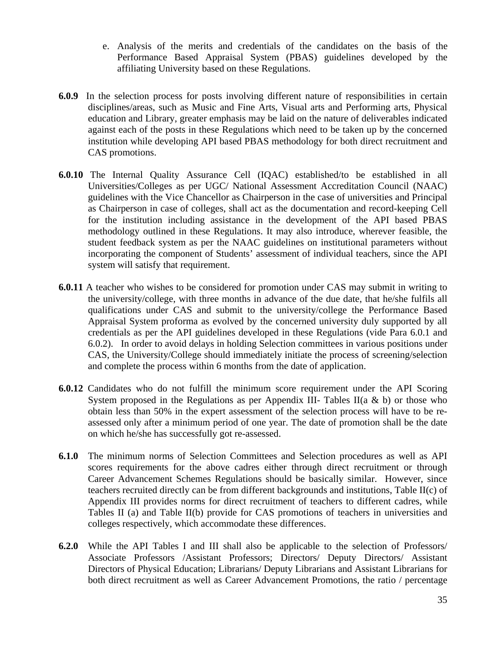- e. Analysis of the merits and credentials of the candidates on the basis of the Performance Based Appraisal System (PBAS) guidelines developed by the affiliating University based on these Regulations.
- **6.0.9** In the selection process for posts involving different nature of responsibilities in certain disciplines/areas, such as Music and Fine Arts, Visual arts and Performing arts, Physical education and Library, greater emphasis may be laid on the nature of deliverables indicated against each of the posts in these Regulations which need to be taken up by the concerned institution while developing API based PBAS methodology for both direct recruitment and CAS promotions.
- **6.0.10** The Internal Quality Assurance Cell (IQAC) established/to be established in all Universities/Colleges as per UGC/ National Assessment Accreditation Council (NAAC) guidelines with the Vice Chancellor as Chairperson in the case of universities and Principal as Chairperson in case of colleges, shall act as the documentation and record-keeping Cell for the institution including assistance in the development of the API based PBAS methodology outlined in these Regulations. It may also introduce, wherever feasible, the student feedback system as per the NAAC guidelines on institutional parameters without incorporating the component of Students' assessment of individual teachers, since the API system will satisfy that requirement.
- **6.0.11** A teacher who wishes to be considered for promotion under CAS may submit in writing to the university/college, with three months in advance of the due date, that he/she fulfils all qualifications under CAS and submit to the university/college the Performance Based Appraisal System proforma as evolved by the concerned university duly supported by all credentials as per the API guidelines developed in these Regulations (vide Para 6.0.1 and 6.0.2). In order to avoid delays in holding Selection committees in various positions under CAS, the University/College should immediately initiate the process of screening/selection and complete the process within 6 months from the date of application.
- **6.0.12** Candidates who do not fulfill the minimum score requirement under the API Scoring System proposed in the Regulations as per Appendix III- Tables II(a  $\&$  b) or those who obtain less than 50% in the expert assessment of the selection process will have to be reassessed only after a minimum period of one year. The date of promotion shall be the date on which he/she has successfully got re-assessed.
- **6.1.0** The minimum norms of Selection Committees and Selection procedures as well as API scores requirements for the above cadres either through direct recruitment or through Career Advancement Schemes Regulations should be basically similar. However, since teachers recruited directly can be from different backgrounds and institutions, Table II(c) of Appendix III provides norms for direct recruitment of teachers to different cadres, while Tables II (a) and Table II(b) provide for CAS promotions of teachers in universities and colleges respectively, which accommodate these differences.
- **6.2.0** While the API Tables I and III shall also be applicable to the selection of Professors/ Associate Professors /Assistant Professors; Directors/ Deputy Directors/ Assistant Directors of Physical Education; Librarians/ Deputy Librarians and Assistant Librarians for both direct recruitment as well as Career Advancement Promotions, the ratio / percentage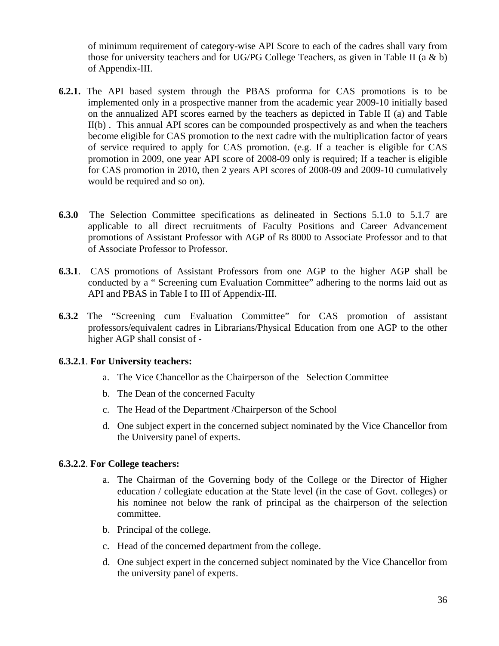of minimum requirement of category-wise API Score to each of the cadres shall vary from those for university teachers and for UG/PG College Teachers, as given in Table II (a  $\&$  b) of Appendix-III.

- **6.2.1.** The API based system through the PBAS proforma for CAS promotions is to be implemented only in a prospective manner from the academic year 2009-10 initially based on the annualized API scores earned by the teachers as depicted in Table II (a) and Table II(b) . This annual API scores can be compounded prospectively as and when the teachers become eligible for CAS promotion to the next cadre with the multiplication factor of years of service required to apply for CAS promotion. (e.g. If a teacher is eligible for CAS promotion in 2009, one year API score of 2008-09 only is required; If a teacher is eligible for CAS promotion in 2010, then 2 years API scores of 2008-09 and 2009-10 cumulatively would be required and so on).
- **6.3.0** The Selection Committee specifications as delineated in Sections 5.1.0 to 5.1.7 are applicable to all direct recruitments of Faculty Positions and Career Advancement promotions of Assistant Professor with AGP of Rs 8000 to Associate Professor and to that of Associate Professor to Professor.
- **6.3.1**. CAS promotions of Assistant Professors from one AGP to the higher AGP shall be conducted by a " Screening cum Evaluation Committee" adhering to the norms laid out as API and PBAS in Table I to III of Appendix-III.
- **6.3.2** The "Screening cum Evaluation Committee" for CAS promotion of assistant professors/equivalent cadres in Librarians/Physical Education from one AGP to the other higher AGP shall consist of -

# **6.3.2.1**. **For University teachers:**

- a. The Vice Chancellor as the Chairperson of the Selection Committee
- b. The Dean of the concerned Faculty
- c. The Head of the Department /Chairperson of the School
- d. One subject expert in the concerned subject nominated by the Vice Chancellor from the University panel of experts.

### **6.3.2.2**. **For College teachers:**

- a. The Chairman of the Governing body of the College or the Director of Higher education / collegiate education at the State level (in the case of Govt. colleges) or his nominee not below the rank of principal as the chairperson of the selection committee.
- b. Principal of the college.
- c. Head of the concerned department from the college.
- d. One subject expert in the concerned subject nominated by the Vice Chancellor from the university panel of experts.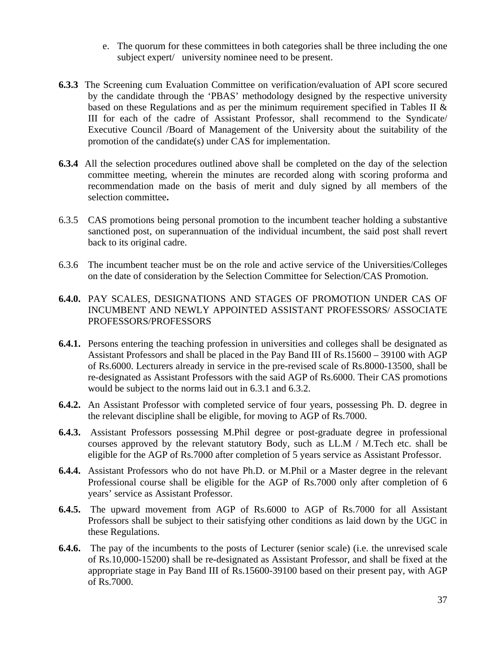- e. The quorum for these committees in both categories shall be three including the one subject expert/ university nominee need to be present.
- **6.3.3** The Screening cum Evaluation Committee on verification/evaluation of API score secured by the candidate through the 'PBAS' methodology designed by the respective university based on these Regulations and as per the minimum requirement specified in Tables II & III for each of the cadre of Assistant Professor, shall recommend to the Syndicate/ Executive Council /Board of Management of the University about the suitability of the promotion of the candidate(s) under CAS for implementation.
- **6.3.4** All the selection procedures outlined above shall be completed on the day of the selection committee meeting, wherein the minutes are recorded along with scoring proforma and recommendation made on the basis of merit and duly signed by all members of the selection committee**.**
- 6.3.5 CAS promotions being personal promotion to the incumbent teacher holding a substantive sanctioned post, on superannuation of the individual incumbent, the said post shall revert back to its original cadre.
- 6.3.6 The incumbent teacher must be on the role and active service of the Universities/Colleges on the date of consideration by the Selection Committee for Selection/CAS Promotion.
- **6.4.0.** PAY SCALES, DESIGNATIONS AND STAGES OF PROMOTION UNDER CAS OF INCUMBENT AND NEWLY APPOINTED ASSISTANT PROFESSORS/ ASSOCIATE PROFESSORS/PROFESSORS
- **6.4.1.** Persons entering the teaching profession in universities and colleges shall be designated as Assistant Professors and shall be placed in the Pay Band III of Rs.15600 – 39100 with AGP of Rs.6000. Lecturers already in service in the pre-revised scale of Rs.8000-13500, shall be re-designated as Assistant Professors with the said AGP of Rs.6000. Their CAS promotions would be subject to the norms laid out in 6.3.1 and 6.3.2.
- **6.4.2.** An Assistant Professor with completed service of four years, possessing Ph. D. degree in the relevant discipline shall be eligible, for moving to AGP of Rs.7000.
- **6.4.3.** Assistant Professors possessing M.Phil degree or post-graduate degree in professional courses approved by the relevant statutory Body, such as LL.M / M.Tech etc. shall be eligible for the AGP of Rs.7000 after completion of 5 years service as Assistant Professor.
- **6.4.4.** Assistant Professors who do not have Ph.D. or M.Phil or a Master degree in the relevant Professional course shall be eligible for the AGP of Rs.7000 only after completion of 6 years' service as Assistant Professor.
- **6.4.5.** The upward movement from AGP of Rs.6000 to AGP of Rs.7000 for all Assistant Professors shall be subject to their satisfying other conditions as laid down by the UGC in these Regulations.
- **6.4.6.** The pay of the incumbents to the posts of Lecturer (senior scale) (i.e. the unrevised scale of Rs.10,000-15200) shall be re-designated as Assistant Professor, and shall be fixed at the appropriate stage in Pay Band III of Rs.15600-39100 based on their present pay, with AGP of Rs.7000.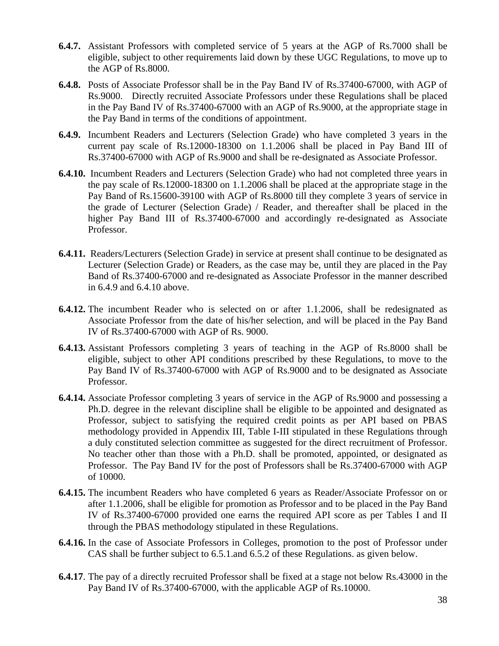- **6.4.7.** Assistant Professors with completed service of 5 years at the AGP of Rs.7000 shall be eligible, subject to other requirements laid down by these UGC Regulations, to move up to the AGP of Rs.8000.
- **6.4.8.** Posts of Associate Professor shall be in the Pay Band IV of Rs.37400-67000, with AGP of Rs.9000. Directly recruited Associate Professors under these Regulations shall be placed in the Pay Band IV of Rs.37400-67000 with an AGP of Rs.9000, at the appropriate stage in the Pay Band in terms of the conditions of appointment.
- **6.4.9.** Incumbent Readers and Lecturers (Selection Grade) who have completed 3 years in the current pay scale of Rs.12000-18300 on 1.1.2006 shall be placed in Pay Band III of Rs.37400-67000 with AGP of Rs.9000 and shall be re-designated as Associate Professor.
- **6.4.10.** Incumbent Readers and Lecturers (Selection Grade) who had not completed three years in the pay scale of Rs.12000-18300 on 1.1.2006 shall be placed at the appropriate stage in the Pay Band of Rs.15600-39100 with AGP of Rs.8000 till they complete 3 years of service in the grade of Lecturer (Selection Grade) / Reader, and thereafter shall be placed in the higher Pay Band III of Rs.37400-67000 and accordingly re-designated as Associate Professor.
- **6.4.11.** Readers/Lecturers (Selection Grade) in service at present shall continue to be designated as Lecturer (Selection Grade) or Readers, as the case may be, until they are placed in the Pay Band of Rs.37400-67000 and re-designated as Associate Professor in the manner described in 6.4.9 and 6.4.10 above.
- **6.4.12.** The incumbent Reader who is selected on or after 1.1.2006, shall be redesignated as Associate Professor from the date of his/her selection, and will be placed in the Pay Band IV of Rs.37400-67000 with AGP of Rs. 9000.
- **6.4.13.** Assistant Professors completing 3 years of teaching in the AGP of Rs.8000 shall be eligible, subject to other API conditions prescribed by these Regulations, to move to the Pay Band IV of Rs.37400-67000 with AGP of Rs.9000 and to be designated as Associate Professor.
- **6.4.14.** Associate Professor completing 3 years of service in the AGP of Rs.9000 and possessing a Ph.D. degree in the relevant discipline shall be eligible to be appointed and designated as Professor, subject to satisfying the required credit points as per API based on PBAS methodology provided in Appendix III, Table I-III stipulated in these Regulations through a duly constituted selection committee as suggested for the direct recruitment of Professor. No teacher other than those with a Ph.D. shall be promoted, appointed, or designated as Professor. The Pay Band IV for the post of Professors shall be Rs.37400-67000 with AGP of 10000.
- **6.4.15.** The incumbent Readers who have completed 6 years as Reader/Associate Professor on or after 1.1.2006, shall be eligible for promotion as Professor and to be placed in the Pay Band IV of Rs.37400-67000 provided one earns the required API score as per Tables I and II through the PBAS methodology stipulated in these Regulations.
- **6.4.16.** In the case of Associate Professors in Colleges, promotion to the post of Professor under CAS shall be further subject to 6.5.1.and 6.5.2 of these Regulations. as given below.
- **6.4.17**. The pay of a directly recruited Professor shall be fixed at a stage not below Rs.43000 in the Pay Band IV of Rs.37400-67000, with the applicable AGP of Rs.10000.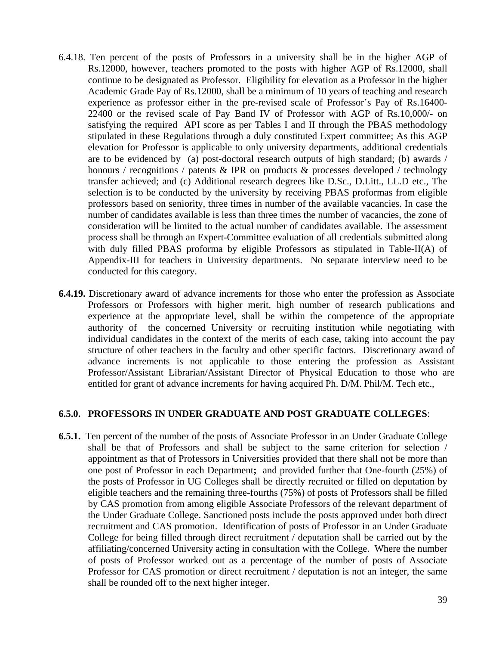- 6.4.18. Ten percent of the posts of Professors in a university shall be in the higher AGP of Rs.12000, however, teachers promoted to the posts with higher AGP of Rs.12000, shall continue to be designated as Professor. Eligibility for elevation as a Professor in the higher Academic Grade Pay of Rs.12000, shall be a minimum of 10 years of teaching and research experience as professor either in the pre-revised scale of Professor's Pay of Rs.16400- 22400 or the revised scale of Pay Band IV of Professor with AGP of Rs.10,000/- on satisfying the required API score as per Tables I and II through the PBAS methodology stipulated in these Regulations through a duly constituted Expert committee; As this AGP elevation for Professor is applicable to only university departments, additional credentials are to be evidenced by (a) post-doctoral research outputs of high standard; (b) awards / honours / recognitions / patents & IPR on products & processes developed / technology transfer achieved; and (c) Additional research degrees like D.Sc., D.Litt., LL.D etc., The selection is to be conducted by the university by receiving PBAS proformas from eligible professors based on seniority, three times in number of the available vacancies. In case the number of candidates available is less than three times the number of vacancies, the zone of consideration will be limited to the actual number of candidates available. The assessment process shall be through an Expert-Committee evaluation of all credentials submitted along with duly filled PBAS proforma by eligible Professors as stipulated in Table-II(A) of Appendix-III for teachers in University departments. No separate interview need to be conducted for this category.
- **6.4.19.** Discretionary award of advance increments for those who enter the profession as Associate Professors or Professors with higher merit, high number of research publications and experience at the appropriate level, shall be within the competence of the appropriate authority of the concerned University or recruiting institution while negotiating with individual candidates in the context of the merits of each case, taking into account the pay structure of other teachers in the faculty and other specific factors. Discretionary award of advance increments is not applicable to those entering the profession as Assistant Professor/Assistant Librarian/Assistant Director of Physical Education to those who are entitled for grant of advance increments for having acquired Ph. D/M. Phil/M. Tech etc.,

#### **6.5.0. PROFESSORS IN UNDER GRADUATE AND POST GRADUATE COLLEGES**:

**6.5.1.** Ten percent of the number of the posts of Associate Professor in an Under Graduate College shall be that of Professors and shall be subject to the same criterion for selection / appointment as that of Professors in Universities provided that there shall not be more than one post of Professor in each Department**;** and provided further that One-fourth (25%) of the posts of Professor in UG Colleges shall be directly recruited or filled on deputation by eligible teachers and the remaining three-fourths (75%) of posts of Professors shall be filled by CAS promotion from among eligible Associate Professors of the relevant department of the Under Graduate College. Sanctioned posts include the posts approved under both direct recruitment and CAS promotion. Identification of posts of Professor in an Under Graduate College for being filled through direct recruitment / deputation shall be carried out by the affiliating/concerned University acting in consultation with the College. Where the number of posts of Professor worked out as a percentage of the number of posts of Associate Professor for CAS promotion or direct recruitment / deputation is not an integer, the same shall be rounded off to the next higher integer.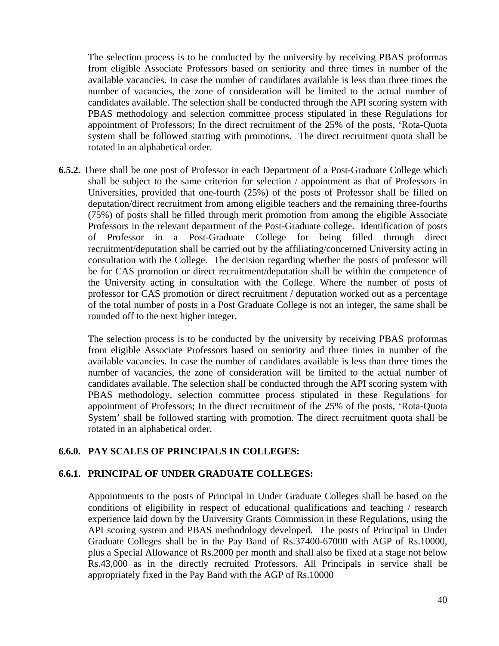The selection process is to be conducted by the university by receiving PBAS proformas from eligible Associate Professors based on seniority and three times in number of the available vacancies. In case the number of candidates available is less than three times the number of vacancies, the zone of consideration will be limited to the actual number of candidates available. The selection shall be conducted through the API scoring system with PBAS methodology and selection committee process stipulated in these Regulations for appointment of Professors; In the direct recruitment of the 25% of the posts, 'Rota-Quota system shall be followed starting with promotions. The direct recruitment quota shall be rotated in an alphabetical order.

**6.5.2.** There shall be one post of Professor in each Department of a Post-Graduate College which shall be subject to the same criterion for selection / appointment as that of Professors in Universities, provided that one-fourth (25%) of the posts of Professor shall be filled on deputation/direct recruitment from among eligible teachers and the remaining three-fourths (75%) of posts shall be filled through merit promotion from among the eligible Associate Professors in the relevant department of the Post-Graduate college. Identification of posts of Professor in a Post-Graduate College for being filled through direct recruitment/deputation shall be carried out by the affiliating/concerned University acting in consultation with the College. The decision regarding whether the posts of professor will be for CAS promotion or direct recruitment/deputation shall be within the competence of the University acting in consultation with the College. Where the number of posts of professor for CAS promotion or direct recruitment / deputation worked out as a percentage of the total number of posts in a Post Graduate College is not an integer, the same shall be rounded off to the next higher integer.

The selection process is to be conducted by the university by receiving PBAS proformas from eligible Associate Professors based on seniority and three times in number of the available vacancies. In case the number of candidates available is less than three times the number of vacancies, the zone of consideration will be limited to the actual number of candidates available. The selection shall be conducted through the API scoring system with PBAS methodology, selection committee process stipulated in these Regulations for appointment of Professors; In the direct recruitment of the 25% of the posts, 'Rota-Quota System' shall be followed starting with promotion. The direct recruitment quota shall be rotated in an alphabetical order.

## **6.6.0. PAY SCALES OF PRINCIPALS IN COLLEGES:**

#### **6.6.1. PRINCIPAL OF UNDER GRADUATE COLLEGES:**

Appointments to the posts of Principal in Under Graduate Colleges shall be based on the conditions of eligibility in respect of educational qualifications and teaching / research experience laid down by the University Grants Commission in these Regulations, using the API scoring system and PBAS methodology developed. The posts of Principal in Under Graduate Colleges shall be in the Pay Band of Rs.37400-67000 with AGP of Rs.10000, plus a Special Allowance of Rs.2000 per month and shall also be fixed at a stage not below Rs.43,000 as in the directly recruited Professors. All Principals in service shall be appropriately fixed in the Pay Band with the AGP of Rs.10000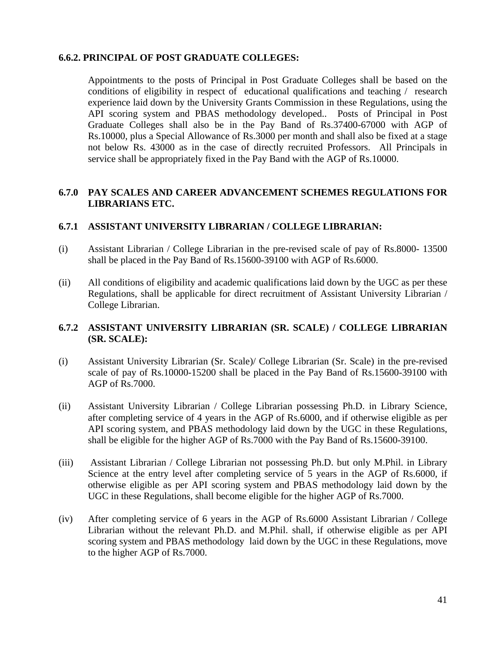#### **6.6.2. PRINCIPAL OF POST GRADUATE COLLEGES:**

Appointments to the posts of Principal in Post Graduate Colleges shall be based on the conditions of eligibility in respect of educational qualifications and teaching / research experience laid down by the University Grants Commission in these Regulations, using the API scoring system and PBAS methodology developed.. Posts of Principal in Post Graduate Colleges shall also be in the Pay Band of Rs.37400-67000 with AGP of Rs.10000, plus a Special Allowance of Rs.3000 per month and shall also be fixed at a stage not below Rs. 43000 as in the case of directly recruited Professors. All Principals in service shall be appropriately fixed in the Pay Band with the AGP of Rs.10000.

#### **6.7.0 PAY SCALES AND CAREER ADVANCEMENT SCHEMES REGULATIONS FOR LIBRARIANS ETC.**

#### **6.7.1 ASSISTANT UNIVERSITY LIBRARIAN / COLLEGE LIBRARIAN:**

- (i) Assistant Librarian / College Librarian in the pre-revised scale of pay of Rs.8000- 13500 shall be placed in the Pay Band of Rs.15600-39100 with AGP of Rs.6000.
- (ii) All conditions of eligibility and academic qualifications laid down by the UGC as per these Regulations, shall be applicable for direct recruitment of Assistant University Librarian / College Librarian.

#### **6.7.2 ASSISTANT UNIVERSITY LIBRARIAN (SR. SCALE) / COLLEGE LIBRARIAN (SR. SCALE):**

- (i) Assistant University Librarian (Sr. Scale)/ College Librarian (Sr. Scale) in the pre-revised scale of pay of Rs.10000-15200 shall be placed in the Pay Band of Rs.15600-39100 with AGP of Rs.7000.
- (ii) Assistant University Librarian / College Librarian possessing Ph.D. in Library Science, after completing service of 4 years in the AGP of Rs.6000, and if otherwise eligible as per API scoring system, and PBAS methodology laid down by the UGC in these Regulations, shall be eligible for the higher AGP of Rs.7000 with the Pay Band of Rs.15600-39100.
- (iii) Assistant Librarian / College Librarian not possessing Ph.D. but only M.Phil. in Library Science at the entry level after completing service of 5 years in the AGP of Rs.6000, if otherwise eligible as per API scoring system and PBAS methodology laid down by the UGC in these Regulations, shall become eligible for the higher AGP of Rs.7000.
- (iv) After completing service of 6 years in the AGP of Rs.6000 Assistant Librarian / College Librarian without the relevant Ph.D. and M.Phil. shall, if otherwise eligible as per API scoring system and PBAS methodology laid down by the UGC in these Regulations, move to the higher AGP of Rs.7000.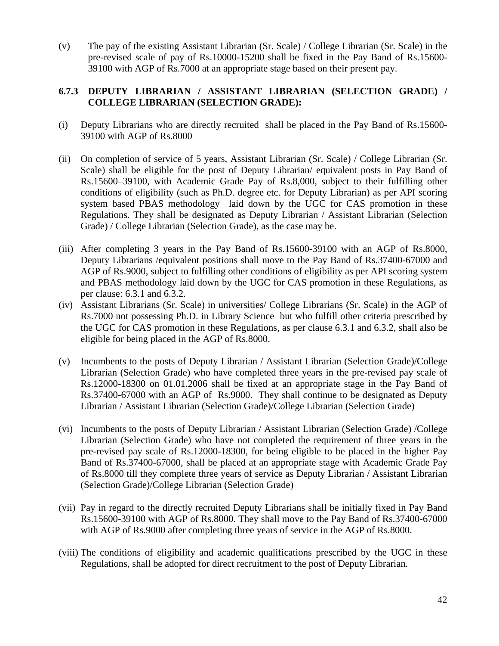(v) The pay of the existing Assistant Librarian (Sr. Scale) / College Librarian (Sr. Scale) in the pre-revised scale of pay of Rs.10000-15200 shall be fixed in the Pay Band of Rs.15600- 39100 with AGP of Rs.7000 at an appropriate stage based on their present pay.

## **6.7.3 DEPUTY LIBRARIAN / ASSISTANT LIBRARIAN (SELECTION GRADE) / COLLEGE LIBRARIAN (SELECTION GRADE):**

- (i) Deputy Librarians who are directly recruited shall be placed in the Pay Band of Rs.15600- 39100 with AGP of Rs.8000
- (ii) On completion of service of 5 years, Assistant Librarian (Sr. Scale) / College Librarian (Sr. Scale) shall be eligible for the post of Deputy Librarian/ equivalent posts in Pay Band of Rs.15600–39100, with Academic Grade Pay of Rs.8,000, subject to their fulfilling other conditions of eligibility (such as Ph.D. degree etc. for Deputy Librarian) as per API scoring system based PBAS methodology laid down by the UGC for CAS promotion in these Regulations. They shall be designated as Deputy Librarian / Assistant Librarian (Selection Grade) / College Librarian (Selection Grade), as the case may be.
- (iii) After completing 3 years in the Pay Band of Rs.15600-39100 with an AGP of Rs.8000, Deputy Librarians /equivalent positions shall move to the Pay Band of Rs.37400-67000 and AGP of Rs.9000, subject to fulfilling other conditions of eligibility as per API scoring system and PBAS methodology laid down by the UGC for CAS promotion in these Regulations, as per clause: 6.3.1 and 6.3.2.
- (iv) Assistant Librarians (Sr. Scale) in universities/ College Librarians (Sr. Scale) in the AGP of Rs.7000 not possessing Ph.D. in Library Science but who fulfill other criteria prescribed by the UGC for CAS promotion in these Regulations, as per clause 6.3.1 and 6.3.2, shall also be eligible for being placed in the AGP of Rs.8000.
- (v) Incumbents to the posts of Deputy Librarian / Assistant Librarian (Selection Grade)/College Librarian (Selection Grade) who have completed three years in the pre-revised pay scale of Rs.12000-18300 on 01.01.2006 shall be fixed at an appropriate stage in the Pay Band of Rs.37400-67000 with an AGP of Rs.9000. They shall continue to be designated as Deputy Librarian / Assistant Librarian (Selection Grade)/College Librarian (Selection Grade)
- (vi) Incumbents to the posts of Deputy Librarian / Assistant Librarian (Selection Grade) /College Librarian (Selection Grade) who have not completed the requirement of three years in the pre-revised pay scale of Rs.12000-18300, for being eligible to be placed in the higher Pay Band of Rs.37400-67000, shall be placed at an appropriate stage with Academic Grade Pay of Rs.8000 till they complete three years of service as Deputy Librarian / Assistant Librarian (Selection Grade)/College Librarian (Selection Grade)
- (vii) Pay in regard to the directly recruited Deputy Librarians shall be initially fixed in Pay Band Rs.15600-39100 with AGP of Rs.8000. They shall move to the Pay Band of Rs.37400-67000 with AGP of Rs.9000 after completing three years of service in the AGP of Rs.8000.
- (viii) The conditions of eligibility and academic qualifications prescribed by the UGC in these Regulations, shall be adopted for direct recruitment to the post of Deputy Librarian.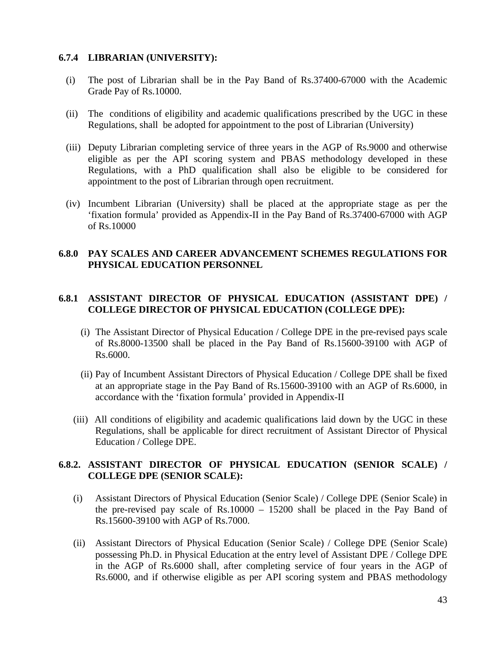#### **6.7.4 LIBRARIAN (UNIVERSITY):**

- (i) The post of Librarian shall be in the Pay Band of Rs.37400-67000 with the Academic Grade Pay of Rs.10000.
- (ii) The conditions of eligibility and academic qualifications prescribed by the UGC in these Regulations, shall be adopted for appointment to the post of Librarian (University)
- (iii) Deputy Librarian completing service of three years in the AGP of Rs.9000 and otherwise eligible as per the API scoring system and PBAS methodology developed in these Regulations, with a PhD qualification shall also be eligible to be considered for appointment to the post of Librarian through open recruitment.
- (iv) Incumbent Librarian (University) shall be placed at the appropriate stage as per the 'fixation formula' provided as Appendix-II in the Pay Band of Rs.37400-67000 with AGP of Rs.10000

#### **6.8.0 PAY SCALES AND CAREER ADVANCEMENT SCHEMES REGULATIONS FOR PHYSICAL EDUCATION PERSONNEL**

## **6.8.1 ASSISTANT DIRECTOR OF PHYSICAL EDUCATION (ASSISTANT DPE) / COLLEGE DIRECTOR OF PHYSICAL EDUCATION (COLLEGE DPE):**

- (i) The Assistant Director of Physical Education / College DPE in the pre-revised pays scale of Rs.8000-13500 shall be placed in the Pay Band of Rs.15600-39100 with AGP of Rs.6000.
- (ii) Pay of Incumbent Assistant Directors of Physical Education / College DPE shall be fixed at an appropriate stage in the Pay Band of Rs.15600-39100 with an AGP of Rs.6000, in accordance with the 'fixation formula' provided in Appendix-II
- (iii) All conditions of eligibility and academic qualifications laid down by the UGC in these Regulations, shall be applicable for direct recruitment of Assistant Director of Physical Education / College DPE.

## **6.8.2. ASSISTANT DIRECTOR OF PHYSICAL EDUCATION (SENIOR SCALE) / COLLEGE DPE (SENIOR SCALE):**

- (i) Assistant Directors of Physical Education (Senior Scale) / College DPE (Senior Scale) in the pre-revised pay scale of Rs.10000 – 15200 shall be placed in the Pay Band of Rs.15600-39100 with AGP of Rs.7000.
- (ii) Assistant Directors of Physical Education (Senior Scale) / College DPE (Senior Scale) possessing Ph.D. in Physical Education at the entry level of Assistant DPE / College DPE in the AGP of Rs.6000 shall, after completing service of four years in the AGP of Rs.6000, and if otherwise eligible as per API scoring system and PBAS methodology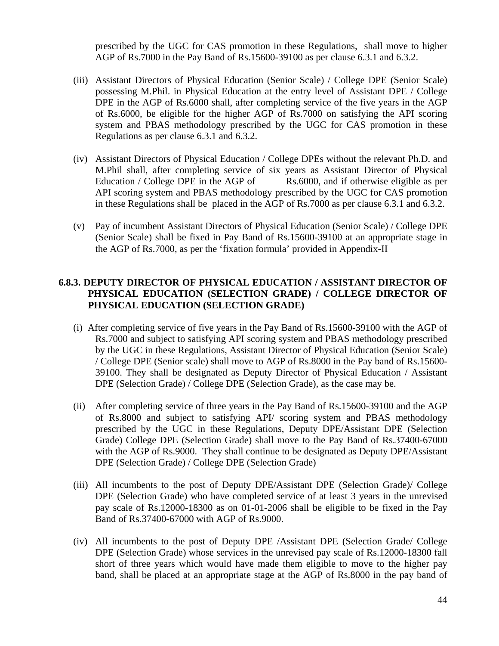prescribed by the UGC for CAS promotion in these Regulations, shall move to higher AGP of Rs.7000 in the Pay Band of Rs.15600-39100 as per clause 6.3.1 and 6.3.2.

- (iii) Assistant Directors of Physical Education (Senior Scale) / College DPE (Senior Scale) possessing M.Phil. in Physical Education at the entry level of Assistant DPE / College DPE in the AGP of Rs.6000 shall, after completing service of the five years in the AGP of Rs.6000, be eligible for the higher AGP of Rs.7000 on satisfying the API scoring system and PBAS methodology prescribed by the UGC for CAS promotion in these Regulations as per clause 6.3.1 and 6.3.2.
- (iv) Assistant Directors of Physical Education / College DPEs without the relevant Ph.D. and M.Phil shall, after completing service of six years as Assistant Director of Physical Education / College DPE in the AGP of Rs.6000, and if otherwise eligible as per API scoring system and PBAS methodology prescribed by the UGC for CAS promotion in these Regulations shall be placed in the AGP of Rs.7000 as per clause 6.3.1 and 6.3.2.
- (v) Pay of incumbent Assistant Directors of Physical Education (Senior Scale) / College DPE (Senior Scale) shall be fixed in Pay Band of Rs.15600-39100 at an appropriate stage in the AGP of Rs.7000, as per the 'fixation formula' provided in Appendix-II

#### **6.8.3. DEPUTY DIRECTOR OF PHYSICAL EDUCATION / ASSISTANT DIRECTOR OF PHYSICAL EDUCATION (SELECTION GRADE) / COLLEGE DIRECTOR OF PHYSICAL EDUCATION (SELECTION GRADE)**

- (i) After completing service of five years in the Pay Band of Rs.15600-39100 with the AGP of Rs.7000 and subject to satisfying API scoring system and PBAS methodology prescribed by the UGC in these Regulations, Assistant Director of Physical Education (Senior Scale) / College DPE (Senior scale) shall move to AGP of Rs.8000 in the Pay band of Rs.15600- 39100. They shall be designated as Deputy Director of Physical Education / Assistant DPE (Selection Grade) / College DPE (Selection Grade), as the case may be.
- (ii) After completing service of three years in the Pay Band of Rs.15600-39100 and the AGP of Rs.8000 and subject to satisfying API/ scoring system and PBAS methodology prescribed by the UGC in these Regulations, Deputy DPE/Assistant DPE (Selection Grade) College DPE (Selection Grade) shall move to the Pay Band of Rs.37400-67000 with the AGP of Rs.9000. They shall continue to be designated as Deputy DPE/Assistant DPE (Selection Grade) / College DPE (Selection Grade)
- (iii) All incumbents to the post of Deputy DPE/Assistant DPE (Selection Grade)/ College DPE (Selection Grade) who have completed service of at least 3 years in the unrevised pay scale of Rs.12000-18300 as on 01-01-2006 shall be eligible to be fixed in the Pay Band of Rs.37400-67000 with AGP of Rs.9000.
- (iv) All incumbents to the post of Deputy DPE /Assistant DPE (Selection Grade/ College DPE (Selection Grade) whose services in the unrevised pay scale of Rs.12000-18300 fall short of three years which would have made them eligible to move to the higher pay band, shall be placed at an appropriate stage at the AGP of Rs.8000 in the pay band of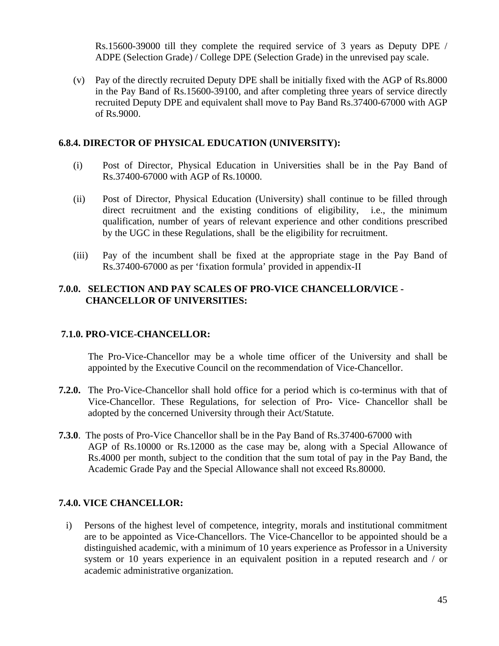Rs.15600-39000 till they complete the required service of 3 years as Deputy DPE / ADPE (Selection Grade) / College DPE (Selection Grade) in the unrevised pay scale.

(v) Pay of the directly recruited Deputy DPE shall be initially fixed with the AGP of Rs.8000 in the Pay Band of Rs.15600-39100, and after completing three years of service directly recruited Deputy DPE and equivalent shall move to Pay Band Rs.37400-67000 with AGP of Rs.9000.

#### **6.8.4. DIRECTOR OF PHYSICAL EDUCATION (UNIVERSITY):**

- (i) Post of Director, Physical Education in Universities shall be in the Pay Band of Rs.37400-67000 with AGP of Rs.10000.
- (ii) Post of Director, Physical Education (University) shall continue to be filled through direct recruitment and the existing conditions of eligibility, i.e., the minimum qualification, number of years of relevant experience and other conditions prescribed by the UGC in these Regulations, shall be the eligibility for recruitment.
- (iii) Pay of the incumbent shall be fixed at the appropriate stage in the Pay Band of Rs.37400-67000 as per 'fixation formula' provided in appendix-II

## **7.0.0. SELECTION AND PAY SCALES OF PRO-VICE CHANCELLOR/VICE - CHANCELLOR OF UNIVERSITIES:**

## **7.1.0. PRO-VICE-CHANCELLOR:**

The Pro-Vice-Chancellor may be a whole time officer of the University and shall be appointed by the Executive Council on the recommendation of Vice-Chancellor.

- **7.2.0.** The Pro-Vice-Chancellor shall hold office for a period which is co-terminus with that of Vice-Chancellor. These Regulations, for selection of Pro- Vice- Chancellor shall be adopted by the concerned University through their Act/Statute.
- **7.3.0**. The posts of Pro-Vice Chancellor shall be in the Pay Band of Rs.37400-67000 with AGP of Rs.10000 or Rs.12000 as the case may be, along with a Special Allowance of Rs.4000 per month, subject to the condition that the sum total of pay in the Pay Band, the Academic Grade Pay and the Special Allowance shall not exceed Rs.80000.

## **7.4.0. VICE CHANCELLOR:**

i) Persons of the highest level of competence, integrity, morals and institutional commitment are to be appointed as Vice-Chancellors. The Vice-Chancellor to be appointed should be a distinguished academic, with a minimum of 10 years experience as Professor in a University system or 10 years experience in an equivalent position in a reputed research and / or academic administrative organization.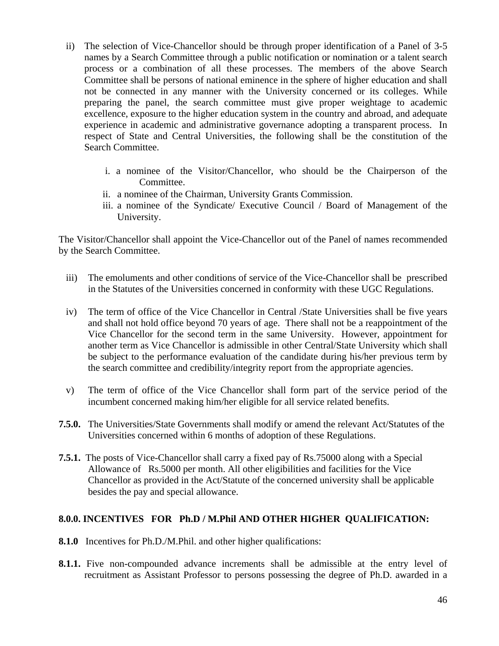- ii) The selection of Vice-Chancellor should be through proper identification of a Panel of 3-5 names by a Search Committee through a public notification or nomination or a talent search process or a combination of all these processes. The members of the above Search Committee shall be persons of national eminence in the sphere of higher education and shall not be connected in any manner with the University concerned or its colleges. While preparing the panel, the search committee must give proper weightage to academic excellence, exposure to the higher education system in the country and abroad, and adequate experience in academic and administrative governance adopting a transparent process. In respect of State and Central Universities, the following shall be the constitution of the Search Committee.
	- i. a nominee of the Visitor/Chancellor, who should be the Chairperson of the Committee.
	- ii. a nominee of the Chairman, University Grants Commission.
	- iii. a nominee of the Syndicate/ Executive Council / Board of Management of the University.

The Visitor/Chancellor shall appoint the Vice-Chancellor out of the Panel of names recommended by the Search Committee.

- iii) The emoluments and other conditions of service of the Vice-Chancellor shall be prescribed in the Statutes of the Universities concerned in conformity with these UGC Regulations.
- iv) The term of office of the Vice Chancellor in Central /State Universities shall be five years and shall not hold office beyond 70 years of age. There shall not be a reappointment of the Vice Chancellor for the second term in the same University. However, appointment for another term as Vice Chancellor is admissible in other Central/State University which shall be subject to the performance evaluation of the candidate during his/her previous term by the search committee and credibility/integrity report from the appropriate agencies.
- v) The term of office of the Vice Chancellor shall form part of the service period of the incumbent concerned making him/her eligible for all service related benefits.
- **7.5.0.** The Universities/State Governments shall modify or amend the relevant Act/Statutes of the Universities concerned within 6 months of adoption of these Regulations.
- **7.5.1.** The posts of Vice-Chancellor shall carry a fixed pay of Rs.75000 along with a Special Allowance of Rs.5000 per month. All other eligibilities and facilities for the Vice Chancellor as provided in the Act/Statute of the concerned university shall be applicable besides the pay and special allowance.

## **8.0.0. INCENTIVES FOR Ph.D / M.Phil AND OTHER HIGHER QUALIFICATION:**

- **8.1.0** Incentives for Ph.D./M.Phil. and other higher qualifications:
- **8.1.1.** Five non-compounded advance increments shall be admissible at the entry level of recruitment as Assistant Professor to persons possessing the degree of Ph.D. awarded in a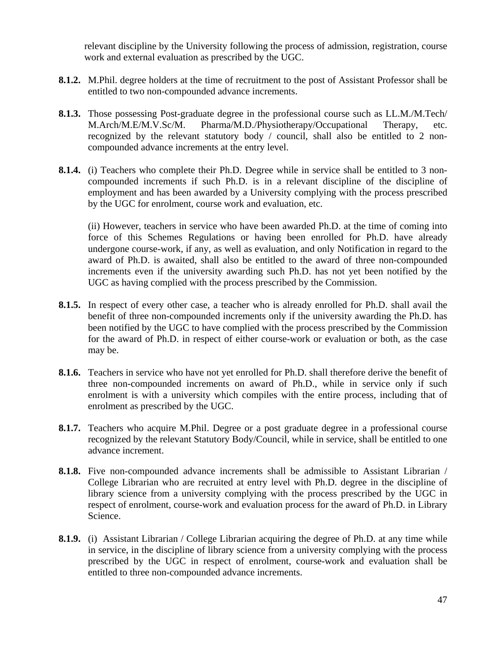relevant discipline by the University following the process of admission, registration, course work and external evaluation as prescribed by the UGC.

- **8.1.2.** M.Phil. degree holders at the time of recruitment to the post of Assistant Professor shall be entitled to two non-compounded advance increments.
- **8.1.3.** Those possessing Post-graduate degree in the professional course such as LL.M./M.Tech/ M.Arch/M.E/M.V.Sc/M. Pharma/M.D./Physiotherapy/Occupational Therapy, etc. recognized by the relevant statutory body / council, shall also be entitled to 2 noncompounded advance increments at the entry level.
- **8.1.4.** (i) Teachers who complete their Ph.D. Degree while in service shall be entitled to 3 noncompounded increments if such Ph.D. is in a relevant discipline of the discipline of employment and has been awarded by a University complying with the process prescribed by the UGC for enrolment, course work and evaluation, etc.

(ii) However, teachers in service who have been awarded Ph.D. at the time of coming into force of this Schemes Regulations or having been enrolled for Ph.D. have already undergone course-work, if any, as well as evaluation, and only Notification in regard to the award of Ph.D. is awaited, shall also be entitled to the award of three non-compounded increments even if the university awarding such Ph.D. has not yet been notified by the UGC as having complied with the process prescribed by the Commission.

- **8.1.5.** In respect of every other case, a teacher who is already enrolled for Ph.D. shall avail the benefit of three non-compounded increments only if the university awarding the Ph.D. has been notified by the UGC to have complied with the process prescribed by the Commission for the award of Ph.D. in respect of either course-work or evaluation or both, as the case may be.
- **8.1.6.** Teachers in service who have not yet enrolled for Ph.D. shall therefore derive the benefit of three non-compounded increments on award of Ph.D., while in service only if such enrolment is with a university which compiles with the entire process, including that of enrolment as prescribed by the UGC.
- **8.1.7.** Teachers who acquire M.Phil. Degree or a post graduate degree in a professional course recognized by the relevant Statutory Body/Council, while in service, shall be entitled to one advance increment.
- **8.1.8.** Five non-compounded advance increments shall be admissible to Assistant Librarian / College Librarian who are recruited at entry level with Ph.D. degree in the discipline of library science from a university complying with the process prescribed by the UGC in respect of enrolment, course-work and evaluation process for the award of Ph.D. in Library Science.
- **8.1.9.** (i) Assistant Librarian / College Librarian acquiring the degree of Ph.D. at any time while in service, in the discipline of library science from a university complying with the process prescribed by the UGC in respect of enrolment, course-work and evaluation shall be entitled to three non-compounded advance increments.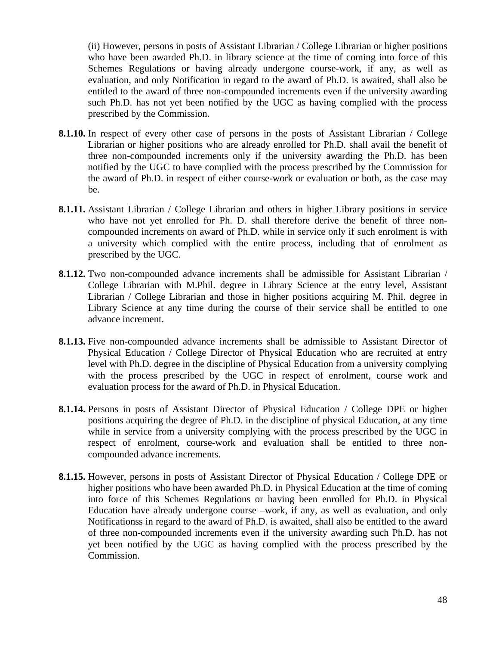(ii) However, persons in posts of Assistant Librarian / College Librarian or higher positions who have been awarded Ph.D. in library science at the time of coming into force of this Schemes Regulations or having already undergone course-work, if any, as well as evaluation, and only Notification in regard to the award of Ph.D. is awaited, shall also be entitled to the award of three non-compounded increments even if the university awarding such Ph.D. has not yet been notified by the UGC as having complied with the process prescribed by the Commission.

- **8.1.10.** In respect of every other case of persons in the posts of Assistant Librarian / College Librarian or higher positions who are already enrolled for Ph.D. shall avail the benefit of three non-compounded increments only if the university awarding the Ph.D. has been notified by the UGC to have complied with the process prescribed by the Commission for the award of Ph.D. in respect of either course-work or evaluation or both, as the case may be.
- **8.1.11.** Assistant Librarian / College Librarian and others in higher Library positions in service who have not yet enrolled for Ph. D. shall therefore derive the benefit of three noncompounded increments on award of Ph.D. while in service only if such enrolment is with a university which complied with the entire process, including that of enrolment as prescribed by the UGC.
- **8.1.12.** Two non-compounded advance increments shall be admissible for Assistant Librarian / College Librarian with M.Phil. degree in Library Science at the entry level, Assistant Librarian / College Librarian and those in higher positions acquiring M. Phil. degree in Library Science at any time during the course of their service shall be entitled to one advance increment.
- **8.1.13.** Five non-compounded advance increments shall be admissible to Assistant Director of Physical Education / College Director of Physical Education who are recruited at entry level with Ph.D. degree in the discipline of Physical Education from a university complying with the process prescribed by the UGC in respect of enrolment, course work and evaluation process for the award of Ph.D. in Physical Education.
- **8.1.14.** Persons in posts of Assistant Director of Physical Education / College DPE or higher positions acquiring the degree of Ph.D. in the discipline of physical Education, at any time while in service from a university complying with the process prescribed by the UGC in respect of enrolment, course-work and evaluation shall be entitled to three noncompounded advance increments.
- **8.1.15.** However, persons in posts of Assistant Director of Physical Education / College DPE or higher positions who have been awarded Ph.D. in Physical Education at the time of coming into force of this Schemes Regulations or having been enrolled for Ph.D. in Physical Education have already undergone course –work, if any, as well as evaluation, and only Notificationss in regard to the award of Ph.D. is awaited, shall also be entitled to the award of three non-compounded increments even if the university awarding such Ph.D. has not yet been notified by the UGC as having complied with the process prescribed by the Commission.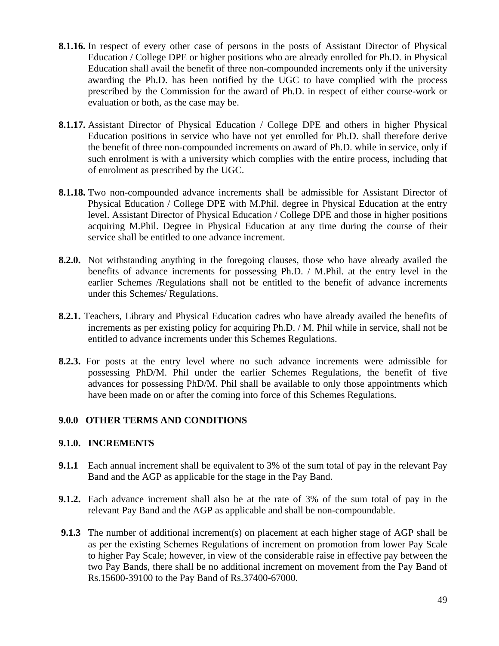- **8.1.16.** In respect of every other case of persons in the posts of Assistant Director of Physical Education / College DPE or higher positions who are already enrolled for Ph.D. in Physical Education shall avail the benefit of three non-compounded increments only if the university awarding the Ph.D. has been notified by the UGC to have complied with the process prescribed by the Commission for the award of Ph.D. in respect of either course-work or evaluation or both, as the case may be.
- **8.1.17.** Assistant Director of Physical Education / College DPE and others in higher Physical Education positions in service who have not yet enrolled for Ph.D. shall therefore derive the benefit of three non-compounded increments on award of Ph.D. while in service, only if such enrolment is with a university which complies with the entire process, including that of enrolment as prescribed by the UGC.
- **8.1.18.** Two non-compounded advance increments shall be admissible for Assistant Director of Physical Education / College DPE with M.Phil. degree in Physical Education at the entry level. Assistant Director of Physical Education / College DPE and those in higher positions acquiring M.Phil. Degree in Physical Education at any time during the course of their service shall be entitled to one advance increment.
- **8.2.0.** Not withstanding anything in the foregoing clauses, those who have already availed the benefits of advance increments for possessing Ph.D. / M.Phil. at the entry level in the earlier Schemes /Regulations shall not be entitled to the benefit of advance increments under this Schemes/ Regulations.
- **8.2.1.** Teachers, Library and Physical Education cadres who have already availed the benefits of increments as per existing policy for acquiring Ph.D. / M. Phil while in service, shall not be entitled to advance increments under this Schemes Regulations.
- **8.2.3.** For posts at the entry level where no such advance increments were admissible for possessing PhD/M. Phil under the earlier Schemes Regulations, the benefit of five advances for possessing PhD/M. Phil shall be available to only those appointments which have been made on or after the coming into force of this Schemes Regulations.

## **9.0.0 OTHER TERMS AND CONDITIONS**

#### **9.1.0. INCREMENTS**

- **9.1.1** Each annual increment shall be equivalent to 3% of the sum total of pay in the relevant Pay Band and the AGP as applicable for the stage in the Pay Band.
- **9.1.2.** Each advance increment shall also be at the rate of 3% of the sum total of pay in the relevant Pay Band and the AGP as applicable and shall be non-compoundable.
- **9.1.3** The number of additional increment(s) on placement at each higher stage of AGP shall be as per the existing Schemes Regulations of increment on promotion from lower Pay Scale to higher Pay Scale; however, in view of the considerable raise in effective pay between the two Pay Bands, there shall be no additional increment on movement from the Pay Band of Rs.15600-39100 to the Pay Band of Rs.37400-67000.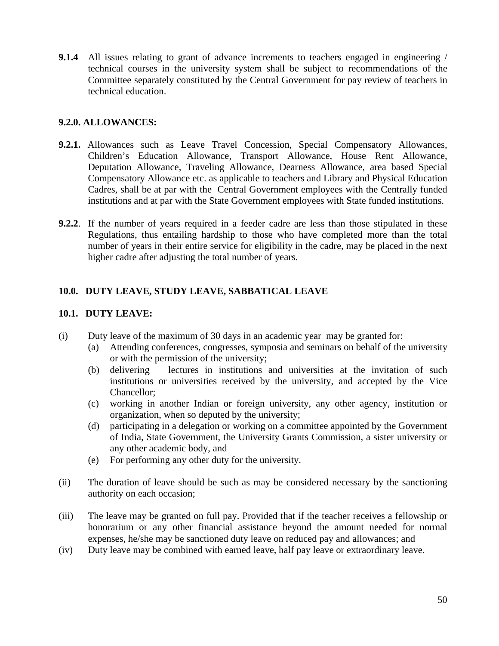**9.1.4** All issues relating to grant of advance increments to teachers engaged in engineering / technical courses in the university system shall be subject to recommendations of the Committee separately constituted by the Central Government for pay review of teachers in technical education.

#### **9.2.0. ALLOWANCES:**

- **9.2.1.** Allowances such as Leave Travel Concession, Special Compensatory Allowances, Children's Education Allowance, Transport Allowance, House Rent Allowance, Deputation Allowance, Traveling Allowance, Dearness Allowance, area based Special Compensatory Allowance etc. as applicable to teachers and Library and Physical Education Cadres, shall be at par with the Central Government employees with the Centrally funded institutions and at par with the State Government employees with State funded institutions.
- **9.2.2**. If the number of years required in a feeder cadre are less than those stipulated in these Regulations, thus entailing hardship to those who have completed more than the total number of years in their entire service for eligibility in the cadre, may be placed in the next higher cadre after adjusting the total number of years.

# **10.0. DUTY LEAVE, STUDY LEAVE, SABBATICAL LEAVE**

## **10.1. DUTY LEAVE:**

- (i) Duty leave of the maximum of 30 days in an academic year may be granted for:
	- (a) Attending conferences, congresses, symposia and seminars on behalf of the university or with the permission of the university;
	- (b) delivering lectures in institutions and universities at the invitation of such institutions or universities received by the university, and accepted by the Vice Chancellor;
	- (c) working in another Indian or foreign university, any other agency, institution or organization, when so deputed by the university;
	- (d) participating in a delegation or working on a committee appointed by the Government of India, State Government, the University Grants Commission, a sister university or any other academic body, and
	- (e) For performing any other duty for the university.
- (ii) The duration of leave should be such as may be considered necessary by the sanctioning authority on each occasion;
- (iii) The leave may be granted on full pay. Provided that if the teacher receives a fellowship or honorarium or any other financial assistance beyond the amount needed for normal expenses, he/she may be sanctioned duty leave on reduced pay and allowances; and
- (iv) Duty leave may be combined with earned leave, half pay leave or extraordinary leave.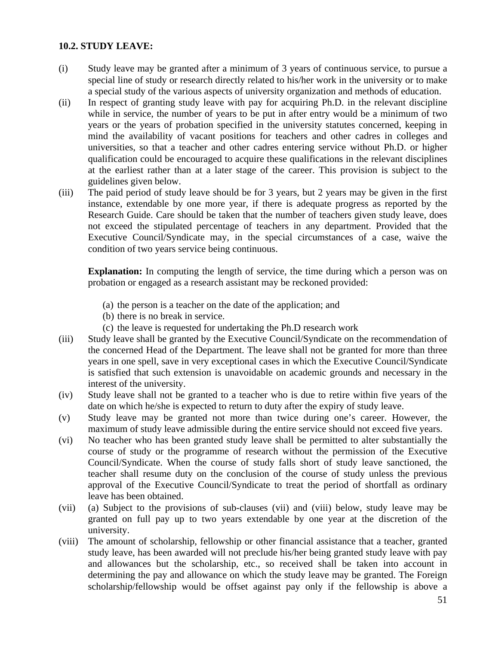#### **10.2. STUDY LEAVE:**

- (i) Study leave may be granted after a minimum of 3 years of continuous service, to pursue a special line of study or research directly related to his/her work in the university or to make a special study of the various aspects of university organization and methods of education.
- (ii) In respect of granting study leave with pay for acquiring Ph.D. in the relevant discipline while in service, the number of years to be put in after entry would be a minimum of two years or the years of probation specified in the university statutes concerned, keeping in mind the availability of vacant positions for teachers and other cadres in colleges and universities, so that a teacher and other cadres entering service without Ph.D. or higher qualification could be encouraged to acquire these qualifications in the relevant disciplines at the earliest rather than at a later stage of the career. This provision is subject to the guidelines given below.
- (iii) The paid period of study leave should be for 3 years, but 2 years may be given in the first instance, extendable by one more year, if there is adequate progress as reported by the Research Guide. Care should be taken that the number of teachers given study leave, does not exceed the stipulated percentage of teachers in any department. Provided that the Executive Council/Syndicate may, in the special circumstances of a case, waive the condition of two years service being continuous.

**Explanation:** In computing the length of service, the time during which a person was on probation or engaged as a research assistant may be reckoned provided:

- (a) the person is a teacher on the date of the application; and
- (b) there is no break in service.
- (c) the leave is requested for undertaking the Ph.D research work
- (iii) Study leave shall be granted by the Executive Council/Syndicate on the recommendation of the concerned Head of the Department. The leave shall not be granted for more than three years in one spell, save in very exceptional cases in which the Executive Council/Syndicate is satisfied that such extension is unavoidable on academic grounds and necessary in the interest of the university.
- (iv) Study leave shall not be granted to a teacher who is due to retire within five years of the date on which he/she is expected to return to duty after the expiry of study leave.
- (v) Study leave may be granted not more than twice during one's career. However, the maximum of study leave admissible during the entire service should not exceed five years.
- (vi) No teacher who has been granted study leave shall be permitted to alter substantially the course of study or the programme of research without the permission of the Executive Council/Syndicate. When the course of study falls short of study leave sanctioned, the teacher shall resume duty on the conclusion of the course of study unless the previous approval of the Executive Council/Syndicate to treat the period of shortfall as ordinary leave has been obtained.
- (vii) (a) Subject to the provisions of sub-clauses (vii) and (viii) below, study leave may be granted on full pay up to two years extendable by one year at the discretion of the university.
- (viii) The amount of scholarship, fellowship or other financial assistance that a teacher, granted study leave, has been awarded will not preclude his/her being granted study leave with pay and allowances but the scholarship, etc., so received shall be taken into account in determining the pay and allowance on which the study leave may be granted. The Foreign scholarship/fellowship would be offset against pay only if the fellowship is above a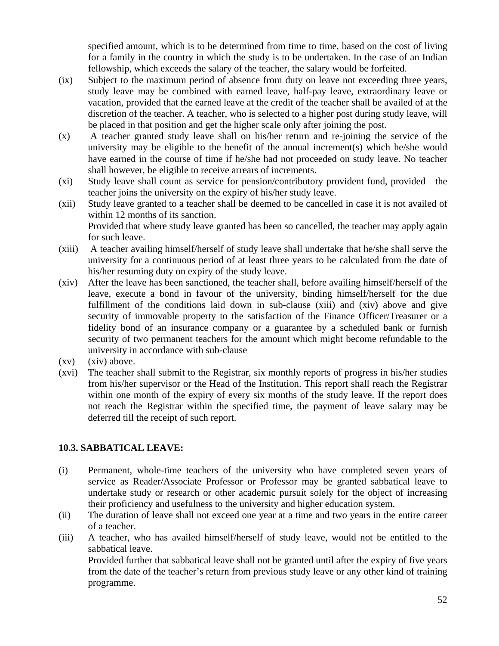specified amount, which is to be determined from time to time, based on the cost of living for a family in the country in which the study is to be undertaken. In the case of an Indian fellowship, which exceeds the salary of the teacher, the salary would be forfeited.

- (ix) Subject to the maximum period of absence from duty on leave not exceeding three years, study leave may be combined with earned leave, half-pay leave, extraordinary leave or vacation, provided that the earned leave at the credit of the teacher shall be availed of at the discretion of the teacher. A teacher, who is selected to a higher post during study leave, will be placed in that position and get the higher scale only after joining the post.
- (x) A teacher granted study leave shall on his/her return and re-joining the service of the university may be eligible to the benefit of the annual increment(s) which he/she would have earned in the course of time if he/she had not proceeded on study leave. No teacher shall however, be eligible to receive arrears of increments.
- (xi) Study leave shall count as service for pension/contributory provident fund, provided the teacher joins the university on the expiry of his/her study leave.
- (xii) Study leave granted to a teacher shall be deemed to be cancelled in case it is not availed of within 12 months of its sanction. Provided that where study leave granted has been so cancelled, the teacher may apply again for such leave.
- (xiii) A teacher availing himself/herself of study leave shall undertake that he/she shall serve the university for a continuous period of at least three years to be calculated from the date of his/her resuming duty on expiry of the study leave.
- (xiv) After the leave has been sanctioned, the teacher shall, before availing himself/herself of the leave, execute a bond in favour of the university, binding himself/herself for the due fulfillment of the conditions laid down in sub-clause (xiii) and (xiv) above and give security of immovable property to the satisfaction of the Finance Officer/Treasurer or a fidelity bond of an insurance company or a guarantee by a scheduled bank or furnish security of two permanent teachers for the amount which might become refundable to the university in accordance with sub-clause
- (xv) (xiv) above.
- (xvi) The teacher shall submit to the Registrar, six monthly reports of progress in his/her studies from his/her supervisor or the Head of the Institution. This report shall reach the Registrar within one month of the expiry of every six months of the study leave. If the report does not reach the Registrar within the specified time, the payment of leave salary may be deferred till the receipt of such report.

# **10.3. SABBATICAL LEAVE:**

- (i) Permanent, whole-time teachers of the university who have completed seven years of service as Reader/Associate Professor or Professor may be granted sabbatical leave to undertake study or research or other academic pursuit solely for the object of increasing their proficiency and usefulness to the university and higher education system.
- (ii) The duration of leave shall not exceed one year at a time and two years in the entire career of a teacher.
- (iii) A teacher, who has availed himself/herself of study leave, would not be entitled to the sabbatical leave.

Provided further that sabbatical leave shall not be granted until after the expiry of five years from the date of the teacher's return from previous study leave or any other kind of training programme.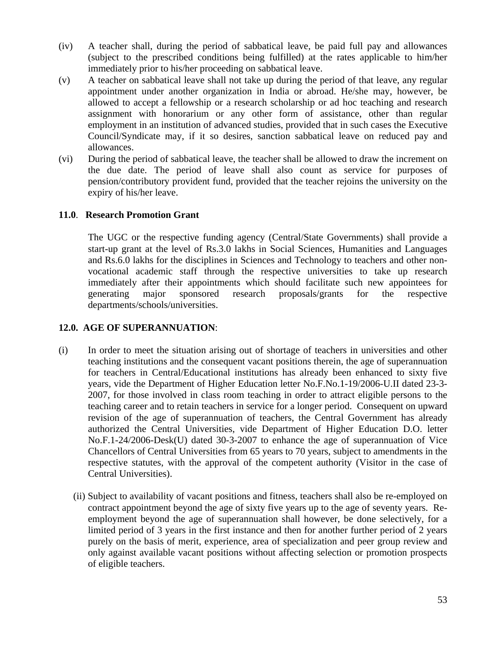- (iv) A teacher shall, during the period of sabbatical leave, be paid full pay and allowances (subject to the prescribed conditions being fulfilled) at the rates applicable to him/her immediately prior to his/her proceeding on sabbatical leave.
- (v) A teacher on sabbatical leave shall not take up during the period of that leave, any regular appointment under another organization in India or abroad. He/she may, however, be allowed to accept a fellowship or a research scholarship or ad hoc teaching and research assignment with honorarium or any other form of assistance, other than regular employment in an institution of advanced studies, provided that in such cases the Executive Council/Syndicate may, if it so desires, sanction sabbatical leave on reduced pay and allowances.
- (vi) During the period of sabbatical leave, the teacher shall be allowed to draw the increment on the due date. The period of leave shall also count as service for purposes of pension/contributory provident fund, provided that the teacher rejoins the university on the expiry of his/her leave.

#### **11.0**. **Research Promotion Grant**

The UGC or the respective funding agency (Central/State Governments) shall provide a start-up grant at the level of Rs.3.0 lakhs in Social Sciences, Humanities and Languages and Rs.6.0 lakhs for the disciplines in Sciences and Technology to teachers and other nonvocational academic staff through the respective universities to take up research immediately after their appointments which should facilitate such new appointees for generating major sponsored research proposals/grants for the respective departments/schools/universities.

## **12.0. AGE OF SUPERANNUATION**:

- (i) In order to meet the situation arising out of shortage of teachers in universities and other teaching institutions and the consequent vacant positions therein, the age of superannuation for teachers in Central/Educational institutions has already been enhanced to sixty five years, vide the Department of Higher Education letter No.F.No.1-19/2006-U.II dated 23-3- 2007, for those involved in class room teaching in order to attract eligible persons to the teaching career and to retain teachers in service for a longer period. Consequent on upward revision of the age of superannuation of teachers, the Central Government has already authorized the Central Universities, vide Department of Higher Education D.O. letter No.F.1-24/2006-Desk(U) dated 30-3-2007 to enhance the age of superannuation of Vice Chancellors of Central Universities from 65 years to 70 years, subject to amendments in the respective statutes, with the approval of the competent authority (Visitor in the case of Central Universities).
	- (ii) Subject to availability of vacant positions and fitness, teachers shall also be re-employed on contract appointment beyond the age of sixty five years up to the age of seventy years. Reemployment beyond the age of superannuation shall however, be done selectively, for a limited period of 3 years in the first instance and then for another further period of 2 years purely on the basis of merit, experience, area of specialization and peer group review and only against available vacant positions without affecting selection or promotion prospects of eligible teachers.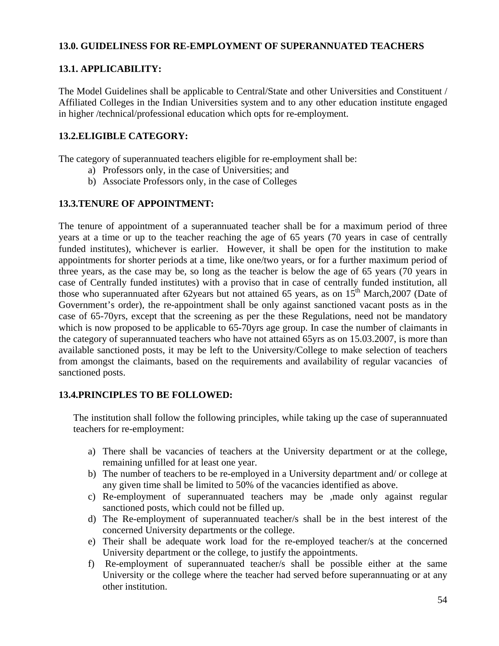#### **13.0. GUIDELINESS FOR RE-EMPLOYMENT OF SUPERANNUATED TEACHERS**

## **13.1. APPLICABILITY:**

The Model Guidelines shall be applicable to Central/State and other Universities and Constituent / Affiliated Colleges in the Indian Universities system and to any other education institute engaged in higher /technical/professional education which opts for re-employment.

# **13.2.ELIGIBLE CATEGORY:**

The category of superannuated teachers eligible for re-employment shall be:

- a) Professors only, in the case of Universities; and
- b) Associate Professors only, in the case of Colleges

## **13.3.TENURE OF APPOINTMENT:**

The tenure of appointment of a superannuated teacher shall be for a maximum period of three years at a time or up to the teacher reaching the age of 65 years (70 years in case of centrally funded institutes), whichever is earlier. However, it shall be open for the institution to make appointments for shorter periods at a time, like one/two years, or for a further maximum period of three years, as the case may be, so long as the teacher is below the age of 65 years (70 years in case of Centrally funded institutes) with a proviso that in case of centrally funded institution, all those who superannuated after 62years but not attained 65 years, as on  $15<sup>th</sup>$  March,2007 (Date of Government's order), the re-appointment shall be only against sanctioned vacant posts as in the case of 65-70yrs, except that the screening as per the these Regulations, need not be mandatory which is now proposed to be applicable to 65-70 yrs age group. In case the number of claimants in the category of superannuated teachers who have not attained 65yrs as on 15.03.2007, is more than available sanctioned posts, it may be left to the University/College to make selection of teachers from amongst the claimants, based on the requirements and availability of regular vacancies of sanctioned posts.

## **13.4.PRINCIPLES TO BE FOLLOWED:**

The institution shall follow the following principles, while taking up the case of superannuated teachers for re-employment:

- a) There shall be vacancies of teachers at the University department or at the college, remaining unfilled for at least one year.
- b) The number of teachers to be re-employed in a University department and/ or college at any given time shall be limited to 50% of the vacancies identified as above.
- c) Re-employment of superannuated teachers may be ,made only against regular sanctioned posts, which could not be filled up.
- d) The Re-employment of superannuated teacher/s shall be in the best interest of the concerned University departments or the college.
- e) Their shall be adequate work load for the re-employed teacher/s at the concerned University department or the college, to justify the appointments.
- f) Re-employment of superannuated teacher/s shall be possible either at the same University or the college where the teacher had served before superannuating or at any other institution.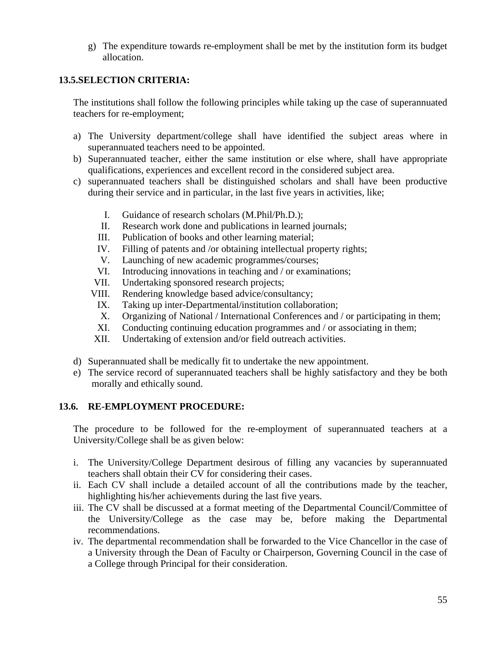g) The expenditure towards re-employment shall be met by the institution form its budget allocation.

## **13.5.SELECTION CRITERIA:**

The institutions shall follow the following principles while taking up the case of superannuated teachers for re-employment;

- a) The University department/college shall have identified the subject areas where in superannuated teachers need to be appointed.
- b) Superannuated teacher, either the same institution or else where, shall have appropriate qualifications, experiences and excellent record in the considered subject area.
- c) superannuated teachers shall be distinguished scholars and shall have been productive during their service and in particular, in the last five years in activities, like;
	- I. Guidance of research scholars (M.Phil/Ph.D.);
	- II. Research work done and publications in learned journals;
	- III. Publication of books and other learning material;
	- IV. Filling of patents and /or obtaining intellectual property rights;
	- V. Launching of new academic programmes/courses;
	- VI. Introducing innovations in teaching and / or examinations;
	- VII. Undertaking sponsored research projects;
	- VIII. Rendering knowledge based advice/consultancy;
		- IX. Taking up inter-Departmental/institution collaboration;
		- X. Organizing of National / International Conferences and / or participating in them;
		- XI. Conducting continuing education programmes and / or associating in them;
	- XII. Undertaking of extension and/or field outreach activities.
- d) Superannuated shall be medically fit to undertake the new appointment.
- e) The service record of superannuated teachers shall be highly satisfactory and they be both morally and ethically sound.

## **13.6. RE-EMPLOYMENT PROCEDURE:**

The procedure to be followed for the re-employment of superannuated teachers at a University/College shall be as given below:

- i. The University/College Department desirous of filling any vacancies by superannuated teachers shall obtain their CV for considering their cases.
- ii. Each CV shall include a detailed account of all the contributions made by the teacher, highlighting his/her achievements during the last five years.
- iii. The CV shall be discussed at a format meeting of the Departmental Council/Committee of the University/College as the case may be, before making the Departmental recommendations.
- iv. The departmental recommendation shall be forwarded to the Vice Chancellor in the case of a University through the Dean of Faculty or Chairperson, Governing Council in the case of a College through Principal for their consideration.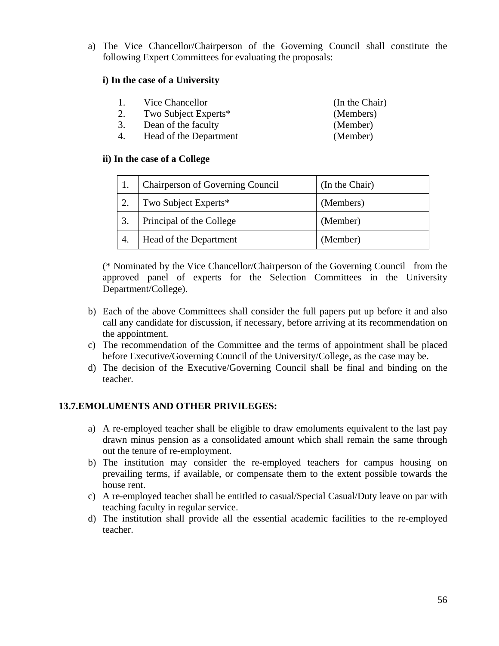a) The Vice Chancellor/Chairperson of the Governing Council shall constitute the following Expert Committees for evaluating the proposals:

## **i) In the case of a University**

| Vice Chancellor      | (In the Chair) |
|----------------------|----------------|
| Two Subject Experts* | (Members)      |
|                      |                |

- 3. Dean of the faculty (Member)
- 4. Head of the Department (Member)

## **ii) In the case of a College**

| <b>Chairperson of Governing Council</b> | (In the Chair) |
|-----------------------------------------|----------------|
| Two Subject Experts*                    | (Members)      |
| Principal of the College                | (Member)       |
| Head of the Department                  | (Member)       |

(\* Nominated by the Vice Chancellor/Chairperson of the Governing Council from the approved panel of experts for the Selection Committees in the University Department/College).

- b) Each of the above Committees shall consider the full papers put up before it and also call any candidate for discussion, if necessary, before arriving at its recommendation on the appointment.
- c) The recommendation of the Committee and the terms of appointment shall be placed before Executive/Governing Council of the University/College, as the case may be.
- d) The decision of the Executive/Governing Council shall be final and binding on the teacher.

## **13.7.EMOLUMENTS AND OTHER PRIVILEGES:**

- a) A re-employed teacher shall be eligible to draw emoluments equivalent to the last pay drawn minus pension as a consolidated amount which shall remain the same through out the tenure of re-employment.
- b) The institution may consider the re-employed teachers for campus housing on prevailing terms, if available, or compensate them to the extent possible towards the house rent.
- c) A re-employed teacher shall be entitled to casual/Special Casual/Duty leave on par with teaching faculty in regular service.
- d) The institution shall provide all the essential academic facilities to the re-employed teacher.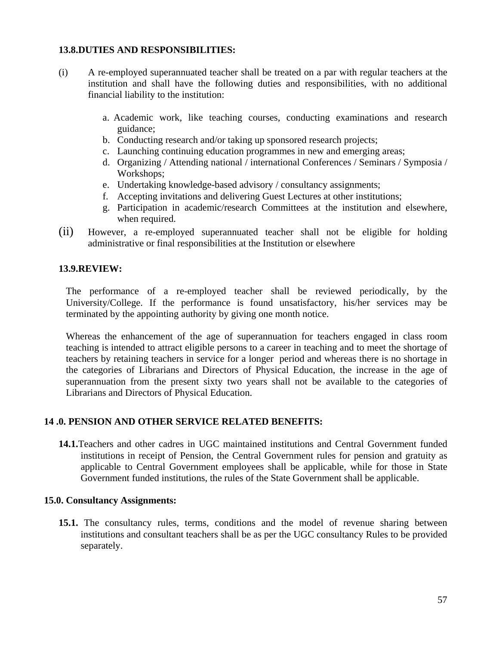#### **13.8.DUTIES AND RESPONSIBILITIES:**

- (i) A re-employed superannuated teacher shall be treated on a par with regular teachers at the institution and shall have the following duties and responsibilities, with no additional financial liability to the institution:
	- a. Academic work, like teaching courses, conducting examinations and research guidance;
	- b. Conducting research and/or taking up sponsored research projects;
	- c. Launching continuing education programmes in new and emerging areas;
	- d. Organizing / Attending national / international Conferences / Seminars / Symposia / Workshops;
	- e. Undertaking knowledge-based advisory / consultancy assignments;
	- f. Accepting invitations and delivering Guest Lectures at other institutions;
	- g. Participation in academic/research Committees at the institution and elsewhere, when required.
- (ii) However, a re-employed superannuated teacher shall not be eligible for holding administrative or final responsibilities at the Institution or elsewhere

## **13.9.REVIEW:**

The performance of a re-employed teacher shall be reviewed periodically, by the University/College. If the performance is found unsatisfactory, his/her services may be terminated by the appointing authority by giving one month notice.

Whereas the enhancement of the age of superannuation for teachers engaged in class room teaching is intended to attract eligible persons to a career in teaching and to meet the shortage of teachers by retaining teachers in service for a longer period and whereas there is no shortage in the categories of Librarians and Directors of Physical Education, the increase in the age of superannuation from the present sixty two years shall not be available to the categories of Librarians and Directors of Physical Education.

## **14 .0. PENSION AND OTHER SERVICE RELATED BENEFITS:**

**14.1.**Teachers and other cadres in UGC maintained institutions and Central Government funded institutions in receipt of Pension, the Central Government rules for pension and gratuity as applicable to Central Government employees shall be applicable, while for those in State Government funded institutions, the rules of the State Government shall be applicable.

#### **15.0. Consultancy Assignments:**

**15.1.** The consultancy rules, terms, conditions and the model of revenue sharing between institutions and consultant teachers shall be as per the UGC consultancy Rules to be provided separately.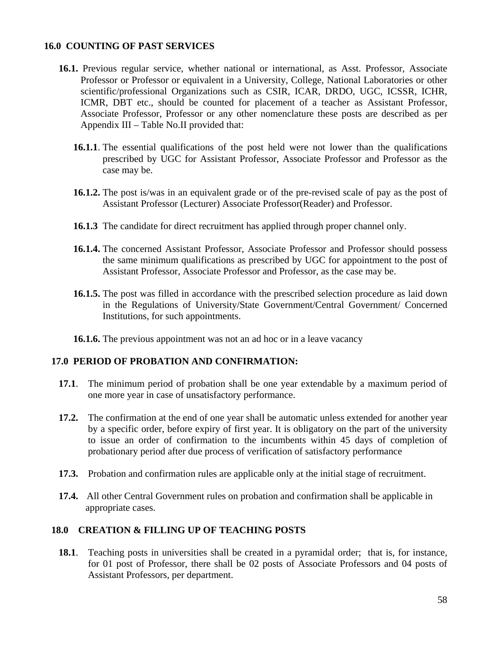#### **16.0 COUNTING OF PAST SERVICES**

- **16.1.** Previous regular service, whether national or international, as Asst. Professor, Associate Professor or Professor or equivalent in a University, College, National Laboratories or other scientific/professional Organizations such as CSIR, ICAR, DRDO, UGC, ICSSR, ICHR, ICMR, DBT etc., should be counted for placement of a teacher as Assistant Professor, Associate Professor, Professor or any other nomenclature these posts are described as per Appendix III – Table No.II provided that:
	- **16.1.1**. The essential qualifications of the post held were not lower than the qualifications prescribed by UGC for Assistant Professor, Associate Professor and Professor as the case may be.
	- **16.1.2.** The post is/was in an equivalent grade or of the pre-revised scale of pay as the post of Assistant Professor (Lecturer) Associate Professor(Reader) and Professor.
	- **16.1.3** The candidate for direct recruitment has applied through proper channel only.
	- **16.1.4.** The concerned Assistant Professor, Associate Professor and Professor should possess the same minimum qualifications as prescribed by UGC for appointment to the post of Assistant Professor, Associate Professor and Professor, as the case may be.
	- **16.1.5.** The post was filled in accordance with the prescribed selection procedure as laid down in the Regulations of University/State Government/Central Government/ Concerned Institutions, for such appointments.
	- **16.1.6.** The previous appointment was not an ad hoc or in a leave vacancy

#### **17.0 PERIOD OF PROBATION AND CONFIRMATION:**

- **17.1**. The minimum period of probation shall be one year extendable by a maximum period of one more year in case of unsatisfactory performance.
- **17.2.** The confirmation at the end of one year shall be automatic unless extended for another year by a specific order, before expiry of first year. It is obligatory on the part of the university to issue an order of confirmation to the incumbents within 45 days of completion of probationary period after due process of verification of satisfactory performance
- **17.3.** Probation and confirmation rules are applicable only at the initial stage of recruitment.
- **17.4.** All other Central Government rules on probation and confirmation shall be applicable in appropriate cases.

## **18.0 CREATION & FILLING UP OF TEACHING POSTS**

**18.1**. Teaching posts in universities shall be created in a pyramidal order; that is, for instance, for 01 post of Professor, there shall be 02 posts of Associate Professors and 04 posts of Assistant Professors, per department.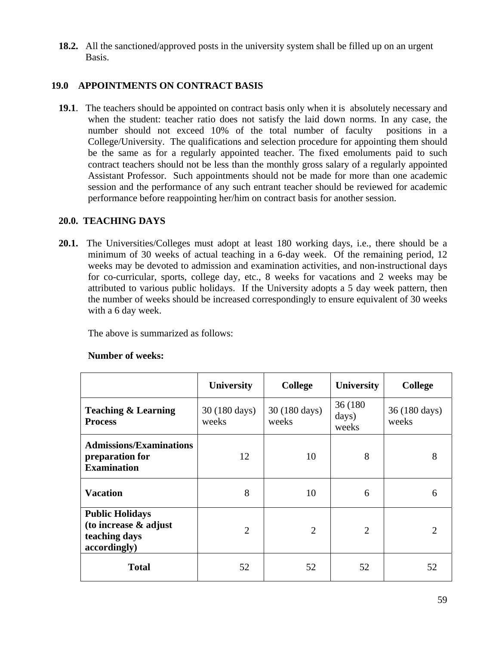**18.2.** All the sanctioned/approved posts in the university system shall be filled up on an urgent Basis.

## **19.0 APPOINTMENTS ON CONTRACT BASIS**

**19.1**. The teachers should be appointed on contract basis only when it is absolutely necessary and when the student: teacher ratio does not satisfy the laid down norms. In any case, the number should not exceed 10% of the total number of faculty positions in a College/University. The qualifications and selection procedure for appointing them should be the same as for a regularly appointed teacher. The fixed emoluments paid to such contract teachers should not be less than the monthly gross salary of a regularly appointed Assistant Professor. Such appointments should not be made for more than one academic session and the performance of any such entrant teacher should be reviewed for academic performance before reappointing her/him on contract basis for another session.

## **20.0. TEACHING DAYS**

**20.1.** The Universities/Colleges must adopt at least 180 working days, i.e., there should be a minimum of 30 weeks of actual teaching in a 6-day week. Of the remaining period, 12 weeks may be devoted to admission and examination activities, and non-instructional days for co-curricular, sports, college day, etc., 8 weeks for vacations and 2 weeks may be attributed to various public holidays. If the University adopts a 5 day week pattern, then the number of weeks should be increased correspondingly to ensure equivalent of 30 weeks with a 6 day week.

The above is summarized as follows:

#### **Number of weeks:**

|                                                                                     | <b>University</b>      | <b>College</b>         | <b>University</b>          | <b>College</b>         |
|-------------------------------------------------------------------------------------|------------------------|------------------------|----------------------------|------------------------|
| <b>Teaching &amp; Learning</b><br><b>Process</b>                                    | 30 (180 days)<br>weeks | 30 (180 days)<br>weeks | 36 (180)<br>days)<br>weeks | 36 (180 days)<br>weeks |
| <b>Admissions/Examinations</b><br>preparation for<br><b>Examination</b>             | 12                     | 10                     | 8                          | 8                      |
| <b>Vacation</b>                                                                     | 8                      | 10                     | 6                          | 6                      |
| <b>Public Holidays</b><br>(to increase $\&$ adjust<br>teaching days<br>accordingly) | $\overline{2}$         | $\overline{2}$         | $\overline{2}$             | 2                      |
| <b>Total</b>                                                                        | 52                     | 52                     | 52                         | 52                     |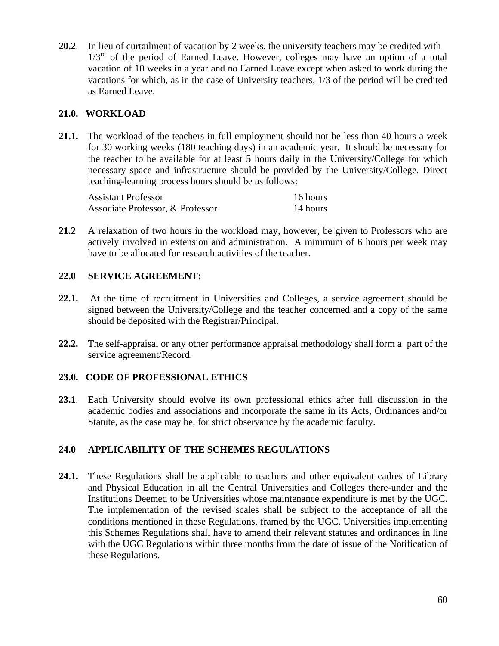**20.2**. In lieu of curtailment of vacation by 2 weeks, the university teachers may be credited with  $1/3<sup>rd</sup>$  of the period of Earned Leave. However, colleges may have an option of a total vacation of 10 weeks in a year and no Earned Leave except when asked to work during the vacations for which, as in the case of University teachers, 1/3 of the period will be credited as Earned Leave.

#### **21.0. WORKLOAD**

**21.1.** The workload of the teachers in full employment should not be less than 40 hours a week for 30 working weeks (180 teaching days) in an academic year. It should be necessary for the teacher to be available for at least 5 hours daily in the University/College for which necessary space and infrastructure should be provided by the University/College. Direct teaching-learning process hours should be as follows:

| <b>Assistant Professor</b>       | 16 hours |
|----------------------------------|----------|
| Associate Professor, & Professor | 14 hours |

**21.2** A relaxation of two hours in the workload may, however, be given to Professors who are actively involved in extension and administration. A minimum of 6 hours per week may have to be allocated for research activities of the teacher.

#### **22.0 SERVICE AGREEMENT:**

- **22.1.** At the time of recruitment in Universities and Colleges, a service agreement should be signed between the University/College and the teacher concerned and a copy of the same should be deposited with the Registrar/Principal.
- **22.2.** The self-appraisal or any other performance appraisal methodology shall form a part of the service agreement/Record.

## **23.0. CODE OF PROFESSIONAL ETHICS**

**23.1**. Each University should evolve its own professional ethics after full discussion in the academic bodies and associations and incorporate the same in its Acts, Ordinances and/or Statute, as the case may be, for strict observance by the academic faculty.

## **24.0 APPLICABILITY OF THE SCHEMES REGULATIONS**

**24.1.** These Regulations shall be applicable to teachers and other equivalent cadres of Library and Physical Education in all the Central Universities and Colleges there-under and the Institutions Deemed to be Universities whose maintenance expenditure is met by the UGC. The implementation of the revised scales shall be subject to the acceptance of all the conditions mentioned in these Regulations, framed by the UGC. Universities implementing this Schemes Regulations shall have to amend their relevant statutes and ordinances in line with the UGC Regulations within three months from the date of issue of the Notification of these Regulations.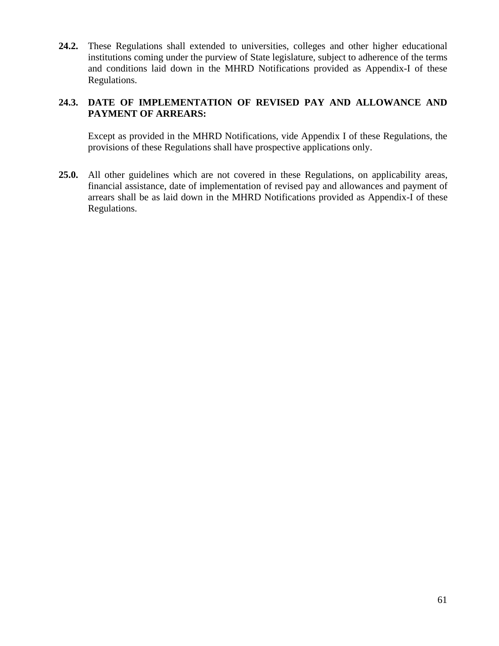**24.2.** These Regulations shall extended to universities, colleges and other higher educational institutions coming under the purview of State legislature, subject to adherence of the terms and conditions laid down in the MHRD Notifications provided as Appendix-I of these Regulations.

## **24.3. DATE OF IMPLEMENTATION OF REVISED PAY AND ALLOWANCE AND PAYMENT OF ARREARS:**

Except as provided in the MHRD Notifications, vide Appendix I of these Regulations, the provisions of these Regulations shall have prospective applications only.

**25.0.** All other guidelines which are not covered in these Regulations, on applicability areas, financial assistance, date of implementation of revised pay and allowances and payment of arrears shall be as laid down in the MHRD Notifications provided as Appendix-I of these Regulations.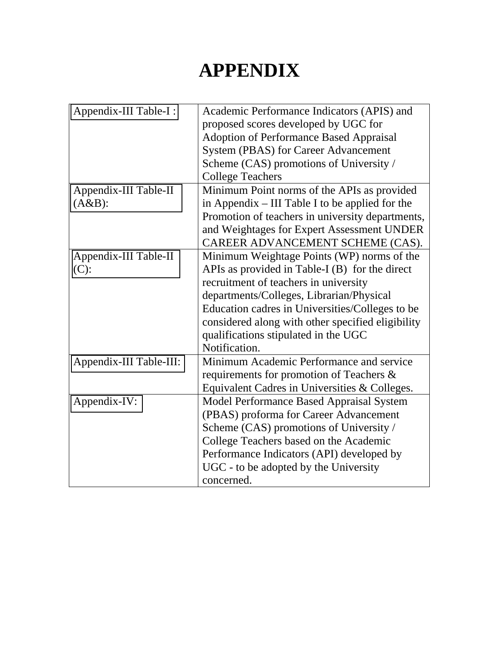# **APPENDIX**

<span id="page-61-0"></span>

| Appendix-III Table-I :  | Academic Performance Indicators (APIS) and        |
|-------------------------|---------------------------------------------------|
|                         | proposed scores developed by UGC for              |
|                         | <b>Adoption of Performance Based Appraisal</b>    |
|                         | <b>System (PBAS) for Career Advancement</b>       |
|                         | Scheme (CAS) promotions of University /           |
|                         | <b>College Teachers</b>                           |
| Appendix-III Table-II   | Minimum Point norms of the APIs as provided       |
| (A&B):                  | in Appendix $-$ III Table I to be applied for the |
|                         | Promotion of teachers in university departments,  |
|                         | and Weightages for Expert Assessment UNDER        |
|                         | CAREER ADVANCEMENT SCHEME (CAS).                  |
| Appendix-III Table-II   | Minimum Weightage Points (WP) norms of the        |
| (C):                    | APIs as provided in Table-I (B) for the direct    |
|                         | recruitment of teachers in university             |
|                         | departments/Colleges, Librarian/Physical          |
|                         | Education cadres in Universities/Colleges to be   |
|                         | considered along with other specified eligibility |
|                         | qualifications stipulated in the UGC              |
|                         | Notification.                                     |
| Appendix-III Table-III: | Minimum Academic Performance and service          |
|                         | requirements for promotion of Teachers &          |
|                         | Equivalent Cadres in Universities & Colleges.     |
| Appendix-IV:            | Model Performance Based Appraisal System          |
|                         | (PBAS) proforma for Career Advancement            |
|                         | Scheme (CAS) promotions of University /           |
|                         | College Teachers based on the Academic            |
|                         | Performance Indicators (API) developed by         |
|                         | UGC - to be adopted by the University             |
|                         | concerned.                                        |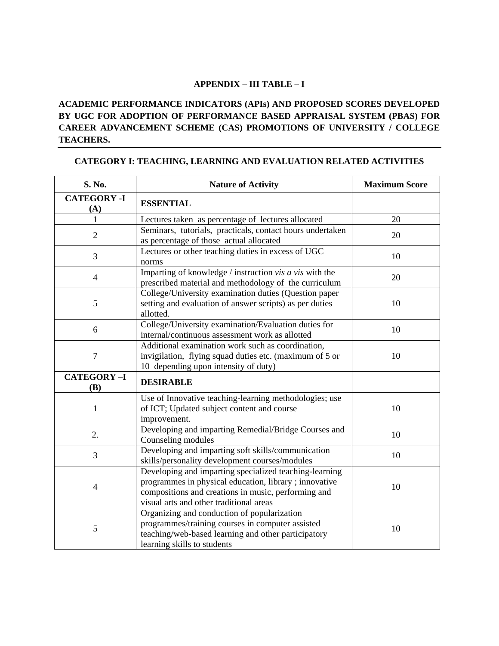#### **APPENDIX – III TABLE – I**

## **ACADEMIC PERFORMANCE INDICATORS (APIs) AND PROPOSED SCORES DEVELOPED BY UGC FOR ADOPTION OF PERFORMANCE BASED APPRAISAL SYSTEM (PBAS) FOR CAREER ADVANCEMENT SCHEME (CAS) PROMOTIONS OF UNIVERSITY / COLLEGE TEACHERS.**

#### **CATEGORY I: TEACHING, LEARNING AND EVALUATION RELATED ACTIVITIES**

| S. No.                    | <b>Nature of Activity</b>                                                                                                                                                                                         |    |
|---------------------------|-------------------------------------------------------------------------------------------------------------------------------------------------------------------------------------------------------------------|----|
| <b>CATEGORY -I</b><br>(A) | <b>ESSENTIAL</b>                                                                                                                                                                                                  |    |
|                           | Lectures taken as percentage of lectures allocated                                                                                                                                                                | 20 |
| $\overline{2}$            | Seminars, tutorials, practicals, contact hours undertaken<br>as percentage of those actual allocated                                                                                                              | 20 |
| 3                         | Lectures or other teaching duties in excess of UGC<br>norms                                                                                                                                                       | 10 |
| $\overline{4}$            | Imparting of knowledge / instruction $vis a vis$ with the<br>prescribed material and methodology of the curriculum                                                                                                | 20 |
| 5                         | College/University examination duties (Question paper<br>setting and evaluation of answer scripts) as per duties<br>allotted.                                                                                     | 10 |
| 6                         | College/University examination/Evaluation duties for<br>internal/continuous assessment work as allotted                                                                                                           | 10 |
| $\tau$                    | Additional examination work such as coordination,<br>invigilation, flying squad duties etc. (maximum of 5 or<br>10 depending upon intensity of duty)                                                              | 10 |
| <b>CATEGORY-I</b><br>(B)  | <b>DESIRABLE</b>                                                                                                                                                                                                  |    |
| 1                         | Use of Innovative teaching-learning methodologies; use<br>of ICT; Updated subject content and course<br>improvement.                                                                                              | 10 |
| 2.                        | Developing and imparting Remedial/Bridge Courses and<br>Counseling modules                                                                                                                                        | 10 |
| 3                         | Developing and imparting soft skills/communication<br>skills/personality development courses/modules                                                                                                              | 10 |
| 4                         | Developing and imparting specialized teaching-learning<br>programmes in physical education, library; innovative<br>compositions and creations in music, performing and<br>visual arts and other traditional areas | 10 |
| 5                         | Organizing and conduction of popularization<br>programmes/training courses in computer assisted<br>teaching/web-based learning and other participatory<br>learning skills to students                             | 10 |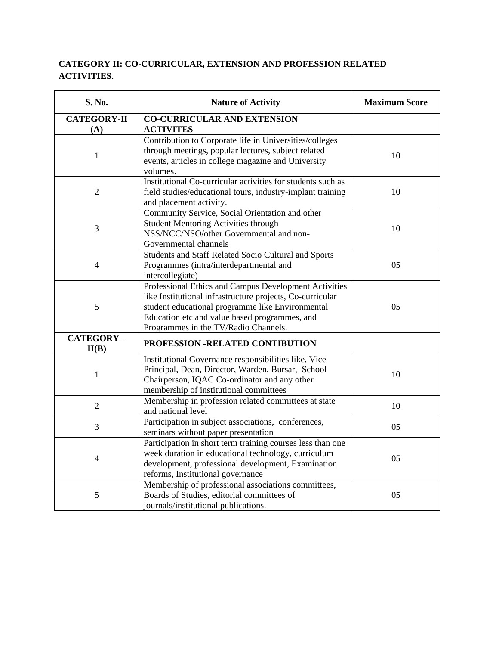# **CATEGORY II: CO-CURRICULAR, EXTENSION AND PROFESSION RELATED ACTIVITIES.**

| S. No.             | <b>Nature of Activity</b>                                                                                                                                                                                                                                       | <b>Maximum Score</b> |
|--------------------|-----------------------------------------------------------------------------------------------------------------------------------------------------------------------------------------------------------------------------------------------------------------|----------------------|
| CATEGORY-II<br>(A) | <b>CO-CURRICULAR AND EXTENSION</b><br><b>ACTIVITES</b>                                                                                                                                                                                                          |                      |
| $\mathbf{1}$       | Contribution to Corporate life in Universities/colleges<br>through meetings, popular lectures, subject related<br>events, articles in college magazine and University<br>volumes.                                                                               | 10                   |
| $\overline{2}$     | Institutional Co-curricular activities for students such as<br>field studies/educational tours, industry-implant training<br>and placement activity.                                                                                                            | 10                   |
| 3                  | Community Service, Social Orientation and other<br><b>Student Mentoring Activities through</b><br>NSS/NCC/NSO/other Governmental and non-<br>Governmental channels                                                                                              | 10                   |
| $\overline{4}$     | Students and Staff Related Socio Cultural and Sports<br>Programmes (intra/interdepartmental and<br>intercollegiate)                                                                                                                                             | 05                   |
| 5                  | Professional Ethics and Campus Development Activities<br>like Institutional infrastructure projects, Co-curricular<br>student educational programme like Environmental<br>Education etc and value based programmes, and<br>Programmes in the TV/Radio Channels. | 05                   |
| CATEGORY-<br>II(B) | PROFESSION - RELATED CONTIBUTION                                                                                                                                                                                                                                |                      |
| $\mathbf{1}$       | Institutional Governance responsibilities like, Vice<br>Principal, Dean, Director, Warden, Bursar, School<br>Chairperson, IQAC Co-ordinator and any other<br>membership of institutional committees                                                             | 10                   |
| $\overline{2}$     | Membership in profession related committees at state<br>and national level                                                                                                                                                                                      | 10                   |
| 3                  | Participation in subject associations, conferences,<br>seminars without paper presentation                                                                                                                                                                      | 05                   |
| $\overline{4}$     | Participation in short term training courses less than one<br>week duration in educational technology, curriculum<br>development, professional development, Examination<br>reforms, Institutional governance                                                    | 05                   |
| 5                  | Membership of professional associations committees,<br>Boards of Studies, editorial committees of<br>journals/institutional publications.                                                                                                                       | 05                   |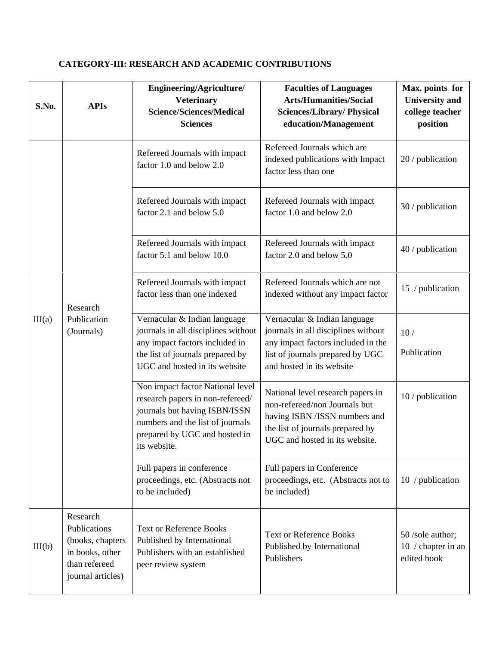# **CATEGORY-III: RESEARCH AND ACADEMIC CONTRIBUTIONS**

| S.No.  | <b>APIs</b>                                                                                           | Engineering/Agriculture/<br><b>Veterinary</b><br><b>Science/Sciences/Medical</b><br><b>Sciences</b>                                                                                        | <b>Faculties of Languages</b><br><b>Arts/Humanities/Social</b><br><b>Sciences/Library/Physical</b><br>education/Management                                                 | Max. points for<br><b>University and</b><br>college teacher<br>position |
|--------|-------------------------------------------------------------------------------------------------------|--------------------------------------------------------------------------------------------------------------------------------------------------------------------------------------------|----------------------------------------------------------------------------------------------------------------------------------------------------------------------------|-------------------------------------------------------------------------|
|        |                                                                                                       | Refereed Journals with impact<br>factor 1.0 and below 2.0                                                                                                                                  | Refereed Journals which are<br>indexed publications with Impact<br>factor less than one                                                                                    | 20 / publication                                                        |
|        |                                                                                                       | Refereed Journals with impact<br>factor 2.1 and below 5.0                                                                                                                                  | Refereed Journals with impact<br>factor 1.0 and below 2.0                                                                                                                  | 30 / publication                                                        |
|        |                                                                                                       | Refereed Journals with impact<br>factor 5.1 and below 10.0                                                                                                                                 | Refereed Journals with impact<br>factor 2.0 and below 5.0                                                                                                                  | 40 / publication                                                        |
| III(a) | Research<br>Publication<br>(Journals)                                                                 | Refereed Journals with impact<br>factor less than one indexed                                                                                                                              | Refereed Journals which are not<br>indexed without any impact factor                                                                                                       | 15 / publication                                                        |
|        |                                                                                                       | Vernacular & Indian language<br>journals in all disciplines without<br>any impact factors included in<br>the list of journals prepared by<br>UGC and hosted in its website                 | Vernacular & Indian language<br>journals in all disciplines without<br>any impact factors included in the<br>list of journals prepared by UGC<br>and hosted in its website | 10/<br>Publication                                                      |
|        |                                                                                                       | Non impact factor National level<br>research papers in non-refereed/<br>journals but having ISBN/ISSN<br>numbers and the list of journals<br>prepared by UGC and hosted in<br>its website. | National level research papers in<br>non-refereed/non Journals but<br>having ISBN /ISSN numbers and<br>the list of journals prepared by<br>UGC and hosted in its website.  | 10 / publication                                                        |
|        |                                                                                                       | Full papers in conference<br>proceedings, etc. (Abstracts not<br>to be included)                                                                                                           | Full papers in Conference<br>proceedings, etc. (Abstracts not to<br>be included)                                                                                           | $10 / \text{publication}$                                               |
| III(b) | Research<br>Publications<br>(books, chapters<br>in books, other<br>than refereed<br>journal articles) | <b>Text or Reference Books</b><br>Published by International<br>Publishers with an established<br>peer review system                                                                       | <b>Text or Reference Books</b><br>Published by International<br>Publishers                                                                                                 | 50 /sole author;<br>10 / chapter in an<br>edited book                   |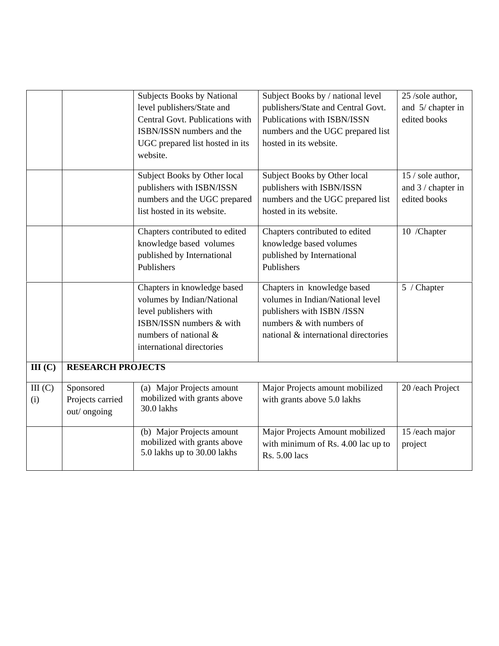|                |                                              | <b>Subjects Books by National</b><br>level publishers/State and<br>Central Govt. Publications with<br>ISBN/ISSN numbers and the<br>UGC prepared list hosted in its<br>website. | Subject Books by / national level<br>publishers/State and Central Govt.<br>Publications with ISBN/ISSN<br>numbers and the UGC prepared list<br>hosted in its website. | 25 /sole author,<br>and 5/ chapter in<br>edited books   |
|----------------|----------------------------------------------|--------------------------------------------------------------------------------------------------------------------------------------------------------------------------------|-----------------------------------------------------------------------------------------------------------------------------------------------------------------------|---------------------------------------------------------|
|                |                                              | Subject Books by Other local<br>publishers with ISBN/ISSN<br>numbers and the UGC prepared<br>list hosted in its website.                                                       | Subject Books by Other local<br>publishers with ISBN/ISSN<br>numbers and the UGC prepared list<br>hosted in its website.                                              | 15 / sole author,<br>and 3 / chapter in<br>edited books |
|                |                                              | Chapters contributed to edited<br>knowledge based volumes<br>published by International<br>Publishers                                                                          | Chapters contributed to edited<br>knowledge based volumes<br>published by International<br>Publishers                                                                 | 10 /Chapter                                             |
|                |                                              | Chapters in knowledge based<br>volumes by Indian/National<br>level publishers with<br>ISBN/ISSN numbers & with<br>numbers of national &<br>international directories           | Chapters in knowledge based<br>volumes in Indian/National level<br>publishers with ISBN /ISSN<br>numbers & with numbers of<br>national & international directories    | 5 / Chapter                                             |
| III(C)         | <b>RESEARCH PROJECTS</b>                     |                                                                                                                                                                                |                                                                                                                                                                       |                                                         |
| III (C)<br>(i) | Sponsored<br>Projects carried<br>out/ongoing | (a) Major Projects amount<br>mobilized with grants above<br>30.0 lakhs                                                                                                         | Major Projects amount mobilized<br>with grants above 5.0 lakhs                                                                                                        | 20 /each Project                                        |
|                |                                              | (b) Major Projects amount<br>mobilized with grants above<br>5.0 lakhs up to 30.00 lakhs                                                                                        | Major Projects Amount mobilized<br>with minimum of Rs. 4.00 lac up to<br>Rs. 5.00 lacs                                                                                | 15 /each major<br>project                               |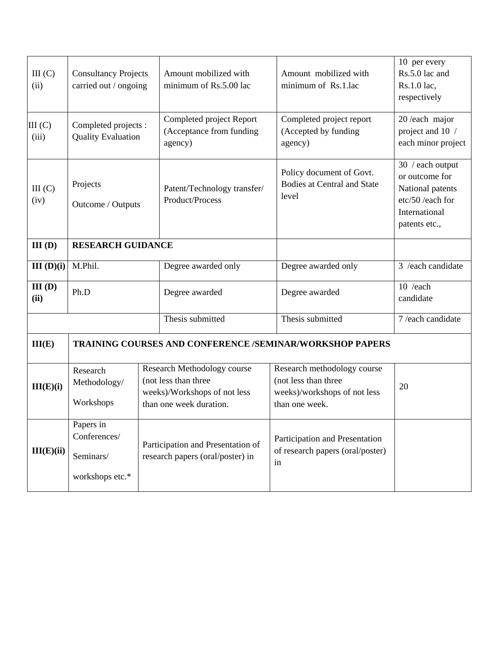| III(C)<br>(ii)      | <b>Consultancy Projects</b><br>carried out / ongoing      |  | Amount mobilized with<br>minimum of Rs.5.00 lac                                                                | Amount mobilized with<br>minimum of Rs.1.lac                                                          | 10 per every<br>Rs.5.0 lac and<br>Rs.1.0 lac,<br>respectively                                                |
|---------------------|-----------------------------------------------------------|--|----------------------------------------------------------------------------------------------------------------|-------------------------------------------------------------------------------------------------------|--------------------------------------------------------------------------------------------------------------|
| III (C)<br>(iii)    | Completed projects :<br><b>Quality Evaluation</b>         |  | Completed project Report<br>(Acceptance from funding<br>agency)                                                | Completed project report<br>(Accepted by funding<br>agency)                                           | 20 /each major<br>project and 10 /<br>each minor project                                                     |
| III (C)<br>(iv)     | Projects<br>Outcome / Outputs                             |  | Patent/Technology transfer/<br>Product/Process                                                                 | Policy document of Govt.<br><b>Bodies at Central and State</b><br>level                               | 30 / each output<br>or outcome for<br>National patents<br>etc/50 /each for<br>International<br>patents etc., |
| $III$ $(D)$         | <b>RESEARCH GUIDANCE</b>                                  |  |                                                                                                                |                                                                                                       |                                                                                                              |
| III (D)(i)          | M.Phil.                                                   |  | Degree awarded only                                                                                            | Degree awarded only                                                                                   | 3 /each candidate                                                                                            |
| $III$ $(D)$<br>(ii) | Ph.D                                                      |  | Degree awarded                                                                                                 | Degree awarded                                                                                        | 10 /each<br>candidate                                                                                        |
|                     |                                                           |  | Thesis submitted                                                                                               | Thesis submitted                                                                                      | 7/each candidate                                                                                             |
| III(E)              |                                                           |  |                                                                                                                | <b>TRAINING COURSES AND CONFERENCE /SEMINAR/WORKSHOP PAPERS</b>                                       |                                                                                                              |
| III(E)(i)           | Research<br>Methodology/<br>Workshops                     |  | Research Methodology course<br>(not less than three<br>weeks)/Workshops of not less<br>than one week duration. | Research methodology course<br>(not less than three<br>weeks)/workshops of not less<br>than one week. | 20                                                                                                           |
| III(E)(ii)          | Papers in<br>Conferences/<br>Seminars/<br>workshops etc.* |  | Participation and Presentation of<br>research papers (oral/poster) in                                          | Participation and Presentation<br>of research papers (oral/poster)<br>in                              |                                                                                                              |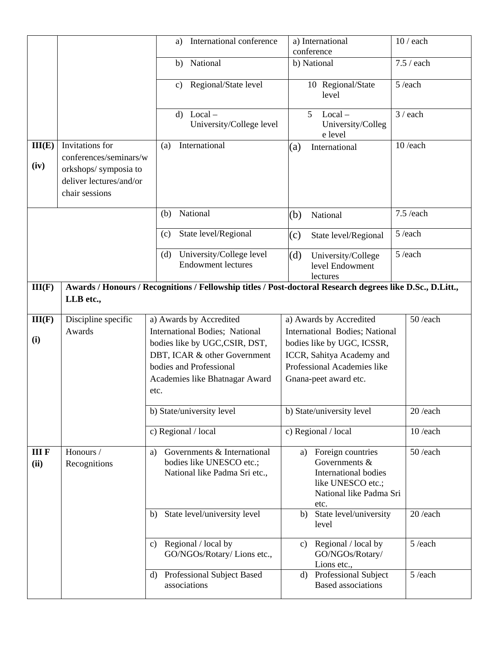|                     |                                                                                                                | International conference<br>a)                                                                                                                                                                   | a) International<br>conference                                                                                                                                               | $10/$ each  |
|---------------------|----------------------------------------------------------------------------------------------------------------|--------------------------------------------------------------------------------------------------------------------------------------------------------------------------------------------------|------------------------------------------------------------------------------------------------------------------------------------------------------------------------------|-------------|
|                     |                                                                                                                | National<br>b)                                                                                                                                                                                   | b) National                                                                                                                                                                  | 7.5 / each  |
|                     |                                                                                                                | Regional/State level<br>c)                                                                                                                                                                       | 10 Regional/State<br>level                                                                                                                                                   | 5/each      |
|                     |                                                                                                                | $Local -$<br>d)<br>University/College level                                                                                                                                                      | 5<br>$Local -$<br>University/Colleg<br>e level                                                                                                                               | $3/$ each   |
| III(E)<br>(iv)      | Invitations for<br>conferences/seminars/w<br>orkshops/symposia to<br>deliver lectures/and/or<br>chair sessions | International<br>(a)                                                                                                                                                                             | (a)<br>International                                                                                                                                                         | $10$ /each  |
|                     |                                                                                                                | National<br>(b)                                                                                                                                                                                  | (b)<br>National                                                                                                                                                              | $7.5$ /each |
|                     |                                                                                                                | State level/Regional<br>(c)                                                                                                                                                                      | (c)<br>State level/Regional                                                                                                                                                  | 5/each      |
|                     |                                                                                                                | University/College level<br>(d)<br><b>Endowment lectures</b>                                                                                                                                     | (d)<br>University/College<br>level Endowment<br>lectures                                                                                                                     | 5/each      |
| III(F)              | LLB etc.,                                                                                                      | Awards / Honours / Recognitions / Fellowship titles / Post-doctoral Research degrees like D.Sc., D.Litt.,                                                                                        |                                                                                                                                                                              |             |
|                     |                                                                                                                |                                                                                                                                                                                                  |                                                                                                                                                                              |             |
| III(F)<br>(i)       | Discipline specific<br>Awards                                                                                  | a) Awards by Accredited<br>International Bodies; National<br>bodies like by UGC, CSIR, DST,<br>DBT, ICAR & other Government<br>bodies and Professional<br>Academies like Bhatnagar Award<br>etc. | a) Awards by Accredited<br>International Bodies; National<br>bodies like by UGC, ICSSR,<br>ICCR, Sahitya Academy and<br>Professional Academies like<br>Gnana-peet award etc. | 50/each     |
|                     |                                                                                                                | b) State/university level                                                                                                                                                                        | b) State/university level                                                                                                                                                    | 20 /each    |
|                     |                                                                                                                | c) Regional / local                                                                                                                                                                              | c) Regional / local                                                                                                                                                          | $10$ /each  |
| <b>IIIF</b><br>(ii) | Honours /<br>Recognitions                                                                                      | Governments & International<br>a)<br>bodies like UNESCO etc.;<br>National like Padma Sri etc.,                                                                                                   | Foreign countries<br>a)<br>Governments &<br><b>International bodies</b><br>like UNESCO etc.;<br>National like Padma Sri<br>etc.                                              | 50/each     |
|                     |                                                                                                                | State level/university level<br>b)                                                                                                                                                               | State level/university<br>b)<br>level                                                                                                                                        | 20/each     |
|                     |                                                                                                                | Regional / local by<br>c)<br>GO/NGOs/Rotary/Lions etc.,                                                                                                                                          | Regional / local by<br>c)<br>GO/NGOs/Rotary/<br>Lions etc.,                                                                                                                  | 5/each      |
|                     |                                                                                                                | <b>Professional Subject Based</b><br>d)<br>associations                                                                                                                                          | Professional Subject<br>$\rm d)$<br><b>Based</b> associations                                                                                                                | 5/each      |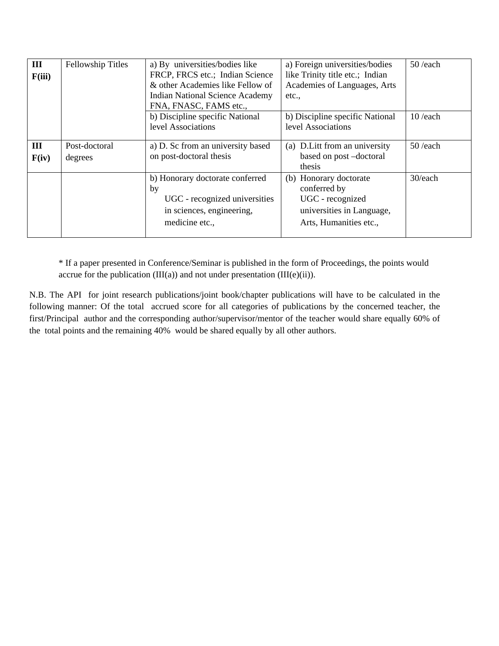| Ш<br>F(iii) | <b>Fellowship Titles</b> | a) By universities/bodies like<br>FRCP, FRCS etc.; Indian Science<br>& other Academies like Fellow of<br><b>Indian National Science Academy</b><br>FNA, FNASC, FAMS etc., | a) Foreign universities/bodies<br>like Trinity title etc.; Indian<br>Academies of Languages, Arts<br>etc.,        | $50$ /each |
|-------------|--------------------------|---------------------------------------------------------------------------------------------------------------------------------------------------------------------------|-------------------------------------------------------------------------------------------------------------------|------------|
|             |                          | b) Discipline specific National<br>level Associations                                                                                                                     | b) Discipline specific National<br>level Associations                                                             | $10$ /each |
| Ш<br>F(iv)  | Post-doctoral<br>degrees | a) D. Sc from an university based<br>on post-doctoral thesis                                                                                                              | (a) D. Litt from an university<br>based on post-doctoral<br>thesis                                                | $50$ /each |
|             |                          | b) Honorary doctorate conferred<br>by<br>UGC - recognized universities<br>in sciences, engineering,<br>medicine etc.,                                                     | (b) Honorary doctorate<br>conferred by<br>UGC - recognized<br>universities in Language,<br>Arts, Humanities etc., | $30$ /each |

\* If a paper presented in Conference/Seminar is published in the form of Proceedings, the points would accrue for the publication  $(III(a))$  and not under presentation  $(III(e)(ii))$ .

N.B. The API for joint research publications/joint book/chapter publications will have to be calculated in the following manner: Of the total accrued score for all categories of publications by the concerned teacher, the first/Principal author and the corresponding author/supervisor/mentor of the teacher would share equally 60% of the total points and the remaining 40% would be shared equally by all other authors.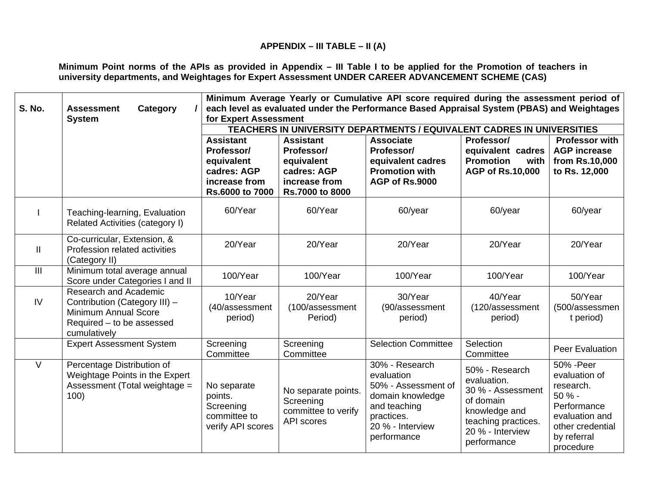#### **APPENDIX – III TABLE – II (A)**

**Minimum Point norms of the APIs as provided in Appendix – III Table I to be applied for the Promotion of teachers in university departments, and Weightages for Expert Assessment UNDER CAREER ADVANCEMENT SCHEME (CAS)** 

<span id="page-69-0"></span>

|                |                                                | Minimum Average Yearly or Cumulative API score required during the assessment period of    |                     |                            |                          |                        |  |  |
|----------------|------------------------------------------------|--------------------------------------------------------------------------------------------|---------------------|----------------------------|--------------------------|------------------------|--|--|
| <b>S. No.</b>  | Category<br><b>Assessment</b>                  | each level as evaluated under the Performance Based Appraisal System (PBAS) and Weightages |                     |                            |                          |                        |  |  |
|                | <b>System</b>                                  | for Expert Assessment                                                                      |                     |                            |                          |                        |  |  |
|                |                                                | <b>TEACHERS IN UNIVERSITY DEPARTMENTS / EQUIVALENT CADRES IN UNIVERSITIES</b>              |                     |                            |                          |                        |  |  |
|                |                                                | <b>Assistant</b>                                                                           | <b>Assistant</b>    | <b>Associate</b>           | Professor/               | <b>Professor with</b>  |  |  |
|                |                                                | Professor/                                                                                 | Professor/          | Professor/                 | equivalent cadres        | <b>AGP increase</b>    |  |  |
|                |                                                | equivalent                                                                                 | equivalent          | equivalent cadres          | <b>Promotion</b><br>with | from Rs.10,000         |  |  |
|                |                                                | cadres: AGP                                                                                | cadres: AGP         | <b>Promotion with</b>      | <b>AGP of Rs.10,000</b>  | to Rs. 12,000          |  |  |
|                |                                                | increase from                                                                              | increase from       | AGP of Rs.9000             |                          |                        |  |  |
|                |                                                | Rs.6000 to 7000                                                                            | Rs.7000 to 8000     |                            |                          |                        |  |  |
|                | Teaching-learning, Evaluation                  | 60/Year                                                                                    | 60/Year             | 60/year                    | 60/year                  | 60/year                |  |  |
|                | Related Activities (category I)                |                                                                                            |                     |                            |                          |                        |  |  |
|                | Co-curricular, Extension, &                    | 20/Year                                                                                    | 20/Year             | 20/Year                    | 20/Year                  | 20/Year                |  |  |
| $\mathbf{H}$   | Profession related activities<br>(Category II) |                                                                                            |                     |                            |                          |                        |  |  |
| $\mathbf{III}$ | Minimum total average annual                   |                                                                                            |                     |                            |                          |                        |  |  |
|                | Score under Categories I and II                | 100/Year                                                                                   | 100/Year            | 100/Year                   | 100/Year                 | 100/Year               |  |  |
|                | Research and Academic                          | 10/Year                                                                                    | 20/Year             | 30/Year                    | 40/Year                  | 50/Year                |  |  |
| <b>IV</b>      | Contribution (Category III) -                  | (40/assessment                                                                             | (100/assessment     | (90/assessment             | (120/assessment          | (500/assessmen         |  |  |
|                | Minimum Annual Score                           | period)                                                                                    | Period)             | period)                    | period)                  | t period)              |  |  |
|                | Required - to be assessed<br>cumulatively      |                                                                                            |                     |                            |                          |                        |  |  |
|                | <b>Expert Assessment System</b>                | Screening                                                                                  | Screening           | <b>Selection Committee</b> | Selection                |                        |  |  |
|                |                                                | Committee                                                                                  | Committee           |                            | Committee                | <b>Peer Evaluation</b> |  |  |
| $\vee$         | Percentage Distribution of                     |                                                                                            |                     | 30% - Research             | 50% - Research           | 50% - Peer             |  |  |
|                | Weightage Points in the Expert                 |                                                                                            |                     | evaluation                 | evaluation.              | evaluation of          |  |  |
|                | Assessment (Total weightage =                  | No separate                                                                                | No separate points. | 50% - Assessment of        | 30 % - Assessment        | research.              |  |  |
|                | 100)                                           | points.                                                                                    | Screening           | domain knowledge           | of domain                | 50 % -                 |  |  |
|                |                                                | Screening                                                                                  | committee to verify | and teaching               | knowledge and            | Performance            |  |  |
|                |                                                | committee to                                                                               | <b>API</b> scores   | practices.                 | teaching practices.      | evaluation and         |  |  |
|                |                                                | verify API scores                                                                          |                     | 20 % - Interview           | 20 % - Interview         | other credential       |  |  |
|                |                                                |                                                                                            |                     | performance                | performance              | by referral            |  |  |
|                |                                                |                                                                                            |                     |                            |                          | procedure              |  |  |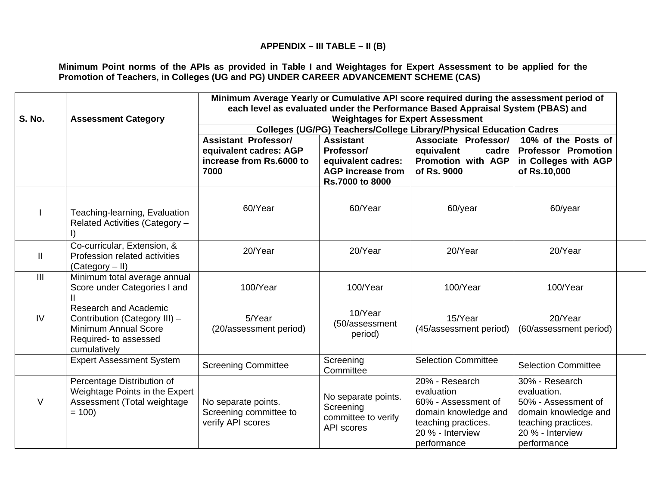#### **APPENDIX – III TABLE – II (B)**

**Minimum Point norms of the APIs as provided in Table I and Weightages for Expert Assessment to be applied for the Promotion of Teachers, in Colleges (UG and PG) UNDER CAREER ADVANCEMENT SCHEME (CAS)** 

| S. No.         | <b>Assessment Category</b>                                                                                                     | Minimum Average Yearly or Cumulative API score required during the assessment period of<br>each level as evaluated under the Performance Based Appraisal System (PBAS) and<br><b>Weightages for Expert Assessment</b> |                                                                                                     |                                                                                                                                                         |                                                                                                                                        |  |  |
|----------------|--------------------------------------------------------------------------------------------------------------------------------|-----------------------------------------------------------------------------------------------------------------------------------------------------------------------------------------------------------------------|-----------------------------------------------------------------------------------------------------|---------------------------------------------------------------------------------------------------------------------------------------------------------|----------------------------------------------------------------------------------------------------------------------------------------|--|--|
|                |                                                                                                                                | <b>Assistant Professor/</b><br>equivalent cadres: AGP<br>increase from Rs.6000 to<br>7000                                                                                                                             | <b>Assistant</b><br>Professor/<br>equivalent cadres:<br><b>AGP</b> increase from<br>Rs.7000 to 8000 | Colleges (UG/PG) Teachers/College Library/Physical Education Cadres<br>Associate Professor/<br>equivalent<br>cadre<br>Promotion with AGP<br>of Rs. 9000 | 10% of the Posts of<br><b>Professor Promotion</b><br>in Colleges with AGP<br>of Rs.10,000                                              |  |  |
|                | Teaching-learning, Evaluation<br>Related Activities (Category -                                                                | 60/Year                                                                                                                                                                                                               | 60/Year                                                                                             | 60/year                                                                                                                                                 | 60/year                                                                                                                                |  |  |
| $\mathbf{H}$   | Co-curricular, Extension, &<br>Profession related activities<br>(Category - II)                                                | 20/Year                                                                                                                                                                                                               | 20/Year                                                                                             | 20/Year                                                                                                                                                 | 20/Year                                                                                                                                |  |  |
| $\mathbf{III}$ | Minimum total average annual<br>Score under Categories I and                                                                   | 100/Year                                                                                                                                                                                                              | 100/Year                                                                                            | 100/Year                                                                                                                                                | 100/Year                                                                                                                               |  |  |
| IV             | Research and Academic<br>Contribution (Category III) -<br><b>Minimum Annual Score</b><br>Required- to assessed<br>cumulatively | 5/Year<br>(20/assessment period)                                                                                                                                                                                      | 10/Year<br>(50/assessment<br>period)                                                                | 15/Year<br>(45/assessment period)                                                                                                                       | 20/Year<br>(60/assessment period)                                                                                                      |  |  |
|                | <b>Expert Assessment System</b>                                                                                                | <b>Screening Committee</b>                                                                                                                                                                                            | Screening<br>Committee                                                                              | <b>Selection Committee</b>                                                                                                                              | <b>Selection Committee</b>                                                                                                             |  |  |
| $\vee$         | Percentage Distribution of<br>Weightage Points in the Expert<br>Assessment (Total weightage<br>$= 100$                         | No separate points.<br>Screening committee to<br>verify API scores                                                                                                                                                    | No separate points.<br>Screening<br>committee to verify<br>API scores                               | 20% - Research<br>evaluation<br>60% - Assessment of<br>domain knowledge and<br>teaching practices.<br>20 % - Interview<br>performance                   | 30% - Research<br>evaluation.<br>50% - Assessment of<br>domain knowledge and<br>teaching practices.<br>20 % - Interview<br>performance |  |  |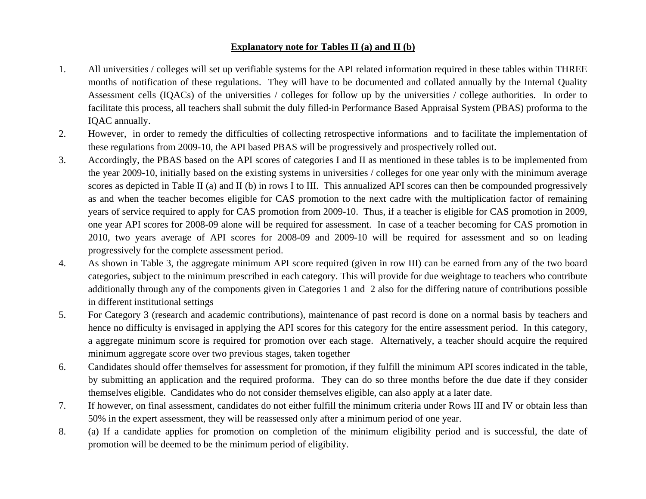#### **Explanatory note for Tables II (a) and II (b)**

- 1. All universities / colleges will set up verifiable systems for the API related information required in these tables within THREE months of notification of these regulations. They will have to be documented and collated annually by the Internal Quality Assessment cells (IQACs) of the universities / colleges for follow up by the universities / college authorities. In order to facilitate this process, all teachers shall submit the duly filled-in Performance Based Appraisal System (PBAS) proforma to the IQAC annually.
- 2. However, in order to remedy the difficulties of collecting retrospective informations and to facilitate the implementation of these regulations from 2009-10, the API based PBAS will be progressively and prospectively rolled out.
- 3. Accordingly, the PBAS based on the API scores of categories I and II as mentioned in these tables is to be implemented from the year 2009-10, initially based on the existing systems in universities / colleges for one year only with the minimum average scores as depicted in Table II (a) and II (b) in rows I to III. This annualized API scores can then be compounded progressively as and when the teacher becomes eligible for CAS promotion to the next cadre with the multiplication factor of remaining years of service required to apply for CAS promotion from 2009-10. Thus, if a teacher is eligible for CAS promotion in 2009, one year API scores for 2008-09 alone will be required for assessment. In case of a teacher becoming for CAS promotion in 2010, two years average of API scores for 2008-09 and 2009-10 will be required for assessment and so on leading progressively for the complete assessment period.
- 4. As shown in Table 3, the aggregate minimum API score required (given in row III) can be earned from any of the two board categories, subject to the minimum prescribed in each category. This will provide for due weightage to teachers who contribute additionally through any of the components given in Categories 1 and 2 also for the differing nature of contributions possible in different institutional settings
- 5. For Category 3 (research and academic contributions), maintenance of past record is done on a normal basis by teachers and hence no difficulty is envisaged in applying the API scores for this category for the entire assessment period. In this category, a aggregate minimum score is required for promotion over each stage. Alternatively, a teacher should acquire the required minimum aggregate score over two previous stages, taken together
- 6. Candidates should offer themselves for assessment for promotion, if they fulfill the minimum API scores indicated in the table, by submitting an application and the required proforma. They can do so three months before the due date if they consider themselves eligible. Candidates who do not consider themselves eligible, can also apply at a later date.
- 7. If however, on final assessment, candidates do not either fulfill the minimum criteria under Rows III and IV or obtain less than 50% in the expert assessment, they will be reassessed only after a minimum period of one year.
- 8. (a) If a candidate applies for promotion on completion of the minimum eligibility period and is successful, the date of promotion will be deemed to be the minimum period of eligibility.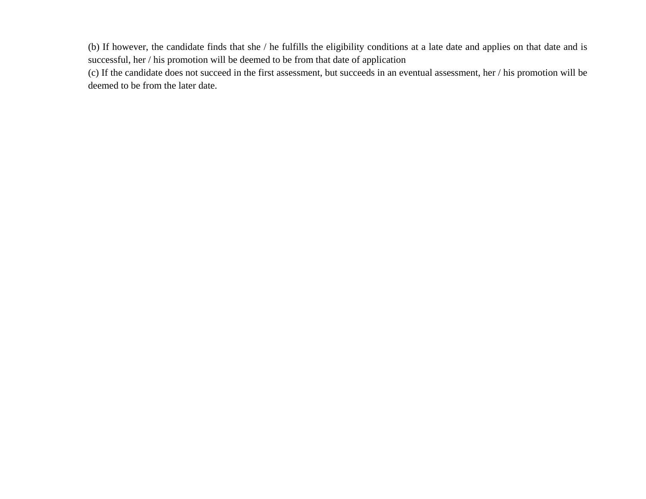(b) If however, the candidate finds that she / he fulfills the eligibility conditions at a late date and applies on that date and is successful, her / his promotion will be deemed to be from that date of application

(c) If the candidate does not succeed in the first assessment, but succeeds in an eventual assessment, her / his promotion will be deemed to be from the later date.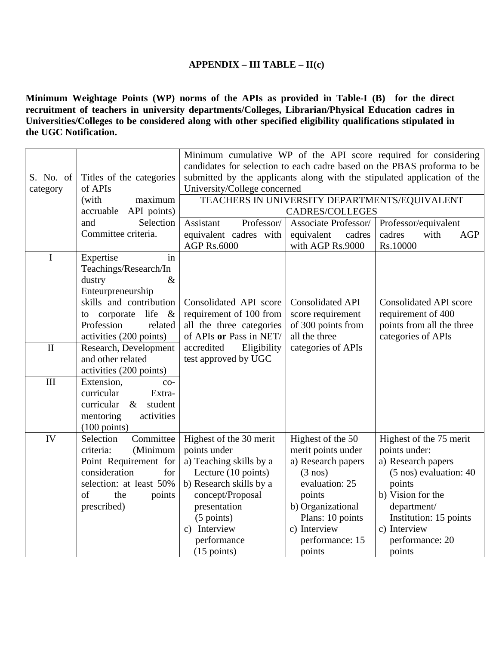### **APPENDIX – III TABLE – II(c)**

**Minimum Weightage Points (WP) norms of the APIs as provided in Table-I (B) for the direct recruitment of teachers in university departments/Colleges, Librarian/Physical Education cadres in Universities/Colleges to be considered along with other specified eligibility qualifications stipulated in the UGC Notification.** 

|             |                              | Minimum cumulative WP of the API score required for considering |                         |                                                                          |  |
|-------------|------------------------------|-----------------------------------------------------------------|-------------------------|--------------------------------------------------------------------------|--|
|             |                              |                                                                 |                         | candidates for selection to each cadre based on the PBAS proforma to be  |  |
| S. No. of   | Titles of the categories     |                                                                 |                         | submitted by the applicants along with the stipulated application of the |  |
| category    | of APIs                      | University/College concerned                                    |                         |                                                                          |  |
|             | (with<br>maximum             |                                                                 |                         | TEACHERS IN UNIVERSITY DEPARTMENTS/EQUIVALENT                            |  |
|             | API points)<br>accruable     |                                                                 | CADRES/COLLEGES         |                                                                          |  |
|             | Selection<br>and             | Professor/<br>Assistant                                         | Associate Professor/    | Professor/equivalent                                                     |  |
|             | Committee criteria.          | equivalent cadres with                                          | equivalent<br>cadres    | cadres<br>with<br>AGP                                                    |  |
|             |                              | <b>AGP Rs.6000</b>                                              | with AGP Rs.9000        | Rs.10000                                                                 |  |
| $\mathbf I$ | Expertise<br>in              |                                                                 |                         |                                                                          |  |
|             | Teachings/Research/In        |                                                                 |                         |                                                                          |  |
|             | dustry<br>$\&$               |                                                                 |                         |                                                                          |  |
|             | Enteurpreneurship            |                                                                 |                         |                                                                          |  |
|             | skills and contribution      | Consolidated API score                                          | <b>Consolidated API</b> | <b>Consolidated API score</b>                                            |  |
|             | life<br>to corporate<br>$\&$ | requirement of 100 from                                         | score requirement       | requirement of 400                                                       |  |
|             | Profession<br>related        | all the three categories                                        | of 300 points from      | points from all the three                                                |  |
|             | activities (200 points)      | of APIs or Pass in NET/                                         | all the three           | categories of APIs                                                       |  |
| $\rm II$    | Research, Development        | accredited<br>Eligibility                                       | categories of APIs      |                                                                          |  |
|             | and other related            | test approved by UGC                                            |                         |                                                                          |  |
|             | activities (200 points)      |                                                                 |                         |                                                                          |  |
| III         | Extension,<br>$CO-$          |                                                                 |                         |                                                                          |  |
|             | curricular<br>Extra-         |                                                                 |                         |                                                                          |  |
|             | $&$ student<br>curricular    |                                                                 |                         |                                                                          |  |
|             | mentoring<br>activities      |                                                                 |                         |                                                                          |  |
|             | $(100 \text{ points})$       |                                                                 |                         |                                                                          |  |
| IV          | Committee<br>Selection       | Highest of the 30 merit                                         | Highest of the 50       | Highest of the 75 merit                                                  |  |
|             | (Minimum<br>criteria:        | points under                                                    | merit points under      | points under:                                                            |  |
|             | Point Requirement for        | a) Teaching skills by a                                         | a) Research papers      | a) Research papers                                                       |  |
|             | consideration<br>for         | Lecture (10 points)                                             | $(3 \text{ nos})$       | $(5 \text{ nos})$ evaluation: 40                                         |  |
|             | selection: at least 50%      | b) Research skills by a                                         | evaluation: 25          | points                                                                   |  |
|             | of<br>the<br>points          | concept/Proposal                                                | points                  | b) Vision for the                                                        |  |
|             | prescribed)                  | presentation                                                    | b) Organizational       | department/                                                              |  |
|             |                              | $(5$ points)                                                    | Plans: 10 points        | Institution: 15 points                                                   |  |
|             |                              | c) Interview                                                    | c) Interview            | c) Interview                                                             |  |
|             |                              | performance                                                     | performance: 15         | performance: 20                                                          |  |
|             |                              | $(15$ points)                                                   | points                  | points                                                                   |  |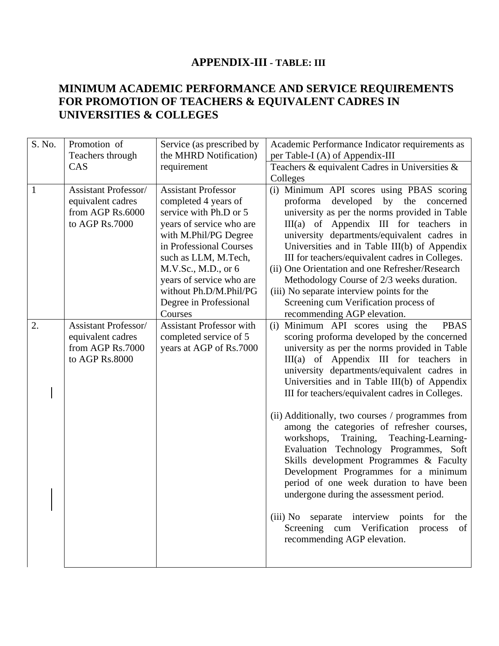# **APPENDIX-III - TABLE: III**

## **MINIMUM ACADEMIC PERFORMANCE AND SERVICE REQUIREMENTS FOR PROMOTION OF TEACHERS & EQUIVALENT CADRES IN UNIVERSITIES & COLLEGES**

| S. No.       | Promotion of<br>Teachers through                                                       | Service (as prescribed by<br>the MHRD Notification)                                                                                                                                                                                                                                                      | Academic Performance Indicator requirements as<br>per Table-I (A) of Appendix-III                                                                                                                                                                                                                                                                                                                                                                                                                                                                                                                                                                                                                                                                                                                                                           |
|--------------|----------------------------------------------------------------------------------------|----------------------------------------------------------------------------------------------------------------------------------------------------------------------------------------------------------------------------------------------------------------------------------------------------------|---------------------------------------------------------------------------------------------------------------------------------------------------------------------------------------------------------------------------------------------------------------------------------------------------------------------------------------------------------------------------------------------------------------------------------------------------------------------------------------------------------------------------------------------------------------------------------------------------------------------------------------------------------------------------------------------------------------------------------------------------------------------------------------------------------------------------------------------|
|              | CAS                                                                                    | requirement                                                                                                                                                                                                                                                                                              | Teachers & equivalent Cadres in Universities &<br>Colleges                                                                                                                                                                                                                                                                                                                                                                                                                                                                                                                                                                                                                                                                                                                                                                                  |
| $\mathbf{1}$ | <b>Assistant Professor/</b><br>equivalent cadres<br>from AGP Rs.6000<br>to AGP Rs.7000 | <b>Assistant Professor</b><br>completed 4 years of<br>service with Ph.D or 5<br>years of service who are<br>with M.Phil/PG Degree<br>in Professional Courses<br>such as LLM, M.Tech,<br>$M.V.Sc., M.D.,$ or 6<br>years of service who are<br>without Ph.D/M.Phil/PG<br>Degree in Professional<br>Courses | (i) Minimum API scores using PBAS scoring<br>developed<br>proforma<br>by the concerned<br>university as per the norms provided in Table<br>III(a) of Appendix III for teachers in<br>university departments/equivalent cadres in<br>Universities and in Table III(b) of Appendix<br>III for teachers/equivalent cadres in Colleges.<br>(ii) One Orientation and one Refresher/Research<br>Methodology Course of 2/3 weeks duration.<br>(iii) No separate interview points for the<br>Screening cum Verification process of<br>recommending AGP elevation.                                                                                                                                                                                                                                                                                   |
| 2.           | <b>Assistant Professor/</b><br>equivalent cadres<br>from AGP Rs.7000<br>to AGP Rs.8000 | <b>Assistant Professor with</b><br>completed service of 5<br>years at AGP of Rs.7000                                                                                                                                                                                                                     | (i) Minimum API scores using the<br><b>PBAS</b><br>scoring proforma developed by the concerned<br>university as per the norms provided in Table<br>III(a) of Appendix III for teachers in<br>university departments/equivalent cadres in<br>Universities and in Table III(b) of Appendix<br>III for teachers/equivalent cadres in Colleges.<br>(ii) Additionally, two courses / programmes from<br>among the categories of refresher courses,<br>Training,<br>Teaching-Learning-<br>workshops,<br>Evaluation Technology Programmes, Soft<br>Skills development Programmes & Faculty<br>Development Programmes for a minimum<br>period of one week duration to have been<br>undergone during the assessment period.<br>(iii) No separate interview points for the<br>Screening cum Verification process<br>of<br>recommending AGP elevation. |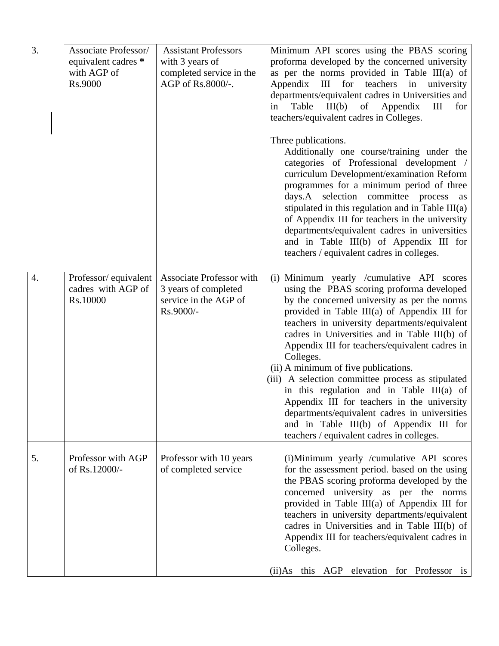| 3. | Associate Professor/<br>equivalent cadres *<br>with AGP of<br>Rs.9000 | <b>Assistant Professors</b><br>with 3 years of<br>completed service in the<br>AGP of Rs.8000/-. | Minimum API scores using the PBAS scoring<br>proforma developed by the concerned university<br>as per the norms provided in Table III(a) of<br>Appendix<br>Ш<br>for<br>teachers<br>in<br>university<br>departments/equivalent cadres in Universities and<br>Table $III(b)$<br>of Appendix<br>Ш<br>for<br>in<br>teachers/equivalent cadres in Colleges.<br>Three publications.                                                                                                                                                                                                                                                                                                             |
|----|-----------------------------------------------------------------------|-------------------------------------------------------------------------------------------------|-------------------------------------------------------------------------------------------------------------------------------------------------------------------------------------------------------------------------------------------------------------------------------------------------------------------------------------------------------------------------------------------------------------------------------------------------------------------------------------------------------------------------------------------------------------------------------------------------------------------------------------------------------------------------------------------|
|    |                                                                       |                                                                                                 | Additionally one course/training under the<br>categories of Professional development /<br>curriculum Development/examination Reform<br>programmes for a minimum period of three<br>days.A selection committee process as<br>stipulated in this regulation and in Table III(a)<br>of Appendix III for teachers in the university<br>departments/equivalent cadres in universities<br>and in Table III(b) of Appendix III for<br>teachers / equivalent cadres in colleges.                                                                                                                                                                                                                  |
| 4. | Professor/equivalent<br>cadres with AGP of<br>Rs.10000                | <b>Associate Professor with</b><br>3 years of completed<br>service in the AGP of<br>Rs.9000/-   | (i) Minimum yearly /cumulative API scores<br>using the PBAS scoring proforma developed<br>by the concerned university as per the norms<br>provided in Table III(a) of Appendix III for<br>teachers in university departments/equivalent<br>cadres in Universities and in Table III(b) of<br>Appendix III for teachers/equivalent cadres in<br>Colleges.<br>(ii) A minimum of five publications.<br>(iii) A selection committee process as stipulated<br>in this regulation and in Table III(a) of<br>Appendix III for teachers in the university<br>departments/equivalent cadres in universities<br>and in Table III(b) of Appendix III for<br>teachers / equivalent cadres in colleges. |
| 5. | Professor with AGP<br>of Rs.12000/-                                   | Professor with 10 years<br>of completed service                                                 | (i)Minimum yearly /cumulative API scores<br>for the assessment period. based on the using<br>the PBAS scoring proforma developed by the<br>concerned university as per the norms<br>provided in Table III(a) of Appendix III for<br>teachers in university departments/equivalent<br>cadres in Universities and in Table III(b) of<br>Appendix III for teachers/equivalent cadres in<br>Colleges.<br>(ii)As this AGP elevation for Professor is                                                                                                                                                                                                                                           |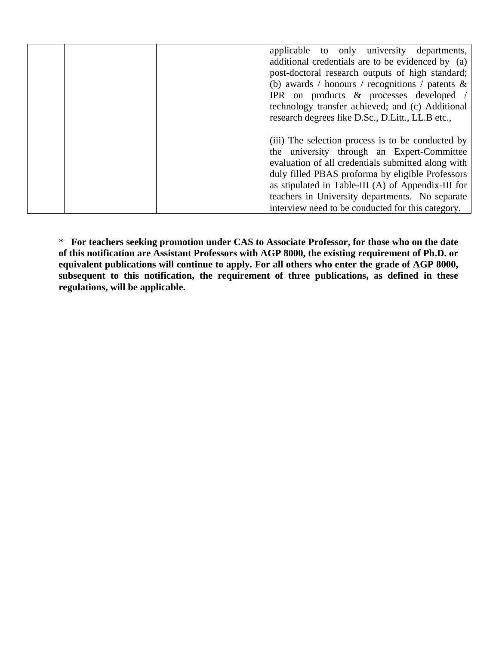| applicable to only university departments,         |
|----------------------------------------------------|
| additional credentials are to be evidenced by (a)  |
| post-doctoral research outputs of high standard;   |
| (b) awards / honours / recognitions / patents $\&$ |
| IPR on products & processes developed              |
| technology transfer achieved; and (c) Additional   |
| research degrees like D.Sc., D.Litt., LL.B etc.,   |
|                                                    |
|                                                    |
| (iii) The selection process is to be conducted by  |
| the university through an Expert-Committee         |
| evaluation of all credentials submitted along with |
| duly filled PBAS proforma by eligible Professors   |
| as stipulated in Table-III (A) of Appendix-III for |
|                                                    |
| teachers in University departments. No separate    |
| interview need to be conducted for this category.  |

\* **For teachers seeking promotion under CAS to Associate Professor, for those who on the date of this notification are Assistant Professors with AGP 8000, the existing requirement of Ph.D. or equivalent publications will continue to apply. For all others who enter the grade of AGP 8000,**  subsequent to this notification, the requirement of three publications, as defined in these **regulations, will be applicable.**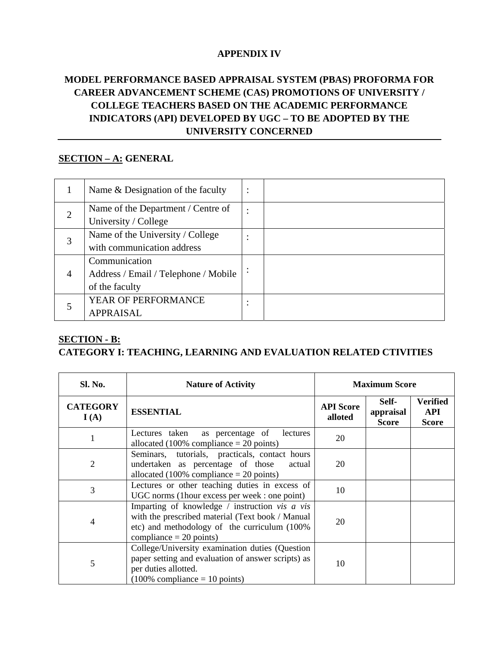### **APPENDIX IV**

## **MODEL PERFORMANCE BASED APPRAISAL SYSTEM (PBAS) PROFORMA FOR CAREER ADVANCEMENT SCHEME (CAS) PROMOTIONS OF UNIVERSITY / COLLEGE TEACHERS BASED ON THE ACADEMIC PERFORMANCE INDICATORS (API) DEVELOPED BY UGC – TO BE ADOPTED BY THE UNIVERSITY CONCERNED**

### **SECTION – A: GENERAL**

|                | Name & Designation of the faculty    | $\bullet$ |  |
|----------------|--------------------------------------|-----------|--|
| $\overline{2}$ | Name of the Department / Centre of   |           |  |
|                | University / College                 |           |  |
| 3              | Name of the University / College     |           |  |
|                | with communication address           |           |  |
|                | Communication                        |           |  |
| $\overline{4}$ | Address / Email / Telephone / Mobile |           |  |
|                | of the faculty                       |           |  |
| 5              | YEAR OF PERFORMANCE                  |           |  |
|                | <b>APPRAISAL</b>                     |           |  |

### **SECTION - B: CATEGORY I: TEACHING, LEARNING AND EVALUATION RELATED CTIVITIES**

| Sl. No.                 | <b>Nature of Activity</b>                                                                                                                                                         |                             | <b>Maximum Score</b>               |                                 |
|-------------------------|-----------------------------------------------------------------------------------------------------------------------------------------------------------------------------------|-----------------------------|------------------------------------|---------------------------------|
| <b>CATEGORY</b><br>I(A) | <b>ESSENTIAL</b>                                                                                                                                                                  | <b>API Score</b><br>alloted | Self-<br>appraisal<br><b>Score</b> | Verified<br>API<br><b>Score</b> |
| 1                       | Lectures taken<br>as percentage of<br>lectures<br>allocated (100% compliance $= 20$ points)                                                                                       | 20                          |                                    |                                 |
| $\overline{2}$          | Seminars, tutorials, practicals, contact hours<br>undertaken as percentage of those<br>actual<br>allocated (100% compliance $= 20$ points)                                        | 20                          |                                    |                                 |
| 3                       | Lectures or other teaching duties in excess of<br>UGC norms (1 hour excess per week : one point)                                                                                  | 10                          |                                    |                                 |
| 4                       | Imparting of knowledge $/$ instruction vis a vis<br>with the prescribed material (Text book / Manual<br>etc) and methodology of the curriculum (100%<br>compliance $= 20$ points) | 20                          |                                    |                                 |
| 5                       | College/University examination duties (Question<br>paper setting and evaluation of answer scripts) as<br>per duties allotted.<br>$(100\%$ compliance = 10 points)                 | 10                          |                                    |                                 |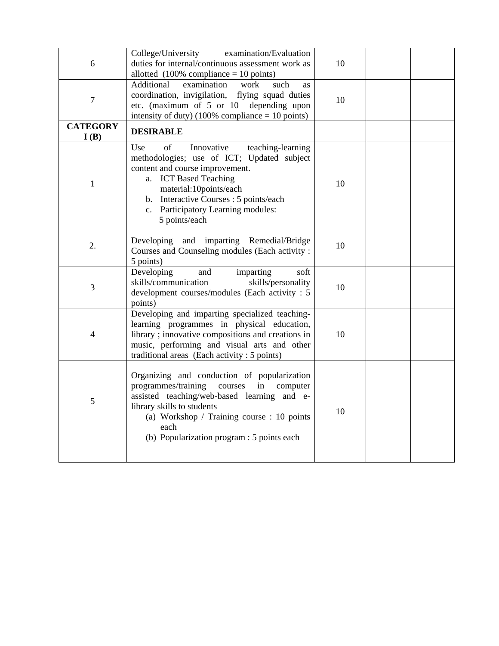| 6                       | College/University<br>examination/Evaluation<br>duties for internal/continuous assessment work as<br>allotted $(100\% \text{ compliance} = 10 \text{ points})$                                                                                                                     | 10 |  |
|-------------------------|------------------------------------------------------------------------------------------------------------------------------------------------------------------------------------------------------------------------------------------------------------------------------------|----|--|
| $\boldsymbol{7}$        | Additional<br>examination<br>such<br>work<br><b>as</b><br>coordination, invigilation,<br>flying squad duties<br>etc. (maximum of 5 or 10 depending upon<br>intensity of duty) (100% compliance $= 10$ points)                                                                      | 10 |  |
| <b>CATEGORY</b><br>I(B) | <b>DESIRABLE</b>                                                                                                                                                                                                                                                                   |    |  |
| $\mathbf 1$             | of<br>Use<br>Innovative<br>teaching-learning<br>methodologies; use of ICT; Updated subject<br>content and course improvement.<br>a. ICT Based Teaching<br>material: 10points/each<br>b. Interactive Courses : 5 points/each<br>c. Participatory Learning modules:<br>5 points/each | 10 |  |
| 2.                      | Developing and imparting Remedial/Bridge<br>Courses and Counseling modules (Each activity:<br>5 points)                                                                                                                                                                            | 10 |  |
| $\mathfrak{Z}$          | Developing<br>imparting<br>and<br>soft<br>skills/communication<br>skills/personality<br>development courses/modules (Each activity : 5<br>points)                                                                                                                                  | 10 |  |
| $\overline{4}$          | Developing and imparting specialized teaching-<br>learning programmes in physical education,<br>library; innovative compositions and creations in<br>music, performing and visual arts and other<br>traditional areas (Each activity: 5 points)                                    | 10 |  |
| 5                       | Organizing and conduction of popularization<br>programmes/training<br>courses<br>in<br>computer<br>assisted teaching/web-based learning and e-<br>library skills to students<br>(a) Workshop / Training course : 10 points<br>each<br>(b) Popularization program : 5 points each   | 10 |  |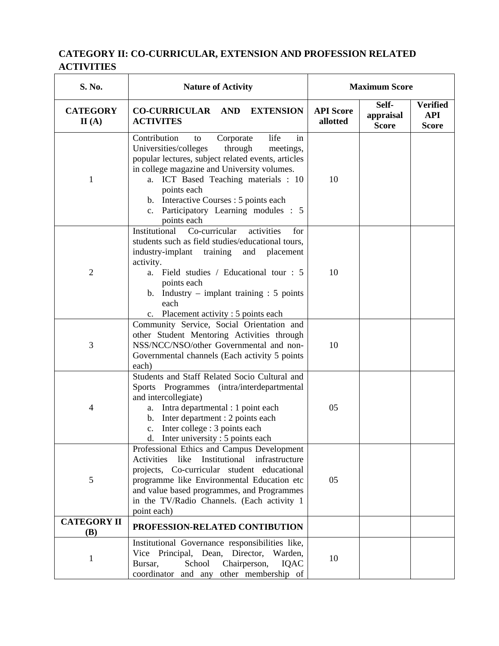# **CATEGORY II: CO-CURRICULAR, EXTENSION AND PROFESSION RELATED ACTIVITIES**

| S. No.                           | <b>Nature of Activity</b>                                                                                                                                                                                                                                                                                                                                    |                              | <b>Maximum Score</b>               |                                               |
|----------------------------------|--------------------------------------------------------------------------------------------------------------------------------------------------------------------------------------------------------------------------------------------------------------------------------------------------------------------------------------------------------------|------------------------------|------------------------------------|-----------------------------------------------|
| <b>CATEGORY</b><br>II(A)         | <b>CO-CURRICULAR AND</b><br><b>EXTENSION</b><br><b>ACTIVITES</b>                                                                                                                                                                                                                                                                                             | <b>API</b> Score<br>allotted | Self-<br>appraisal<br><b>Score</b> | <b>Verified</b><br><b>API</b><br><b>Score</b> |
| 1                                | Contribution<br>life<br>in<br>Corporate<br>to<br>Universities/colleges<br>through<br>meetings,<br>popular lectures, subject related events, articles<br>in college magazine and University volumes.<br>a. ICT Based Teaching materials : 10<br>points each<br>b. Interactive Courses : 5 points each<br>c. Participatory Learning modules : 5<br>points each | 10                           |                                    |                                               |
| $\overline{2}$                   | Institutional<br>Co-curricular<br>activities<br>for<br>students such as field studies/educational tours,<br>industry-implant<br>training<br>and<br>placement<br>activity.<br>a. Field studies / Educational tour : 5<br>points each<br>b. Industry – implant training $: 5$ points<br>each<br>c. Placement activity : 5 points each                          | 10                           |                                    |                                               |
| 3                                | Community Service, Social Orientation and<br>other Student Mentoring Activities through<br>NSS/NCC/NSO/other Governmental and non-<br>Governmental channels (Each activity 5 points<br>each)                                                                                                                                                                 | 10                           |                                    |                                               |
| 4                                | Students and Staff Related Socio Cultural and<br>Programmes (intra/interdepartmental<br><b>Sports</b><br>and intercollegiate)<br>Intra departmental : 1 point each<br>а.<br>Inter department : 2 points each<br>$\mathbf{b}$ .<br>Inter college : 3 points each<br>c.<br>d. Inter university : 5 points each                                                 | 05                           |                                    |                                               |
| 5                                | Professional Ethics and Campus Development<br>Institutional infrastructure<br>Activities<br>like<br>projects, Co-curricular student educational<br>programme like Environmental Education etc<br>and value based programmes, and Programmes<br>in the TV/Radio Channels. (Each activity 1<br>point each)                                                     | 05                           |                                    |                                               |
| <b>CATEGORY II</b><br><b>(B)</b> | PROFESSION-RELATED CONTIBUTION                                                                                                                                                                                                                                                                                                                               |                              |                                    |                                               |
| 1                                | Institutional Governance responsibilities like,<br>Vice Principal, Dean, Director, Warden,<br>Bursar,<br>School<br>Chairperson,<br>IQAC<br>coordinator and any other membership of                                                                                                                                                                           | 10                           |                                    |                                               |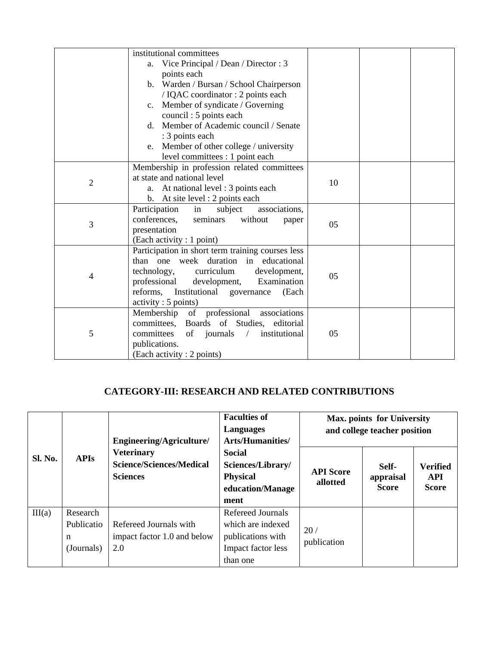|                | institutional committees                          |    |  |  |
|----------------|---------------------------------------------------|----|--|--|
|                | Vice Principal / Dean / Director: 3<br>a.         |    |  |  |
|                | points each                                       |    |  |  |
|                | b. Warden / Bursan / School Chairperson           |    |  |  |
|                | / IQAC coordinator : 2 points each                |    |  |  |
|                | c. Member of syndicate / Governing                |    |  |  |
|                | council : 5 points each                           |    |  |  |
|                | Member of Academic council / Senate<br>d.         |    |  |  |
|                | : 3 points each                                   |    |  |  |
|                | e. Member of other college / university           |    |  |  |
|                | level committees : 1 point each                   |    |  |  |
|                | Membership in profession related committees       |    |  |  |
| $\overline{2}$ | at state and national level                       | 10 |  |  |
|                | a. At national level : 3 points each              |    |  |  |
|                | b. At site level : 2 points each                  |    |  |  |
|                | Participation<br>associations,<br>in<br>subject   |    |  |  |
| 3              | conferences,<br>seminars<br>without<br>paper      | 05 |  |  |
|                | presentation                                      |    |  |  |
|                | (Each activity : 1 point)                         |    |  |  |
|                | Participation in short term training courses less |    |  |  |
|                | than one week duration in educational             |    |  |  |
| $\overline{4}$ | curriculum<br>technology,<br>development,         | 05 |  |  |
|                | Examination<br>professional<br>development,       |    |  |  |
|                | reforms,<br>Institutional governance<br>(Each     |    |  |  |
|                | activity : 5 points)                              |    |  |  |
|                | Membership of professional<br>associations        |    |  |  |
|                | committees, Boards of Studies,<br>editorial       |    |  |  |
| 5              | committees<br>of journals / institutional         | 05 |  |  |
|                | publications.                                     |    |  |  |
|                | (Each activity : 2 points)                        |    |  |  |

### **CATEGORY-III: RESEARCH AND RELATED CONTRIBUTIONS**

|                |                                           | Engineering/Agriculture/                                         | <b>Faculties of</b><br>Languages<br><b>Arts/Humanities/</b>                                   | Max. points for University<br>and college teacher position |                                    |                                        |
|----------------|-------------------------------------------|------------------------------------------------------------------|-----------------------------------------------------------------------------------------------|------------------------------------------------------------|------------------------------------|----------------------------------------|
| <b>Sl. No.</b> | <b>APIs</b>                               | <b>Veterinary</b><br>Science/Sciences/Medical<br><b>Sciences</b> | <b>Social</b><br>Sciences/Library/<br><b>Physical</b><br>education/Manage<br>ment             | <b>API</b> Score<br>allotted                               | Self-<br>appraisal<br><b>Score</b> | <b>Verified</b><br>API<br><b>Score</b> |
| III(a)         | Research<br>Publicatio<br>n<br>(Journals) | Refereed Journals with<br>impact factor 1.0 and below<br>2.0     | Refereed Journals<br>which are indexed<br>publications with<br>Impact factor less<br>than one | 20/<br>publication                                         |                                    |                                        |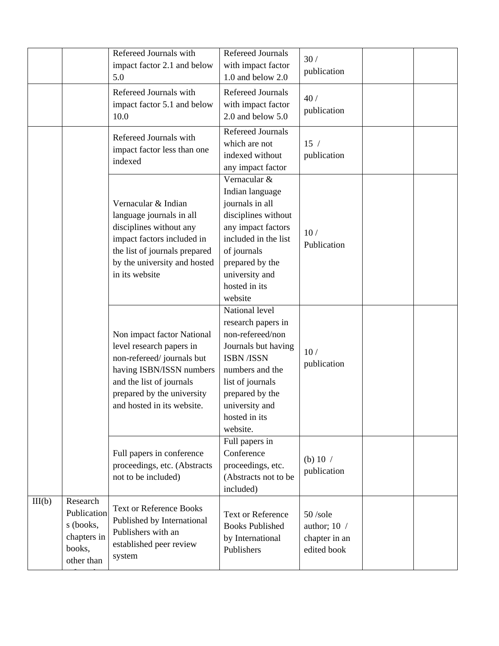|        |                                                                             | Refereed Journals with<br>impact factor 2.1 and below<br>5.0                                                                                                                                            | <b>Refereed Journals</b><br>with impact factor<br>$1.0$ and below $2.0$                                                                                                                                      | 30/<br>publication                                         |  |
|--------|-----------------------------------------------------------------------------|---------------------------------------------------------------------------------------------------------------------------------------------------------------------------------------------------------|--------------------------------------------------------------------------------------------------------------------------------------------------------------------------------------------------------------|------------------------------------------------------------|--|
|        |                                                                             | Refereed Journals with<br>impact factor 5.1 and below<br>10.0                                                                                                                                           | <b>Refereed Journals</b><br>with impact factor<br>$2.0$ and below $5.0$                                                                                                                                      | 40/<br>publication                                         |  |
|        |                                                                             | Refereed Journals with<br>impact factor less than one<br>indexed                                                                                                                                        | <b>Refereed Journals</b><br>which are not<br>indexed without<br>any impact factor                                                                                                                            | 15/<br>publication                                         |  |
|        |                                                                             | Vernacular & Indian<br>language journals in all<br>disciplines without any<br>impact factors included in<br>the list of journals prepared<br>by the university and hosted<br>in its website             | Vernacular &<br>Indian language<br>journals in all<br>disciplines without<br>any impact factors<br>included in the list<br>of journals<br>prepared by the<br>university and<br>hosted in its<br>website      | 10/<br>Publication                                         |  |
|        |                                                                             | Non impact factor National<br>level research papers in<br>non-refereed/journals but<br>having ISBN/ISSN numbers<br>and the list of journals<br>prepared by the university<br>and hosted in its website. | National level<br>research papers in<br>non-refereed/non<br>Journals but having<br><b>ISBN/ISSN</b><br>numbers and the<br>list of journals<br>prepared by the<br>university and<br>hosted in its<br>website. | 10/<br>publication                                         |  |
|        |                                                                             | Full papers in conference<br>proceedings, etc. (Abstracts<br>not to be included)                                                                                                                        | Full papers in<br>Conference<br>proceedings, etc.<br>(Abstracts not to be<br>included)                                                                                                                       | (b) $10/$<br>publication                                   |  |
| III(b) | Research<br>Publication<br>s (books,<br>chapters in<br>books,<br>other than | <b>Text or Reference Books</b><br>Published by International<br>Publishers with an<br>established peer review<br>system                                                                                 | <b>Text or Reference</b><br><b>Books Published</b><br>by International<br>Publishers                                                                                                                         | $50$ /sole<br>author; 10 /<br>chapter in an<br>edited book |  |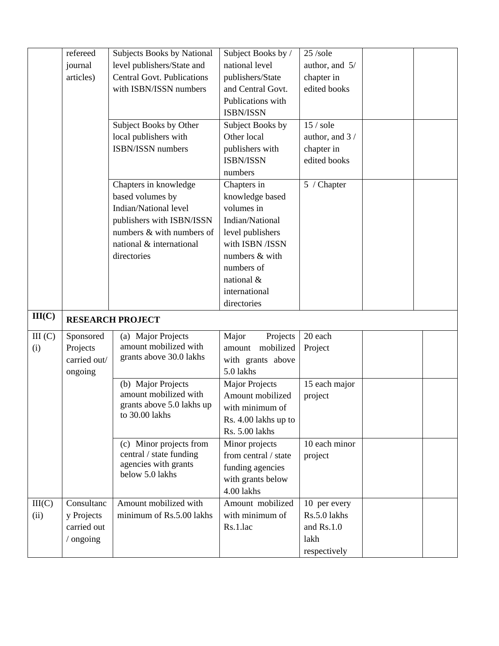|         | refereed                  | <b>Subjects Books by National</b>                  | Subject Books by /                  | $25$ /sole                   |  |
|---------|---------------------------|----------------------------------------------------|-------------------------------------|------------------------------|--|
|         | journal                   | level publishers/State and                         | national level                      | author, and 5/               |  |
|         | articles)                 | <b>Central Govt. Publications</b>                  | publishers/State                    | chapter in                   |  |
|         |                           | with ISBN/ISSN numbers                             | and Central Govt.                   | edited books                 |  |
|         |                           |                                                    | Publications with                   |                              |  |
|         |                           |                                                    | ISBN/ISSN                           |                              |  |
|         |                           | Subject Books by Other                             | Subject Books by                    | $15/$ sole                   |  |
|         |                           | local publishers with                              | Other local                         | author, and 3/               |  |
|         |                           | <b>ISBN/ISSN</b> numbers                           | publishers with                     | chapter in                   |  |
|         |                           |                                                    | <b>ISBN/ISSN</b>                    | edited books                 |  |
|         |                           |                                                    | numbers                             |                              |  |
|         |                           | Chapters in knowledge                              | Chapters in                         | 5 / Chapter                  |  |
|         |                           | based volumes by                                   | knowledge based                     |                              |  |
|         |                           | Indian/National level                              | volumes in                          |                              |  |
|         |                           | publishers with ISBN/ISSN                          | Indian/National                     |                              |  |
|         |                           | numbers & with numbers of                          | level publishers                    |                              |  |
|         |                           | national & international                           | with ISBN /ISSN                     |                              |  |
|         |                           | directories                                        | numbers & with                      |                              |  |
|         |                           |                                                    | numbers of                          |                              |  |
|         |                           |                                                    | national &                          |                              |  |
|         |                           |                                                    | international                       |                              |  |
|         |                           |                                                    | directories                         |                              |  |
| III(C)  |                           | <b>RESEARCH PROJECT</b>                            |                                     |                              |  |
| III (C) | Sponsored                 | (a) Major Projects                                 | Major<br>Projects                   | 20 each                      |  |
| (i)     | Projects                  | amount mobilized with                              | amount mobilized                    | Project                      |  |
|         | carried out/              | grants above 30.0 lakhs                            | with grants above                   |                              |  |
|         | ongoing                   |                                                    | 5.0 lakhs                           |                              |  |
|         |                           | (b) Major Projects                                 | <b>Major Projects</b>               | 15 each major                |  |
|         |                           | amount mobilized with<br>grants above 5.0 lakhs up | Amount mobilized                    | project                      |  |
|         |                           | to 30.00 lakhs                                     | with minimum of                     |                              |  |
|         |                           |                                                    | Rs. 4.00 lakhs up to                |                              |  |
|         |                           |                                                    | Rs. 5.00 lakhs                      |                              |  |
|         |                           | (c) Minor projects from                            | Minor projects                      | 10 each minor                |  |
|         |                           | central / state funding<br>agencies with grants    | from central / state                | project                      |  |
|         |                           | below 5.0 lakhs                                    | funding agencies                    |                              |  |
|         |                           |                                                    | with grants below                   |                              |  |
|         |                           |                                                    | 4.00 lakhs                          |                              |  |
| III(C)  | Consultanc                | Amount mobilized with<br>minimum of Rs.5.00 lakhs  | Amount mobilized<br>with minimum of | 10 per every<br>Rs.5.0 lakhs |  |
| (ii)    | y Projects<br>carried out |                                                    | Rs.1.lac                            | and $Rs.1.0$                 |  |
|         | / ongoing                 |                                                    |                                     | lakh                         |  |
|         |                           |                                                    |                                     | respectively                 |  |
|         |                           |                                                    |                                     |                              |  |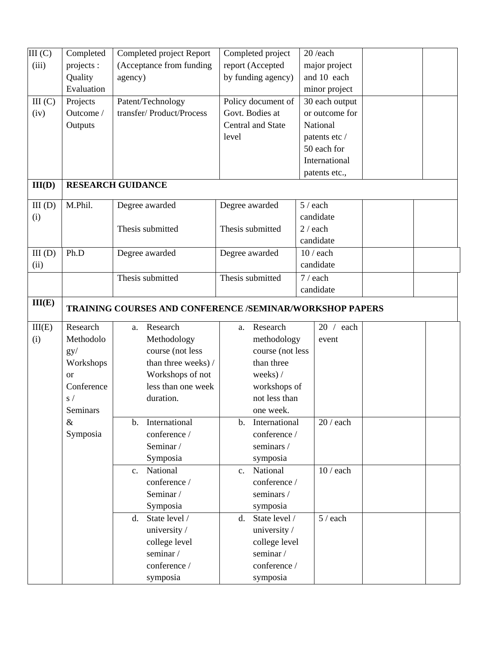| III (C) | Completed     | Completed project Report                                        | Completed project            | 20 /each       |  |  |  |  |  |
|---------|---------------|-----------------------------------------------------------------|------------------------------|----------------|--|--|--|--|--|
| (iii)   | projects :    | (Acceptance from funding                                        | report (Accepted             | major project  |  |  |  |  |  |
|         | Quality       | agency)                                                         | by funding agency)           | and 10 each    |  |  |  |  |  |
|         | Evaluation    |                                                                 |                              | minor project  |  |  |  |  |  |
| III(C)  | Projects      | Patent/Technology                                               | Policy document of           | 30 each output |  |  |  |  |  |
| (iv)    | Outcome /     | transfer/ Product/Process                                       | Govt. Bodies at              | or outcome for |  |  |  |  |  |
|         | Outputs       |                                                                 | Central and State            | National       |  |  |  |  |  |
|         |               |                                                                 | level                        | patents etc /  |  |  |  |  |  |
|         |               |                                                                 |                              | 50 each for    |  |  |  |  |  |
|         |               |                                                                 |                              | International  |  |  |  |  |  |
|         |               |                                                                 |                              | patents etc.,  |  |  |  |  |  |
| III(D)  |               | <b>RESEARCH GUIDANCE</b>                                        |                              |                |  |  |  |  |  |
| III(D)  | M.Phil.       | Degree awarded                                                  | Degree awarded               |                |  |  |  |  |  |
| (i)     |               |                                                                 |                              | candidate      |  |  |  |  |  |
|         |               | Thesis submitted                                                | Thesis submitted             | 2 / each       |  |  |  |  |  |
|         |               |                                                                 |                              | candidate      |  |  |  |  |  |
| III(D)  | Ph.D          | Degree awarded                                                  | Degree awarded               | $10/$ each     |  |  |  |  |  |
| (ii)    |               |                                                                 |                              | candidate      |  |  |  |  |  |
|         |               | Thesis submitted                                                | Thesis submitted             | $7/$ each      |  |  |  |  |  |
|         |               |                                                                 |                              | candidate      |  |  |  |  |  |
| III(E)  |               | <b>TRAINING COURSES AND CONFERENCE /SEMINAR/WORKSHOP PAPERS</b> |                              |                |  |  |  |  |  |
| III(E)  | Research      | Research<br>a.                                                  | Research<br>a.               | $20/$ each     |  |  |  |  |  |
| (i)     | Methodolo     | Methodology                                                     | methodology                  | event          |  |  |  |  |  |
|         | gy/           | course (not less                                                | course (not less             |                |  |  |  |  |  |
|         | Workshops     | than three weeks) /                                             | than three                   |                |  |  |  |  |  |
|         | <b>or</b>     | Workshops of not                                                | weeks) /                     |                |  |  |  |  |  |
|         | Conference    | less than one week                                              | workshops of                 |                |  |  |  |  |  |
|         | $\frac{s}{ }$ | duration.                                                       | not less than                |                |  |  |  |  |  |
|         | Seminars      |                                                                 | one week.                    |                |  |  |  |  |  |
|         | $\&$          | International<br>$\mathbf{b}$ .                                 | International<br>b.          | $20/$ each     |  |  |  |  |  |
|         | Symposia      | conference /                                                    | conference /                 |                |  |  |  |  |  |
|         |               | Seminar /                                                       | seminars /                   |                |  |  |  |  |  |
|         |               | Symposia                                                        | symposia                     |                |  |  |  |  |  |
|         |               | National<br>$\mathbf{c}$ .                                      | National<br>$\mathbf{c}$ .   | $10/$ each     |  |  |  |  |  |
|         |               | conference /                                                    | conference /                 |                |  |  |  |  |  |
|         |               | Seminar /                                                       | seminars /                   |                |  |  |  |  |  |
|         |               | Symposia                                                        | symposia                     |                |  |  |  |  |  |
|         |               | State level /<br>d.                                             | State level /<br>$d_{\cdot}$ | $5/$ each      |  |  |  |  |  |
|         |               | university /                                                    | university /                 |                |  |  |  |  |  |
|         |               | college level                                                   | college level                |                |  |  |  |  |  |
|         |               | seminar /                                                       | seminar/                     |                |  |  |  |  |  |
|         |               | conference /                                                    | conference /                 |                |  |  |  |  |  |
|         |               | symposia                                                        | symposia                     |                |  |  |  |  |  |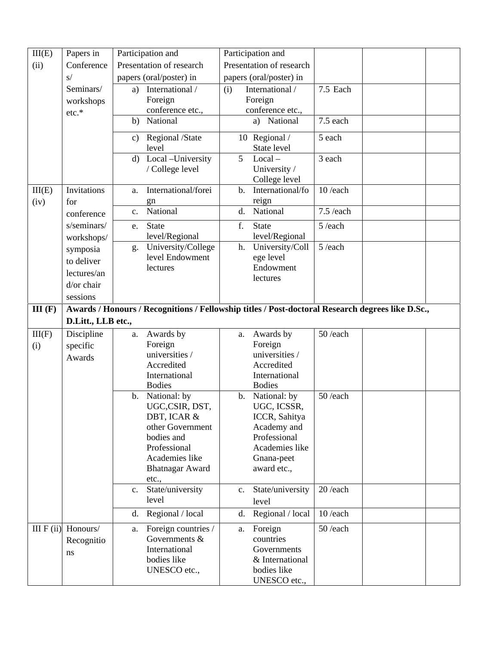| III(E) | Papers in           | Participation and                                                                                | Participation and                  |             |  |
|--------|---------------------|--------------------------------------------------------------------------------------------------|------------------------------------|-------------|--|
| (ii)   | Conference          | Presentation of research                                                                         | Presentation of research           |             |  |
|        | s/                  | papers (oral/poster) in                                                                          | papers (oral/poster) in            |             |  |
|        | Seminars/           | International /<br>a)                                                                            | International /<br>(i)             | 7.5 Each    |  |
|        |                     | Foreign                                                                                          | Foreign                            |             |  |
|        | workshops           | conference etc.,                                                                                 | conference etc.,                   |             |  |
|        | etc.                | National<br>b)                                                                                   | a) National                        | 7.5 each    |  |
|        |                     |                                                                                                  |                                    |             |  |
|        |                     | Regional /State<br>c)                                                                            | 10 Regional /                      | 5 each      |  |
|        |                     | level                                                                                            | State level                        |             |  |
|        |                     | d) Local-University                                                                              | $\mathfrak{H}$<br>$Local -$        | 3 each      |  |
|        |                     | / College level                                                                                  | University /                       |             |  |
|        |                     |                                                                                                  | College level                      |             |  |
| III(E) | Invitations         | International/forei<br>a.                                                                        | International/fo<br>$\mathbf{b}$ . | $10$ /each  |  |
| (iv)   | for                 | gn                                                                                               | reign                              |             |  |
|        | conference          | National<br>c.                                                                                   | National<br>d.                     | $7.5$ /each |  |
|        | s/seminars/         | <b>State</b><br>e.                                                                               | f.<br><b>State</b>                 | 5/each      |  |
|        | workshops/          | level/Regional                                                                                   | level/Regional                     |             |  |
|        | symposia            | University/College<br>g.                                                                         | University/Coll<br>h.              | 5/each      |  |
|        | to deliver          | level Endowment                                                                                  | ege level                          |             |  |
|        | lectures/an         | lectures                                                                                         | Endowment                          |             |  |
|        | d/or chair          |                                                                                                  | lectures                           |             |  |
|        | sessions            |                                                                                                  |                                    |             |  |
| III(F) |                     | Awards / Honours / Recognitions / Fellowship titles / Post-doctoral Research degrees like D.Sc., |                                    |             |  |
|        | D.Litt., LLB etc.,  |                                                                                                  |                                    |             |  |
|        |                     |                                                                                                  |                                    |             |  |
|        |                     |                                                                                                  |                                    |             |  |
| III(F) | Discipline          | Awards by<br>a.                                                                                  | Awards by<br>a.                    | 50/each     |  |
| (i)    | specific            | Foreign                                                                                          | Foreign                            |             |  |
|        | Awards              | universities /                                                                                   | universities /                     |             |  |
|        |                     | Accredited<br>International                                                                      | Accredited<br>International        |             |  |
|        |                     | <b>Bodies</b>                                                                                    | <b>Bodies</b>                      |             |  |
|        |                     | National: by<br>$\mathbf b$ .                                                                    | National: by<br>b.                 | 50/each     |  |
|        |                     | UGC,CSIR, DST,                                                                                   | UGC, ICSSR,                        |             |  |
|        |                     | DBT, ICAR &                                                                                      | ICCR, Sahitya                      |             |  |
|        |                     | other Government                                                                                 | Academy and                        |             |  |
|        |                     | bodies and                                                                                       | Professional                       |             |  |
|        |                     | Professional                                                                                     | Academies like                     |             |  |
|        |                     | Academies like                                                                                   | Gnana-peet                         |             |  |
|        |                     | <b>Bhatnagar Award</b>                                                                           | award etc.,                        |             |  |
|        |                     | etc.,                                                                                            |                                    |             |  |
|        |                     | State/university<br>$c_{\cdot}$                                                                  | State/university<br>c.             | 20 /each    |  |
|        |                     | level                                                                                            | level                              |             |  |
|        |                     | Regional / local<br>d.                                                                           | Regional / local<br>d.             | $10$ /each  |  |
|        | III $F(i)$ Honours/ | Foreign countries /<br>a.                                                                        | Foreign<br>a.                      | 50/each     |  |
|        | Recognitio          | Governments $\&$                                                                                 | countries                          |             |  |
|        | ns                  | International                                                                                    | Governments                        |             |  |
|        |                     | bodies like                                                                                      | & International                    |             |  |
|        |                     | UNESCO etc.,                                                                                     | bodies like<br>UNESCO etc.,        |             |  |